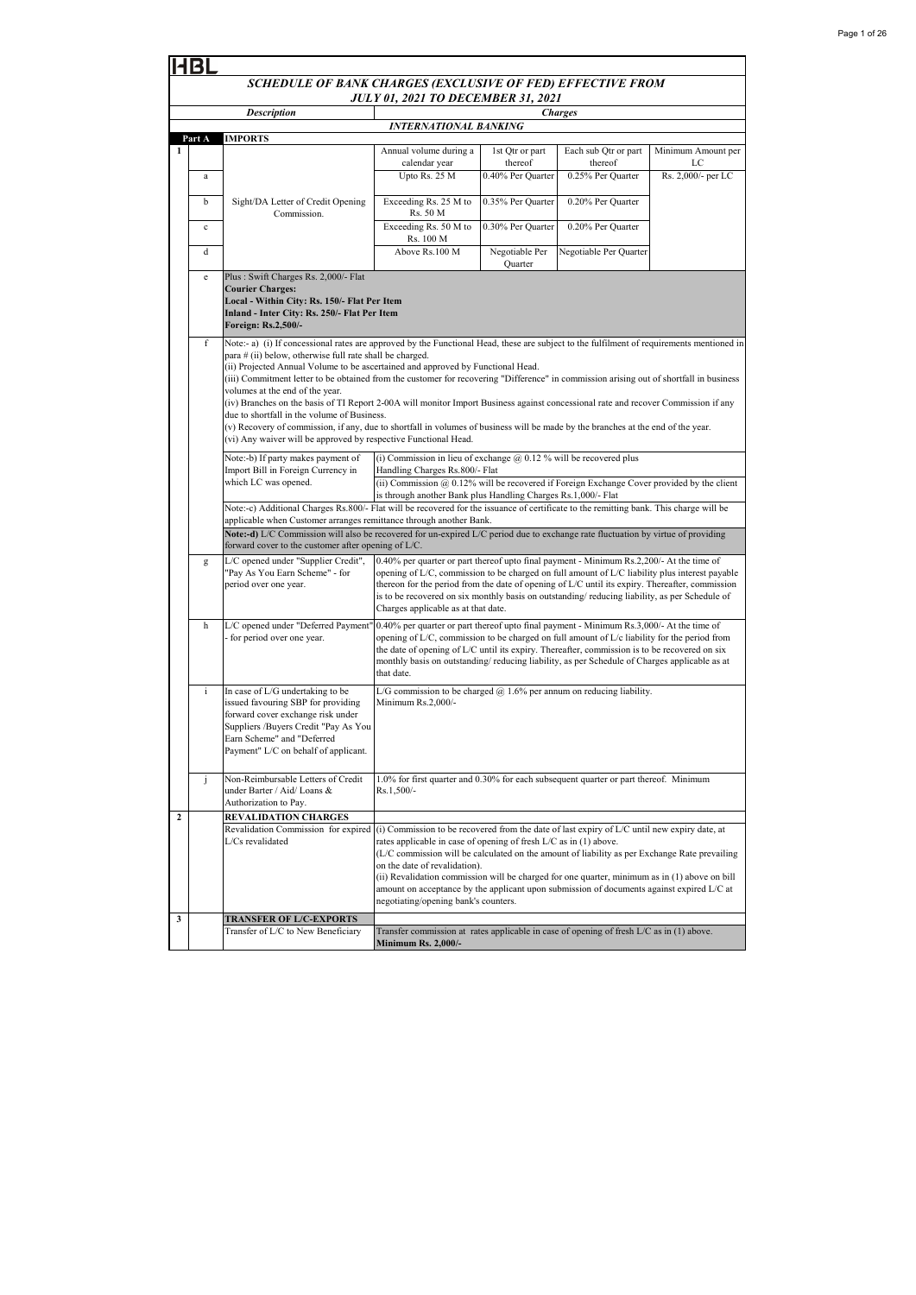| Page 1 of 26 |
|--------------|
|--------------|

|                                                                                                                                                                                                                                                                                                                                                                                                                                                                                                                                                                                                                                                                                                                                                                                                                                                                         | <b>HBL</b>                                                 |                                                                                                                                                                                                                                                                                                                                                  |                                                                                                                                                                                                                                                                                                                                                                                                                                                                                                                                           |                            |                                 |                          |  |  |
|-------------------------------------------------------------------------------------------------------------------------------------------------------------------------------------------------------------------------------------------------------------------------------------------------------------------------------------------------------------------------------------------------------------------------------------------------------------------------------------------------------------------------------------------------------------------------------------------------------------------------------------------------------------------------------------------------------------------------------------------------------------------------------------------------------------------------------------------------------------------------|------------------------------------------------------------|--------------------------------------------------------------------------------------------------------------------------------------------------------------------------------------------------------------------------------------------------------------------------------------------------------------------------------------------------|-------------------------------------------------------------------------------------------------------------------------------------------------------------------------------------------------------------------------------------------------------------------------------------------------------------------------------------------------------------------------------------------------------------------------------------------------------------------------------------------------------------------------------------------|----------------------------|---------------------------------|--------------------------|--|--|
|                                                                                                                                                                                                                                                                                                                                                                                                                                                                                                                                                                                                                                                                                                                                                                                                                                                                         | SCHEDULE OF BANK CHARGES (EXCLUSIVE OF FED) EFFECTIVE FROM |                                                                                                                                                                                                                                                                                                                                                  |                                                                                                                                                                                                                                                                                                                                                                                                                                                                                                                                           |                            |                                 |                          |  |  |
|                                                                                                                                                                                                                                                                                                                                                                                                                                                                                                                                                                                                                                                                                                                                                                                                                                                                         | <b>JULY 01, 2021 TO DECEMBER 31, 2021</b>                  |                                                                                                                                                                                                                                                                                                                                                  |                                                                                                                                                                                                                                                                                                                                                                                                                                                                                                                                           |                            |                                 |                          |  |  |
|                                                                                                                                                                                                                                                                                                                                                                                                                                                                                                                                                                                                                                                                                                                                                                                                                                                                         |                                                            | <b>Description</b>                                                                                                                                                                                                                                                                                                                               | <b>Charges</b><br>INTERNATIONAL BANKING                                                                                                                                                                                                                                                                                                                                                                                                                                                                                                   |                            |                                 |                          |  |  |
|                                                                                                                                                                                                                                                                                                                                                                                                                                                                                                                                                                                                                                                                                                                                                                                                                                                                         | Part A                                                     | <b>IMPORTS</b>                                                                                                                                                                                                                                                                                                                                   |                                                                                                                                                                                                                                                                                                                                                                                                                                                                                                                                           |                            |                                 |                          |  |  |
| 1                                                                                                                                                                                                                                                                                                                                                                                                                                                                                                                                                                                                                                                                                                                                                                                                                                                                       |                                                            |                                                                                                                                                                                                                                                                                                                                                  | Annual volume during a<br>calendar year                                                                                                                                                                                                                                                                                                                                                                                                                                                                                                   | 1st Qtr or part<br>thereof | Each sub Qtr or part<br>thereof | Minimum Amount per<br>LC |  |  |
|                                                                                                                                                                                                                                                                                                                                                                                                                                                                                                                                                                                                                                                                                                                                                                                                                                                                         | $\rm{a}$                                                   |                                                                                                                                                                                                                                                                                                                                                  | Upto Rs. 25 M                                                                                                                                                                                                                                                                                                                                                                                                                                                                                                                             | 0.40% Per Quarter          | 0.25% Per Quarter               | Rs. 2,000/- per LC       |  |  |
|                                                                                                                                                                                                                                                                                                                                                                                                                                                                                                                                                                                                                                                                                                                                                                                                                                                                         | b                                                          | Sight/DA Letter of Credit Opening<br>Commission.                                                                                                                                                                                                                                                                                                 | Exceeding Rs. 25 M to<br>Rs. 50 M                                                                                                                                                                                                                                                                                                                                                                                                                                                                                                         | 0.35% Per Quarter          | 0.20% Per Quarter               |                          |  |  |
|                                                                                                                                                                                                                                                                                                                                                                                                                                                                                                                                                                                                                                                                                                                                                                                                                                                                         | $\mathbf c$                                                |                                                                                                                                                                                                                                                                                                                                                  | Exceeding Rs. 50 M to<br>Rs. 100 M                                                                                                                                                                                                                                                                                                                                                                                                                                                                                                        | 0.30% Per Quarter          | 0.20% Per Quarter               |                          |  |  |
|                                                                                                                                                                                                                                                                                                                                                                                                                                                                                                                                                                                                                                                                                                                                                                                                                                                                         | d                                                          |                                                                                                                                                                                                                                                                                                                                                  | Above Rs.100 M                                                                                                                                                                                                                                                                                                                                                                                                                                                                                                                            | Negotiable Per<br>Quarter  | Negotiable Per Quarter          |                          |  |  |
|                                                                                                                                                                                                                                                                                                                                                                                                                                                                                                                                                                                                                                                                                                                                                                                                                                                                         | e                                                          | Plus: Swift Charges Rs. 2,000/- Flat<br><b>Courier Charges:</b><br>Local - Within City: Rs. 150/- Flat Per Item<br>Inland - Inter City: Rs. 250/- Flat Per Item<br>Foreign: Rs.2,500/-                                                                                                                                                           |                                                                                                                                                                                                                                                                                                                                                                                                                                                                                                                                           |                            |                                 |                          |  |  |
| f<br>Note:- a) (i) If concessional rates are approved by the Functional Head, these are subject to the fulfilment of requirements mentioned in<br>para # (ii) below, otherwise full rate shall be charged.<br>(ii) Projected Annual Volume to be ascertained and approved by Functional Head.<br>(iii) Commitment letter to be obtained from the customer for recovering "Difference" in commission arising out of shortfall in business<br>volumes at the end of the year.<br>(iv) Branches on the basis of TI Report 2-00A will monitor Import Business against concessional rate and recover Commission if any<br>due to shortfall in the volume of Business.<br>(v) Recovery of commission, if any, due to shortfall in volumes of business will be made by the branches at the end of the year.<br>(vi) Any waiver will be approved by respective Functional Head. |                                                            |                                                                                                                                                                                                                                                                                                                                                  |                                                                                                                                                                                                                                                                                                                                                                                                                                                                                                                                           |                            |                                 |                          |  |  |
|                                                                                                                                                                                                                                                                                                                                                                                                                                                                                                                                                                                                                                                                                                                                                                                                                                                                         |                                                            | (i) Commission in lieu of exchange $@$ 0.12 % will be recovered plus<br>Note:-b) If party makes payment of<br>Import Bill in Foreign Currency in<br>Handling Charges Rs.800/- Flat                                                                                                                                                               |                                                                                                                                                                                                                                                                                                                                                                                                                                                                                                                                           |                            |                                 |                          |  |  |
|                                                                                                                                                                                                                                                                                                                                                                                                                                                                                                                                                                                                                                                                                                                                                                                                                                                                         |                                                            | which LC was opened.                                                                                                                                                                                                                                                                                                                             | (ii) Commission @ 0.12% will be recovered if Foreign Exchange Cover provided by the client<br>is through another Bank plus Handling Charges Rs.1,000/- Flat                                                                                                                                                                                                                                                                                                                                                                               |                            |                                 |                          |  |  |
|                                                                                                                                                                                                                                                                                                                                                                                                                                                                                                                                                                                                                                                                                                                                                                                                                                                                         |                                                            | Note:-c) Additional Charges Rs.800/- Flat will be recovered for the issuance of certificate to the remitting bank. This charge will be<br>applicable when Customer arranges remittance through another Bank.<br>Note:-d) L/C Commission will also be recovered for un-expired L/C period due to exchange rate fluctuation by virtue of providing |                                                                                                                                                                                                                                                                                                                                                                                                                                                                                                                                           |                            |                                 |                          |  |  |
|                                                                                                                                                                                                                                                                                                                                                                                                                                                                                                                                                                                                                                                                                                                                                                                                                                                                         |                                                            | forward cover to the customer after opening of L/C.                                                                                                                                                                                                                                                                                              |                                                                                                                                                                                                                                                                                                                                                                                                                                                                                                                                           |                            |                                 |                          |  |  |
|                                                                                                                                                                                                                                                                                                                                                                                                                                                                                                                                                                                                                                                                                                                                                                                                                                                                         | g                                                          | L/C opened under "Supplier Credit",<br>"Pay As You Earn Scheme" - for<br>period over one year.                                                                                                                                                                                                                                                   | 0.40% per quarter or part thereof upto final payment - Minimum Rs.2,200/- At the time of<br>opening of L/C, commission to be charged on full amount of L/C liability plus interest payable<br>thereon for the period from the date of opening of L/C until its expiry. Thereafter, commission<br>is to be recovered on six monthly basis on outstanding/reducing liability, as per Schedule of<br>Charges applicable as at that date.                                                                                                     |                            |                                 |                          |  |  |
|                                                                                                                                                                                                                                                                                                                                                                                                                                                                                                                                                                                                                                                                                                                                                                                                                                                                         | h                                                          | L/C opened under "Deferred Payment"<br>- for period over one year.                                                                                                                                                                                                                                                                               | 0.40% per quarter or part thereof upto final payment - Minimum Rs.3,000/- At the time of<br>opening of L/C, commission to be charged on full amount of L/c liability for the period from<br>the date of opening of L/C until its expiry. Thereafter, commission is to be recovered on six<br>monthly basis on outstanding/reducing liability, as per Schedule of Charges applicable as at<br>that date.                                                                                                                                   |                            |                                 |                          |  |  |
|                                                                                                                                                                                                                                                                                                                                                                                                                                                                                                                                                                                                                                                                                                                                                                                                                                                                         | $\mathbf{i}$                                               | In case of L/G undertaking to be<br>issued favouring SBP for providing<br>forward cover exchange risk under<br>Suppliers /Buyers Credit "Pay As You<br>Earn Scheme" and "Deferred<br>Payment" L/C on behalf of applicant.                                                                                                                        | L/G commission to be charged $@$ 1.6% per annum on reducing liability.<br>Minimum Rs.2,000/-                                                                                                                                                                                                                                                                                                                                                                                                                                              |                            |                                 |                          |  |  |
|                                                                                                                                                                                                                                                                                                                                                                                                                                                                                                                                                                                                                                                                                                                                                                                                                                                                         | j                                                          | Non-Reimbursable Letters of Credit<br>under Barter / Aid/ Loans &<br>Authorization to Pay.                                                                                                                                                                                                                                                       | 1.0% for first quarter and 0.30% for each subsequent quarter or part thereof. Minimum<br>Rs.1,500/-                                                                                                                                                                                                                                                                                                                                                                                                                                       |                            |                                 |                          |  |  |
| $\boldsymbol{2}$                                                                                                                                                                                                                                                                                                                                                                                                                                                                                                                                                                                                                                                                                                                                                                                                                                                        |                                                            | <b>REVALIDATION CHARGES</b>                                                                                                                                                                                                                                                                                                                      |                                                                                                                                                                                                                                                                                                                                                                                                                                                                                                                                           |                            |                                 |                          |  |  |
|                                                                                                                                                                                                                                                                                                                                                                                                                                                                                                                                                                                                                                                                                                                                                                                                                                                                         |                                                            | Revalidation Commission for expired<br>L/Cs revalidated                                                                                                                                                                                                                                                                                          | (i) Commission to be recovered from the date of last expiry of L/C until new expiry date, at<br>rates applicable in case of opening of fresh L/C as in (1) above.<br>(L/C commission will be calculated on the amount of liability as per Exchange Rate prevailing<br>on the date of revalidation).<br>(ii) Revalidation commission will be charged for one quarter, minimum as in (1) above on bill<br>amount on acceptance by the applicant upon submission of documents against expired L/C at<br>negotiating/opening bank's counters. |                            |                                 |                          |  |  |
| 3                                                                                                                                                                                                                                                                                                                                                                                                                                                                                                                                                                                                                                                                                                                                                                                                                                                                       |                                                            | <b>TRANSFER OF L/C-EXPORTS</b>                                                                                                                                                                                                                                                                                                                   |                                                                                                                                                                                                                                                                                                                                                                                                                                                                                                                                           |                            |                                 |                          |  |  |
|                                                                                                                                                                                                                                                                                                                                                                                                                                                                                                                                                                                                                                                                                                                                                                                                                                                                         |                                                            | Transfer of L/C to New Beneficiary                                                                                                                                                                                                                                                                                                               | Transfer commission at rates applicable in case of opening of fresh L/C as in (1) above.<br><b>Minimum Rs. 2,000/-</b>                                                                                                                                                                                                                                                                                                                                                                                                                    |                            |                                 |                          |  |  |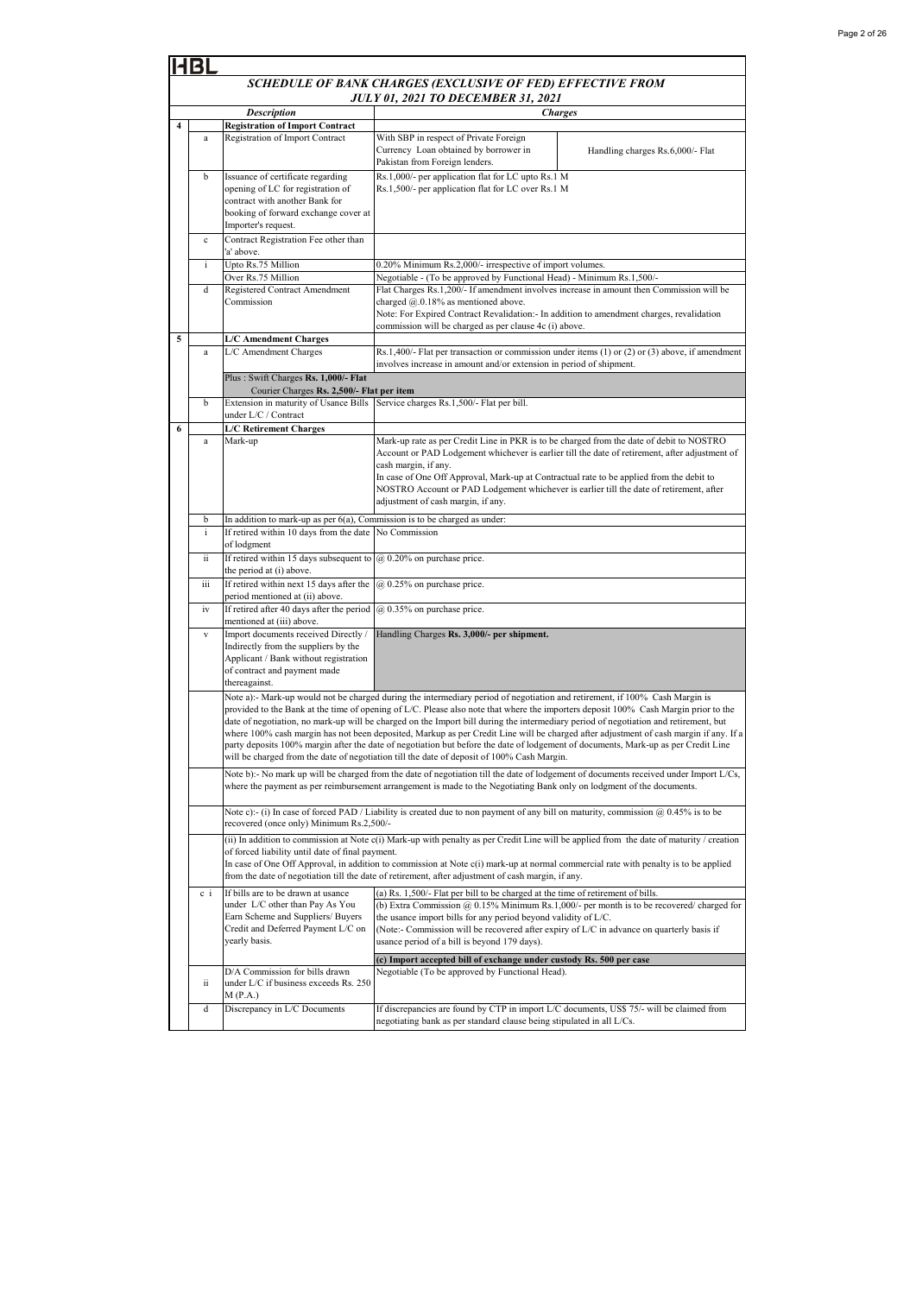| Page 2 of 26 |  |  |  |
|--------------|--|--|--|
|--------------|--|--|--|

|   | <b>HBL</b>   |                                                                                                                                                                                                                                                                                                                                                                                                                                                                                                                                                                                                                                                          |                                                                                                                                                                                                                                                                                                                                                                |                                                                                                                                          |  |
|---|--------------|----------------------------------------------------------------------------------------------------------------------------------------------------------------------------------------------------------------------------------------------------------------------------------------------------------------------------------------------------------------------------------------------------------------------------------------------------------------------------------------------------------------------------------------------------------------------------------------------------------------------------------------------------------|----------------------------------------------------------------------------------------------------------------------------------------------------------------------------------------------------------------------------------------------------------------------------------------------------------------------------------------------------------------|------------------------------------------------------------------------------------------------------------------------------------------|--|
|   |              |                                                                                                                                                                                                                                                                                                                                                                                                                                                                                                                                                                                                                                                          | SCHEDULE OF BANK CHARGES (EXCLUSIVE OF FED) EFFECTIVE FROM                                                                                                                                                                                                                                                                                                     |                                                                                                                                          |  |
|   |              |                                                                                                                                                                                                                                                                                                                                                                                                                                                                                                                                                                                                                                                          | JULY 01, 2021 TO DECEMBER 31, 2021                                                                                                                                                                                                                                                                                                                             |                                                                                                                                          |  |
| 4 |              | <b>Description</b><br><b>Registration of Import Contract</b>                                                                                                                                                                                                                                                                                                                                                                                                                                                                                                                                                                                             |                                                                                                                                                                                                                                                                                                                                                                | <b>Charges</b>                                                                                                                           |  |
|   | $\rm{a}$     | <b>Registration of Import Contract</b>                                                                                                                                                                                                                                                                                                                                                                                                                                                                                                                                                                                                                   | With SBP in respect of Private Foreign<br>Currency Loan obtained by borrower in<br>Pakistan from Foreign lenders.                                                                                                                                                                                                                                              | Handling charges Rs.6,000/- Flat                                                                                                         |  |
|   | b            | Issuance of certificate regarding<br>opening of LC for registration of<br>contract with another Bank for<br>booking of forward exchange cover at<br>Importer's request.                                                                                                                                                                                                                                                                                                                                                                                                                                                                                  | Rs.1,000/- per application flat for LC upto Rs.1 M<br>Rs.1,500/- per application flat for LC over Rs.1 M                                                                                                                                                                                                                                                       |                                                                                                                                          |  |
|   | $\mathbf c$  | Contract Registration Fee other than<br>a' above.                                                                                                                                                                                                                                                                                                                                                                                                                                                                                                                                                                                                        |                                                                                                                                                                                                                                                                                                                                                                |                                                                                                                                          |  |
|   | $\mathbf{i}$ | Upto Rs.75 Million                                                                                                                                                                                                                                                                                                                                                                                                                                                                                                                                                                                                                                       | 0.20% Minimum Rs.2,000/- irrespective of import volumes.                                                                                                                                                                                                                                                                                                       |                                                                                                                                          |  |
|   | d            | Over Rs.75 Million<br>Registered Contract Amendment<br>Commission                                                                                                                                                                                                                                                                                                                                                                                                                                                                                                                                                                                        | Negotiable - (To be approved by Functional Head) - Minimum Rs.1,500/-<br>Flat Charges Rs.1,200/- If amendment involves increase in amount then Commission will be<br>charged @.0.18% as mentioned above.<br>Note: For Expired Contract Revalidation:- In addition to amendment charges, revalidation<br>commission will be charged as per clause 4c (i) above. |                                                                                                                                          |  |
| 5 |              | <b>L/C Amendment Charges</b>                                                                                                                                                                                                                                                                                                                                                                                                                                                                                                                                                                                                                             |                                                                                                                                                                                                                                                                                                                                                                |                                                                                                                                          |  |
|   | $\rm{a}$     | L/C Amendment Charges                                                                                                                                                                                                                                                                                                                                                                                                                                                                                                                                                                                                                                    | involves increase in amount and/or extension in period of shipment.                                                                                                                                                                                                                                                                                            | Rs.1,400/- Flat per transaction or commission under items (1) or (2) or (3) above, if amendment                                          |  |
|   |              | Plus: Swift Charges Rs. 1,000/- Flat<br>Courier Charges Rs. 2,500/- Flat per item                                                                                                                                                                                                                                                                                                                                                                                                                                                                                                                                                                        |                                                                                                                                                                                                                                                                                                                                                                |                                                                                                                                          |  |
|   | b            | Extension in maturity of Usance Bills<br>under L/C / Contract                                                                                                                                                                                                                                                                                                                                                                                                                                                                                                                                                                                            | Service charges Rs.1,500/- Flat per bill.                                                                                                                                                                                                                                                                                                                      |                                                                                                                                          |  |
| 6 |              | <b>L/C Retirement Charges</b>                                                                                                                                                                                                                                                                                                                                                                                                                                                                                                                                                                                                                            |                                                                                                                                                                                                                                                                                                                                                                |                                                                                                                                          |  |
|   | $\rm{a}$     | Mark-up                                                                                                                                                                                                                                                                                                                                                                                                                                                                                                                                                                                                                                                  | Mark-up rate as per Credit Line in PKR is to be charged from the date of debit to NOSTRO<br>cash margin, if any.<br>In case of One Off Approval, Mark-up at Contractual rate to be applied from the debit to<br>NOSTRO Account or PAD Lodgement whichever is earlier till the date of retirement, after<br>adjustment of cash margin, if any.                  | Account or PAD Lodgement whichever is earlier till the date of retirement, after adjustment of                                           |  |
|   | b            | In addition to mark-up as per $6(a)$ , Commission is to be charged as under:                                                                                                                                                                                                                                                                                                                                                                                                                                                                                                                                                                             |                                                                                                                                                                                                                                                                                                                                                                |                                                                                                                                          |  |
|   | $\mathbf{i}$ | If retired within 10 days from the date No Commission<br>of lodgment                                                                                                                                                                                                                                                                                                                                                                                                                                                                                                                                                                                     |                                                                                                                                                                                                                                                                                                                                                                |                                                                                                                                          |  |
|   | ii<br>iii    | If retired within 15 days subsequent to $@$ 0.20% on purchase price.<br>the period at (i) above.<br>If retired within next 15 days after the                                                                                                                                                                                                                                                                                                                                                                                                                                                                                                             | @ 0.25% on purchase price.                                                                                                                                                                                                                                                                                                                                     |                                                                                                                                          |  |
|   | iv           | period mentioned at (ii) above.<br>If retired after 40 days after the period                                                                                                                                                                                                                                                                                                                                                                                                                                                                                                                                                                             | @ 0.35% on purchase price.                                                                                                                                                                                                                                                                                                                                     |                                                                                                                                          |  |
|   |              | mentioned at (iii) above.                                                                                                                                                                                                                                                                                                                                                                                                                                                                                                                                                                                                                                |                                                                                                                                                                                                                                                                                                                                                                |                                                                                                                                          |  |
|   | $\mathbf{V}$ | Import documents received Directly /<br>Indirectly from the suppliers by the<br>Applicant / Bank without registration<br>of contract and payment made<br>thereagainst.                                                                                                                                                                                                                                                                                                                                                                                                                                                                                   | Handling Charges Rs. 3,000/- per shipment.                                                                                                                                                                                                                                                                                                                     |                                                                                                                                          |  |
|   |              |                                                                                                                                                                                                                                                                                                                                                                                                                                                                                                                                                                                                                                                          | Note a):- Mark-up would not be charged during the intermediary period of negotiation and retirement, if 100% Cash Margin is                                                                                                                                                                                                                                    |                                                                                                                                          |  |
|   |              | provided to the Bank at the time of opening of L/C. Please also note that where the importers deposit 100% Cash Margin prior to the<br>date of negotiation, no mark-up will be charged on the Import bill during the intermediary period of negotiation and retirement, but<br>where 100% cash margin has not been deposited, Markup as per Credit Line will be charged after adjustment of cash margin if any. If a<br>party deposits 100% margin after the date of negotiation but before the date of lodgement of documents, Mark-up as per Credit Line<br>will be charged from the date of negotiation till the date of deposit of 100% Cash Margin. |                                                                                                                                                                                                                                                                                                                                                                |                                                                                                                                          |  |
|   |              |                                                                                                                                                                                                                                                                                                                                                                                                                                                                                                                                                                                                                                                          | where the payment as per reimbursement arrangement is made to the Negotiating Bank only on lodgment of the documents.                                                                                                                                                                                                                                          | Note b):- No mark up will be charged from the date of negotiation till the date of lodgement of documents received under Import L/Cs,    |  |
|   |              | recovered (once only) Minimum Rs.2,500/-                                                                                                                                                                                                                                                                                                                                                                                                                                                                                                                                                                                                                 | Note c):- (i) In case of forced PAD / Liability is created due to non payment of any bill on maturity, commission $\omega$ 0.45% is to be                                                                                                                                                                                                                      |                                                                                                                                          |  |
|   |              | of forced liability until date of final payment.                                                                                                                                                                                                                                                                                                                                                                                                                                                                                                                                                                                                         | In case of One Off Approval, in addition to commission at Note c(i) mark-up at normal commercial rate with penalty is to be applied<br>from the date of negotiation till the date of retirement, after adjustment of cash margin, if any.                                                                                                                      | (ii) In addition to commission at Note c(i) Mark-up with penalty as per Credit Line will be applied from the date of maturity / creation |  |
|   | $c_i$        | If bills are to be drawn at usance<br>under L/C other than Pay As You<br>Earn Scheme and Suppliers/ Buyers<br>Credit and Deferred Payment L/C on<br>yearly basis.                                                                                                                                                                                                                                                                                                                                                                                                                                                                                        | (a) Rs. 1,500/- Flat per bill to be charged at the time of retirement of bills.<br>the usance import bills for any period beyond validity of L/C.<br>(Note:- Commission will be recovered after expiry of L/C in advance on quarterly basis if<br>usance period of a bill is beyond 179 days).                                                                 | (b) Extra Commission $(a)$ 0.15% Minimum Rs.1,000/- per month is to be recovered/ charged for                                            |  |
|   | ii           | D/A Commission for bills drawn<br>under L/C if business exceeds Rs. 250                                                                                                                                                                                                                                                                                                                                                                                                                                                                                                                                                                                  | (c) Import accepted bill of exchange under custody Rs. 500 per case<br>Negotiable (To be approved by Functional Head).                                                                                                                                                                                                                                         |                                                                                                                                          |  |
|   | d            | M(P.A.)<br>Discrepancy in L/C Documents                                                                                                                                                                                                                                                                                                                                                                                                                                                                                                                                                                                                                  | If discrepancies are found by CTP in import L/C documents, US\$ 75/- will be claimed from<br>negotiating bank as per standard clause being stipulated in all L/Cs.                                                                                                                                                                                             |                                                                                                                                          |  |
|   |              |                                                                                                                                                                                                                                                                                                                                                                                                                                                                                                                                                                                                                                                          |                                                                                                                                                                                                                                                                                                                                                                |                                                                                                                                          |  |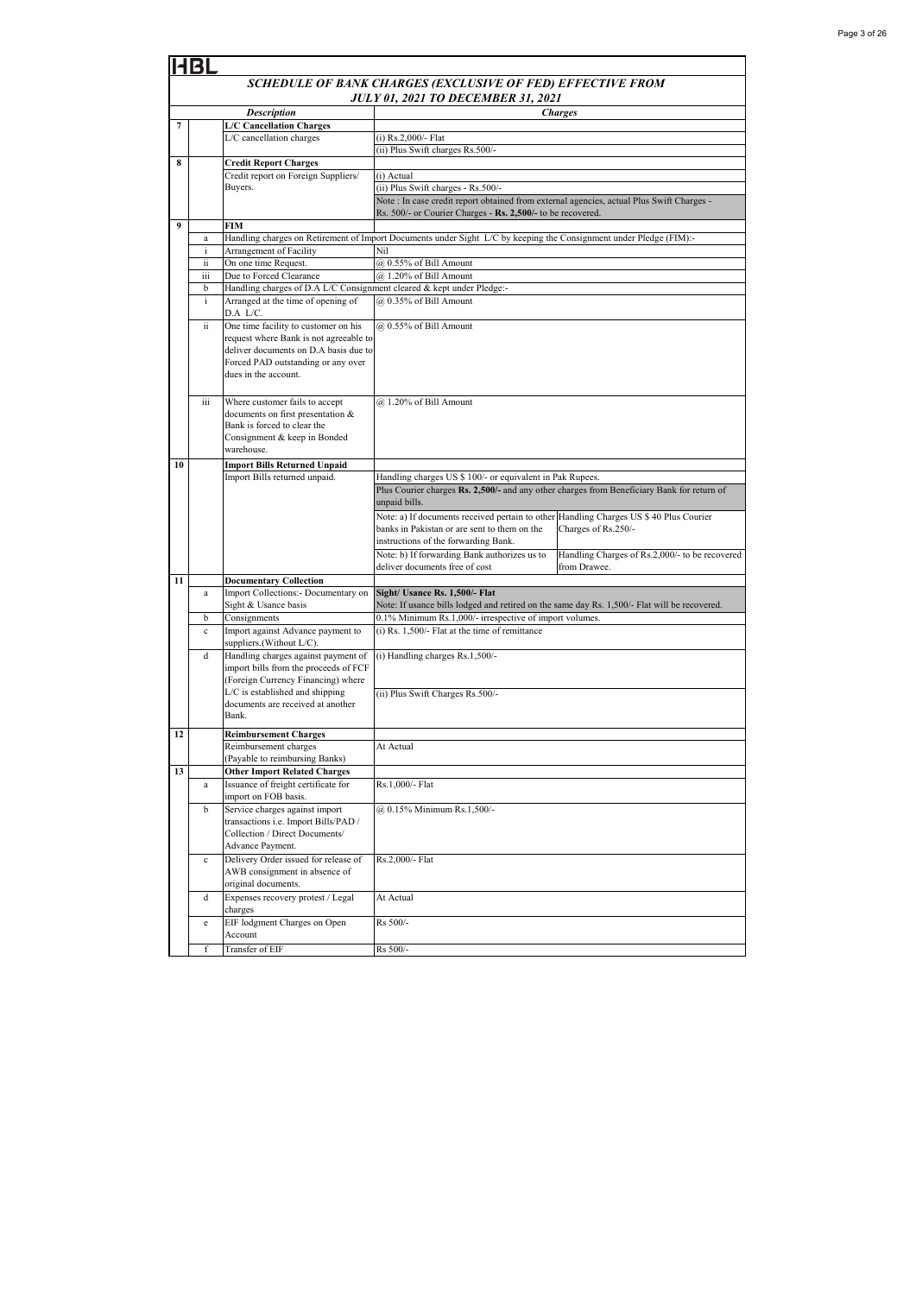|    | 413L                                                       |                                                                                 |                                                                                                                                                  |  |  |  |
|----|------------------------------------------------------------|---------------------------------------------------------------------------------|--------------------------------------------------------------------------------------------------------------------------------------------------|--|--|--|
|    | SCHEDULE OF BANK CHARGES (EXCLUSIVE OF FED) EFFECTIVE FROM |                                                                                 |                                                                                                                                                  |  |  |  |
|    |                                                            |                                                                                 | <b>JULY 01, 2021 TO DECEMBER 31, 2021</b>                                                                                                        |  |  |  |
|    |                                                            | <b>Description</b>                                                              | <b>Charges</b>                                                                                                                                   |  |  |  |
| 7  |                                                            | <b>L/C Cancellation Charges</b>                                                 |                                                                                                                                                  |  |  |  |
|    |                                                            | L/C cancellation charges                                                        | (i) Rs.2,000/- Flat                                                                                                                              |  |  |  |
|    |                                                            |                                                                                 | (ii) Plus Swift charges Rs.500/-                                                                                                                 |  |  |  |
| 8  |                                                            | <b>Credit Report Charges</b><br>Credit report on Foreign Suppliers/             | (i) Actual                                                                                                                                       |  |  |  |
|    |                                                            | Buyers.                                                                         | (ii) Plus Swift charges - Rs.500/-                                                                                                               |  |  |  |
|    |                                                            |                                                                                 | Note : In case credit report obtained from external agencies, actual Plus Swift Charges -                                                        |  |  |  |
|    |                                                            |                                                                                 | Rs. 500/- or Courier Charges - Rs. 2,500/- to be recovered.                                                                                      |  |  |  |
| 9  |                                                            | <b>FIM</b>                                                                      |                                                                                                                                                  |  |  |  |
|    | $\rm{a}$                                                   |                                                                                 | Handling charges on Retirement of Import Documents under Sight L/C by keeping the Consignment under Pledge (FIM):-                               |  |  |  |
|    | $\mathbf{i}$<br>ii                                         | Arrangement of Facility<br>On one time Request.                                 | Nil<br>@ 0.55% of Bill Amount                                                                                                                    |  |  |  |
|    | iii                                                        | Due to Forced Clearance                                                         | @ 1.20% of Bill Amount                                                                                                                           |  |  |  |
|    | b                                                          | Handling charges of D.A L/C Consignment cleared & kept under Pledge:-           |                                                                                                                                                  |  |  |  |
|    | $\mathbf{i}$                                               | Arranged at the time of opening of                                              | @ 0.35% of Bill Amount                                                                                                                           |  |  |  |
|    |                                                            | D.A L/C.                                                                        |                                                                                                                                                  |  |  |  |
|    | ii.                                                        | One time facility to customer on his                                            | @ 0.55% of Bill Amount                                                                                                                           |  |  |  |
|    |                                                            | request where Bank is not agreeable to<br>deliver documents on D.A basis due to |                                                                                                                                                  |  |  |  |
|    |                                                            | Forced PAD outstanding or any over                                              |                                                                                                                                                  |  |  |  |
|    |                                                            | dues in the account.                                                            |                                                                                                                                                  |  |  |  |
|    |                                                            |                                                                                 |                                                                                                                                                  |  |  |  |
|    | iii                                                        | Where customer fails to accept                                                  | @ 1.20% of Bill Amount                                                                                                                           |  |  |  |
|    |                                                            | documents on first presentation &                                               |                                                                                                                                                  |  |  |  |
|    |                                                            | Bank is forced to clear the                                                     |                                                                                                                                                  |  |  |  |
|    |                                                            | Consignment & keep in Bonded<br>warehouse.                                      |                                                                                                                                                  |  |  |  |
| 10 |                                                            | <b>Import Bills Returned Unpaid</b>                                             |                                                                                                                                                  |  |  |  |
|    |                                                            | Import Bills returned unpaid.                                                   | Handling charges US \$ 100/- or equivalent in Pak Rupees.                                                                                        |  |  |  |
|    |                                                            |                                                                                 | Plus Courier charges Rs. 2,500/- and any other charges from Beneficiary Bank for return of                                                       |  |  |  |
|    |                                                            |                                                                                 | unpaid bills.                                                                                                                                    |  |  |  |
|    |                                                            |                                                                                 | Note: a) If documents received pertain to other Handling Charges US \$ 40 Plus Courier                                                           |  |  |  |
|    |                                                            |                                                                                 | banks in Pakistan or are sent to them on the<br>Charges of Rs.250/-                                                                              |  |  |  |
|    |                                                            |                                                                                 | instructions of the forwarding Bank.                                                                                                             |  |  |  |
|    |                                                            |                                                                                 | Note: b) If forwarding Bank authorizes us to<br>Handling Charges of Rs.2,000/- to be recovered<br>deliver documents free of cost<br>from Drawee. |  |  |  |
| 11 |                                                            | <b>Documentary Collection</b>                                                   |                                                                                                                                                  |  |  |  |
|    | a                                                          | Import Collections:- Documentary on                                             | Sight/ Usance Rs. 1,500/- Flat                                                                                                                   |  |  |  |
|    |                                                            | Sight & Usance basis                                                            | Note: If usance bills lodged and retired on the same day Rs. 1,500/- Flat will be recovered.                                                     |  |  |  |
|    | b                                                          | Consignments                                                                    | 0.1% Minimum Rs.1,000/- irrespective of import volumes.                                                                                          |  |  |  |
|    | $\mathbf c$                                                | Import against Advance payment to                                               | $(i)$ Rs. 1,500/- Flat at the time of remittance                                                                                                 |  |  |  |
|    |                                                            | suppliers.(Without L/C).                                                        |                                                                                                                                                  |  |  |  |
|    | d                                                          | Handling charges against payment of<br>import bills from the proceeds of FCF    | (i) Handling charges Rs.1,500/-                                                                                                                  |  |  |  |
|    |                                                            | (Foreign Currency Financing) where                                              |                                                                                                                                                  |  |  |  |
|    |                                                            | L/C is established and shipping                                                 | (ii) Plus Swift Charges Rs.500/-                                                                                                                 |  |  |  |
|    |                                                            | documents are received at another                                               |                                                                                                                                                  |  |  |  |
|    |                                                            | Bank.                                                                           |                                                                                                                                                  |  |  |  |
| 12 |                                                            | <b>Reimbursement Charges</b>                                                    |                                                                                                                                                  |  |  |  |
|    |                                                            | Reimbursement charges                                                           | At Actual                                                                                                                                        |  |  |  |
| 13 |                                                            | (Payable to reimbursing Banks)                                                  |                                                                                                                                                  |  |  |  |
|    | $\bf{a}$                                                   | <b>Other Import Related Charges</b><br>Issuance of freight certificate for      | Rs.1,000/- Flat                                                                                                                                  |  |  |  |
|    |                                                            | import on FOB basis.                                                            |                                                                                                                                                  |  |  |  |
|    | b                                                          | Service charges against import                                                  | @ 0.15% Minimum Rs.1,500/-                                                                                                                       |  |  |  |
|    |                                                            | transactions i.e. Import Bills/PAD /                                            |                                                                                                                                                  |  |  |  |
|    |                                                            | Collection / Direct Documents/                                                  |                                                                                                                                                  |  |  |  |
|    |                                                            | Advance Payment.                                                                |                                                                                                                                                  |  |  |  |
|    | $\mathbf c$                                                | Delivery Order issued for release of                                            | Rs.2,000/- Flat                                                                                                                                  |  |  |  |
|    |                                                            | AWB consignment in absence of<br>original documents.                            |                                                                                                                                                  |  |  |  |
|    | d                                                          | Expenses recovery protest / Legal                                               | At Actual                                                                                                                                        |  |  |  |
|    |                                                            | charges                                                                         |                                                                                                                                                  |  |  |  |
|    | $\rm e$                                                    | EIF lodgment Charges on Open                                                    | Rs 500/-                                                                                                                                         |  |  |  |
|    |                                                            | Account                                                                         |                                                                                                                                                  |  |  |  |
|    | f                                                          | Transfer of EIF                                                                 | Rs 500/-                                                                                                                                         |  |  |  |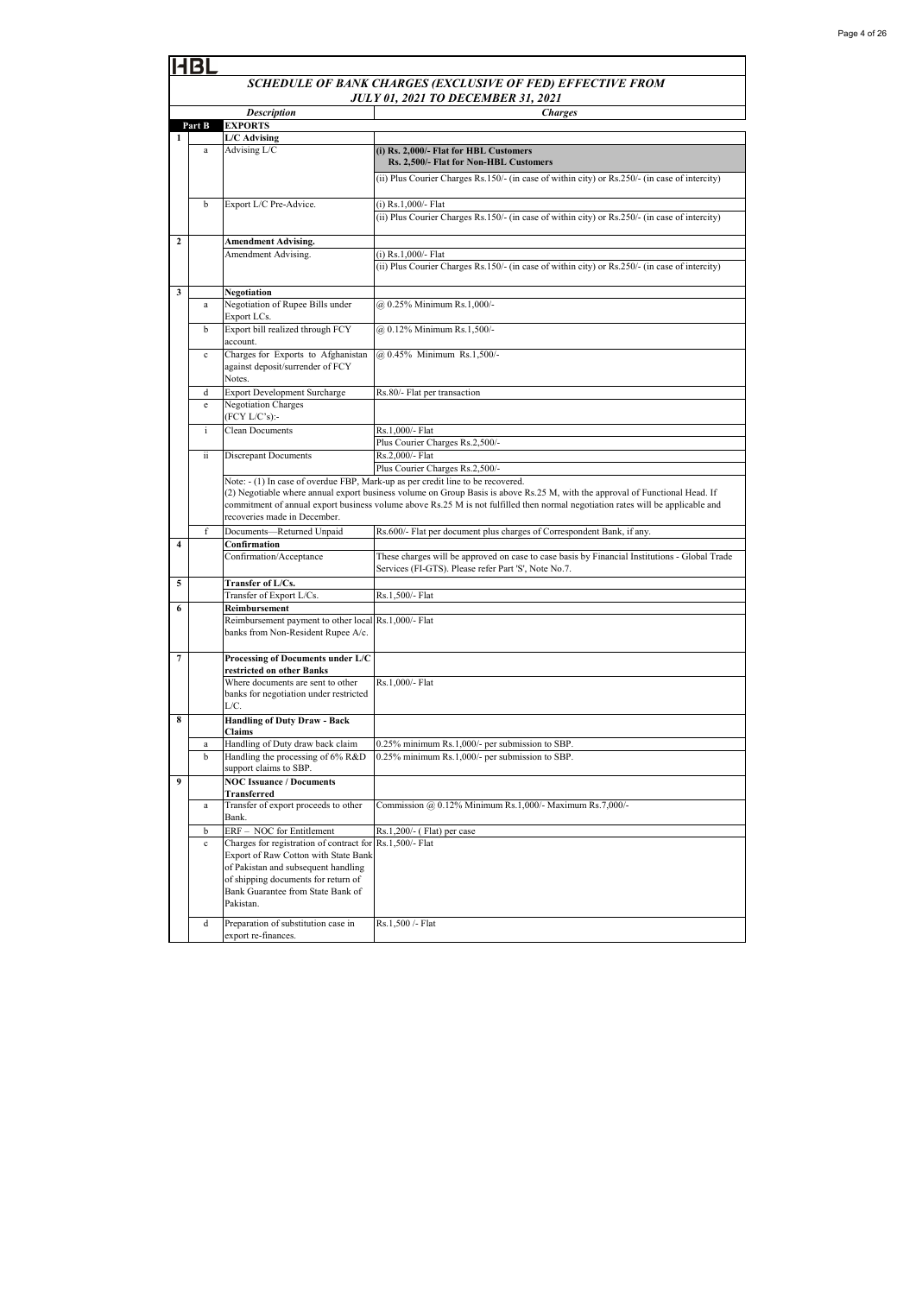|                         | HBL                                       |                                                                                            |                                                                                                                                                       |  |  |
|-------------------------|-------------------------------------------|--------------------------------------------------------------------------------------------|-------------------------------------------------------------------------------------------------------------------------------------------------------|--|--|
|                         |                                           |                                                                                            | SCHEDULE OF BANK CHARGES (EXCLUSIVE OF FED) EFFECTIVE FROM                                                                                            |  |  |
|                         | <b>JULY 01, 2021 TO DECEMBER 31, 2021</b> |                                                                                            |                                                                                                                                                       |  |  |
|                         |                                           | <b>Description</b>                                                                         | <b>Charges</b>                                                                                                                                        |  |  |
|                         | Part B                                    | <b>EXPORTS</b>                                                                             |                                                                                                                                                       |  |  |
| 1                       |                                           | L/C Advising                                                                               |                                                                                                                                                       |  |  |
|                         | $\rm{a}$                                  | Advising L/C                                                                               | (i) Rs. 2,000/- Flat for HBL Customers<br>Rs. 2,500/- Flat for Non-HBL Customers                                                                      |  |  |
|                         |                                           |                                                                                            | (ii) Plus Courier Charges Rs.150/- (in case of within city) or Rs.250/- (in case of intercity)                                                        |  |  |
|                         | b                                         | Export L/C Pre-Advice.                                                                     | (i) Rs.1,000/- Flat                                                                                                                                   |  |  |
|                         |                                           |                                                                                            | (ii) Plus Courier Charges Rs.150/- (in case of within city) or Rs.250/- (in case of intercity)                                                        |  |  |
| $\overline{\mathbf{c}}$ |                                           | <b>Amendment Advising.</b>                                                                 |                                                                                                                                                       |  |  |
|                         |                                           | Amendment Advising.                                                                        | (i) Rs.1,000/- Flat<br>(ii) Plus Courier Charges Rs.150/- (in case of within city) or Rs.250/- (in case of intercity)                                 |  |  |
| 3                       |                                           | Negotiation                                                                                |                                                                                                                                                       |  |  |
|                         | a                                         | Negotiation of Rupee Bills under<br>Export LCs.                                            | @ 0.25% Minimum Rs.1,000/-                                                                                                                            |  |  |
|                         | b                                         | Export bill realized through FCY<br>account.                                               | @ 0.12% Minimum Rs.1,500/-                                                                                                                            |  |  |
|                         | $\mathbf c$                               | Charges for Exports to Afghanistan<br>against deposit/surrender of FCY<br>Notes.           | @ 0.45% Minimum Rs.1,500/-                                                                                                                            |  |  |
|                         | d                                         | <b>Export Development Surcharge</b>                                                        | Rs.80/- Flat per transaction                                                                                                                          |  |  |
|                         | e                                         | <b>Negotiation Charges</b><br>(FCY L/C's):-                                                |                                                                                                                                                       |  |  |
|                         | $\mathbf{i}$                              | <b>Clean Documents</b>                                                                     | Rs.1,000/- Flat                                                                                                                                       |  |  |
|                         |                                           |                                                                                            | Plus Courier Charges Rs.2,500/-                                                                                                                       |  |  |
|                         | ii.                                       | <b>Discrepant Documents</b>                                                                | Rs.2,000/- Flat<br>Plus Courier Charges Rs.2,500/-                                                                                                    |  |  |
|                         |                                           |                                                                                            | Note: - (1) In case of overdue FBP, Mark-up as per credit line to be recovered.                                                                       |  |  |
|                         |                                           |                                                                                            | (2) Negotiable where annual export business volume on Group Basis is above Rs.25 M, with the approval of Functional Head. If                          |  |  |
|                         |                                           |                                                                                            | commitment of annual export business volume above Rs.25 M is not fulfilled then normal negotiation rates will be applicable and                       |  |  |
|                         |                                           | recoveries made in December.                                                               |                                                                                                                                                       |  |  |
|                         | f                                         | Documents-Returned Unpaid                                                                  | Rs.600/- Flat per document plus charges of Correspondent Bank, if any.                                                                                |  |  |
| $\overline{\mathbf{4}}$ |                                           | Confirmation                                                                               |                                                                                                                                                       |  |  |
|                         |                                           | Confirmation/Acceptance                                                                    | These charges will be approved on case to case basis by Financial Institutions - Global Trade<br>Services (FI-GTS). Please refer Part 'S', Note No.7. |  |  |
| 5                       |                                           | Transfer of L/Cs.                                                                          |                                                                                                                                                       |  |  |
|                         |                                           | Transfer of Export L/Cs.                                                                   | Rs.1,500/- Flat                                                                                                                                       |  |  |
| 6                       |                                           | Reimbursement                                                                              |                                                                                                                                                       |  |  |
|                         |                                           | Reimbursement payment to other local Rs.1,000/- Flat<br>banks from Non-Resident Rupee A/c. |                                                                                                                                                       |  |  |
| 7                       |                                           | Processing of Documents under L/C<br>restricted on other Banks                             |                                                                                                                                                       |  |  |
|                         |                                           | Where documents are sent to other                                                          | Rs.1,000/- Flat                                                                                                                                       |  |  |
|                         |                                           | banks for negotiation under restricted<br>L/C.                                             |                                                                                                                                                       |  |  |
| 8                       |                                           | <b>Handling of Duty Draw - Back</b><br>Claims                                              |                                                                                                                                                       |  |  |
|                         | a                                         | Handling of Duty draw back claim                                                           | 0.25% minimum Rs.1,000/- per submission to SBP.                                                                                                       |  |  |
|                         | b                                         | Handling the processing of 6% R&D<br>support claims to SBP.                                | 0.25% minimum Rs.1,000/- per submission to SBP.                                                                                                       |  |  |
| $\boldsymbol{9}$        |                                           | <b>NOC Issuance / Documents</b><br>Transferred                                             |                                                                                                                                                       |  |  |
|                         | $\rm{a}$                                  | Transfer of export proceeds to other<br>Bank.                                              | Commission @ 0.12% Minimum Rs.1,000/- Maximum Rs.7,000/-                                                                                              |  |  |
|                         | b                                         | ERF - NOC for Entitlement                                                                  | Rs.1,200/- (Flat) per case                                                                                                                            |  |  |
|                         | $\mathbf c$                               | Charges for registration of contract for                                                   | Rs.1,500/- Flat                                                                                                                                       |  |  |
|                         |                                           | Export of Raw Cotton with State Bank                                                       |                                                                                                                                                       |  |  |
|                         |                                           | of Pakistan and subsequent handling                                                        |                                                                                                                                                       |  |  |
|                         |                                           | of shipping documents for return of<br>Bank Guarantee from State Bank of                   |                                                                                                                                                       |  |  |
|                         |                                           | Pakistan.                                                                                  |                                                                                                                                                       |  |  |
|                         | d                                         | Preparation of substitution case in                                                        | Rs.1,500 /- Flat                                                                                                                                      |  |  |
|                         |                                           | export re-finances.                                                                        |                                                                                                                                                       |  |  |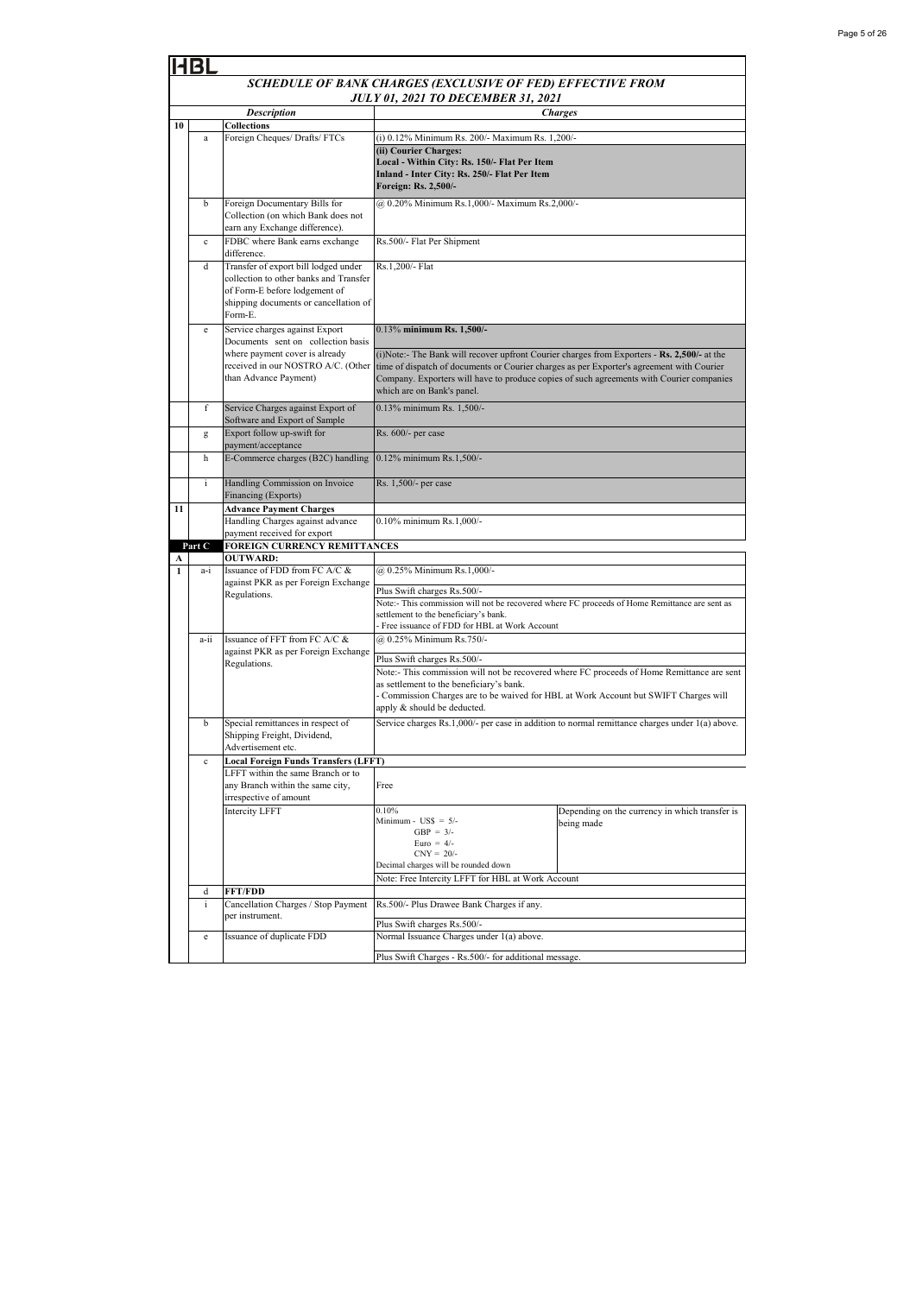|                   | HBL                                                        |                                                                                                                                                                     |                                                                                                                                                                                                                                                                                                                    |                                                                                            |  |
|-------------------|------------------------------------------------------------|---------------------------------------------------------------------------------------------------------------------------------------------------------------------|--------------------------------------------------------------------------------------------------------------------------------------------------------------------------------------------------------------------------------------------------------------------------------------------------------------------|--------------------------------------------------------------------------------------------|--|
|                   | SCHEDULE OF BANK CHARGES (EXCLUSIVE OF FED) EFFECTIVE FROM |                                                                                                                                                                     |                                                                                                                                                                                                                                                                                                                    |                                                                                            |  |
|                   |                                                            |                                                                                                                                                                     | JULY 01, 2021 TO DECEMBER 31, 2021                                                                                                                                                                                                                                                                                 |                                                                                            |  |
| 10                |                                                            | <b>Description</b><br><b>Collections</b>                                                                                                                            | <b>Charges</b>                                                                                                                                                                                                                                                                                                     |                                                                                            |  |
|                   | $\bf{a}$                                                   | Foreign Cheques/ Drafts/ FTCs                                                                                                                                       | (i) 0.12% Minimum Rs. 200/- Maximum Rs. 1,200/-<br>(ii) Courier Charges:<br>Local - Within City: Rs. 150/- Flat Per Item<br>Inland - Inter City: Rs. 250/- Flat Per Item<br>Foreign: Rs. 2,500/-                                                                                                                   |                                                                                            |  |
|                   | b                                                          | Foreign Documentary Bills for<br>Collection (on which Bank does not<br>earn any Exchange difference).                                                               | @ 0.20% Minimum Rs.1,000/- Maximum Rs.2,000/-                                                                                                                                                                                                                                                                      |                                                                                            |  |
|                   | $\mathbf{c}$                                               | FDBC where Bank earns exchange<br>difference.                                                                                                                       | Rs.500/- Flat Per Shipment                                                                                                                                                                                                                                                                                         |                                                                                            |  |
|                   | d                                                          | Transfer of export bill lodged under<br>collection to other banks and Transfer<br>of Form-E before lodgement of<br>shipping documents or cancellation of<br>Form-E. | Rs.1,200/- Flat                                                                                                                                                                                                                                                                                                    |                                                                                            |  |
|                   | e                                                          | Service charges against Export<br>Documents sent on collection basis                                                                                                | 0.13% minimum Rs. 1,500/-                                                                                                                                                                                                                                                                                          |                                                                                            |  |
|                   |                                                            | where payment cover is already<br>received in our NOSTRO A/C. (Other<br>than Advance Payment)                                                                       | (i)Note:- The Bank will recover upfront Courier charges from Exporters - Rs. 2,500/- at the<br>time of dispatch of documents or Courier charges as per Exporter's agreement with Courier<br>Company. Exporters will have to produce copies of such agreements with Courier companies<br>which are on Bank's panel. |                                                                                            |  |
| f                 |                                                            | Service Charges against Export of<br>0.13% minimum Rs. 1.500/-<br>Software and Export of Sample                                                                     |                                                                                                                                                                                                                                                                                                                    |                                                                                            |  |
|                   | g                                                          | Export follow up-swift for<br>payment/acceptance                                                                                                                    | Rs. 600/- per case                                                                                                                                                                                                                                                                                                 |                                                                                            |  |
|                   | h                                                          | E-Commerce charges (B2C) handling                                                                                                                                   | 0.12% minimum Rs.1,500/-                                                                                                                                                                                                                                                                                           |                                                                                            |  |
|                   | i                                                          | Handling Commission on Invoice<br>Financing (Exports)                                                                                                               | Rs. 1,500/- per case                                                                                                                                                                                                                                                                                               |                                                                                            |  |
| 11                |                                                            | <b>Advance Payment Charges</b><br>Handling Charges against advance                                                                                                  | 0.10% minimum Rs.1,000/-                                                                                                                                                                                                                                                                                           |                                                                                            |  |
|                   |                                                            | payment received for export                                                                                                                                         |                                                                                                                                                                                                                                                                                                                    |                                                                                            |  |
|                   | Part C                                                     | <b>FOREIGN CURRENCY REMITTANCES</b>                                                                                                                                 |                                                                                                                                                                                                                                                                                                                    |                                                                                            |  |
| A<br>$\mathbf{1}$ | a-i                                                        | <b>OUTWARD:</b><br>Issuance of FDD from FC A/C &                                                                                                                    | @ 0.25% Minimum Rs.1,000/-                                                                                                                                                                                                                                                                                         |                                                                                            |  |
|                   |                                                            | against PKR as per Foreign Exchange                                                                                                                                 | Plus Swift charges Rs.500/-                                                                                                                                                                                                                                                                                        |                                                                                            |  |
|                   |                                                            | Regulations.                                                                                                                                                        | Note:- This commission will not be recovered where FC proceeds of Home Remittance are sent as<br>settlement to the beneficiary's bank.<br>Free issuance of FDD for HBL at Work Account                                                                                                                             |                                                                                            |  |
|                   | a-ii                                                       | Issuance of FFT from FC A/C &<br>against PKR as per Foreign Exchange                                                                                                | @ 0.25% Minimum Rs.750/-                                                                                                                                                                                                                                                                                           |                                                                                            |  |
|                   |                                                            | Regulations.                                                                                                                                                        | Plus Swift charges Rs.500/-                                                                                                                                                                                                                                                                                        | Note:- This commission will not be recovered where FC proceeds of Home Remittance are sent |  |
|                   |                                                            |                                                                                                                                                                     | as settlement to the beneficiary's bank.<br>- Commission Charges are to be waived for HBL at Work Account but SWIFT Charges will<br>apply & should be deducted.                                                                                                                                                    |                                                                                            |  |
|                   | b                                                          | Special remittances in respect of<br>Shipping Freight, Dividend,<br>Advertisement etc.                                                                              | Service charges Rs.1,000/- per case in addition to normal remittance charges under 1(a) above.                                                                                                                                                                                                                     |                                                                                            |  |
|                   | $\mathbf c$                                                | <b>Local Foreign Funds Transfers (LFFT)</b>                                                                                                                         |                                                                                                                                                                                                                                                                                                                    |                                                                                            |  |
|                   |                                                            | LFFT within the same Branch or to<br>any Branch within the same city,<br>irrespective of amount                                                                     | Free                                                                                                                                                                                                                                                                                                               |                                                                                            |  |
|                   |                                                            | Intercity LFFT                                                                                                                                                      | 0.10%<br>Minimum - $\text{USS} = 5$ /-<br>GBP = $3/-$<br>Euro = $4/-$<br>$CNY = 20/2$<br>Decimal charges will be rounded down<br>Note: Free Intercity LFFT for HBL at Work Account                                                                                                                                 | Depending on the currency in which transfer is<br>being made                               |  |
|                   | d                                                          | <b>FFT/FDD</b>                                                                                                                                                      |                                                                                                                                                                                                                                                                                                                    |                                                                                            |  |
|                   | i                                                          | Cancellation Charges / Stop Payment<br>per instrument.                                                                                                              | Rs.500/- Plus Drawee Bank Charges if any.<br>Plus Swift charges Rs.500/-                                                                                                                                                                                                                                           |                                                                                            |  |
|                   | e                                                          | Issuance of duplicate FDD                                                                                                                                           | Normal Issuance Charges under 1(a) above.                                                                                                                                                                                                                                                                          |                                                                                            |  |
|                   |                                                            |                                                                                                                                                                     | Plus Swift Charges - Rs.500/- for additional message.                                                                                                                                                                                                                                                              |                                                                                            |  |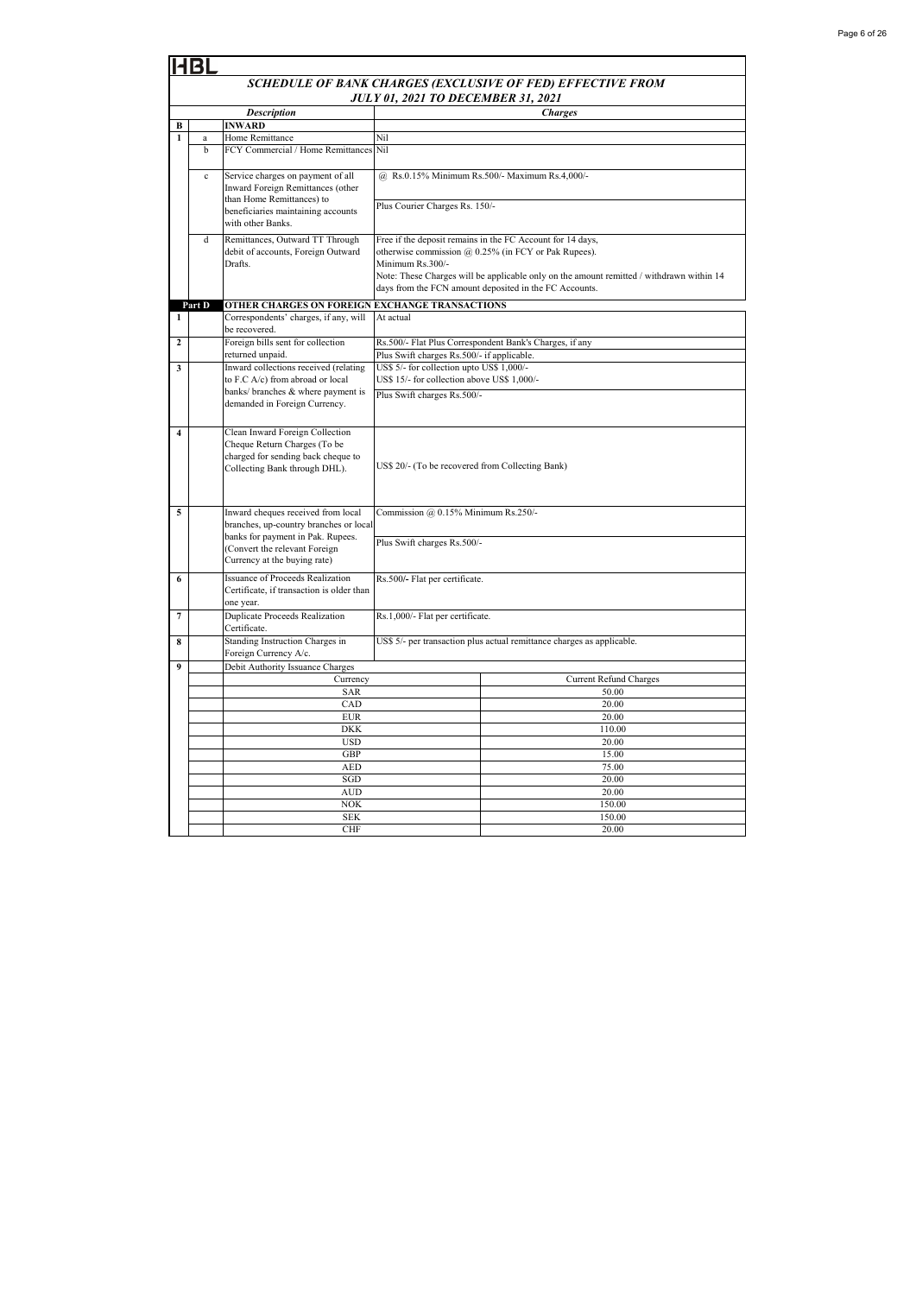|                                                            | <b>HBL</b>                                                                                                         |                                                                                  |                                                                                                                                                                                                                                    |                                                                        |  |  |  |
|------------------------------------------------------------|--------------------------------------------------------------------------------------------------------------------|----------------------------------------------------------------------------------|------------------------------------------------------------------------------------------------------------------------------------------------------------------------------------------------------------------------------------|------------------------------------------------------------------------|--|--|--|
|                                                            | SCHEDULE OF BANK CHARGES (EXCLUSIVE OF FED) EFFECTIVE FROM                                                         |                                                                                  |                                                                                                                                                                                                                                    |                                                                        |  |  |  |
|                                                            | <b>JULY 01, 2021 TO DECEMBER 31, 2021</b>                                                                          |                                                                                  |                                                                                                                                                                                                                                    |                                                                        |  |  |  |
|                                                            |                                                                                                                    | <b>Description</b>                                                               |                                                                                                                                                                                                                                    | <b>Charges</b>                                                         |  |  |  |
| В                                                          |                                                                                                                    | <b>INWARD</b>                                                                    |                                                                                                                                                                                                                                    |                                                                        |  |  |  |
| $\mathbf{1}$                                               | $\rm{a}$                                                                                                           | Home Remittance                                                                  | Nil                                                                                                                                                                                                                                |                                                                        |  |  |  |
|                                                            | b                                                                                                                  | FCY Commercial / Home Remittances                                                | Nil                                                                                                                                                                                                                                |                                                                        |  |  |  |
|                                                            | Service charges on payment of all<br>$\mathbf c$<br>Inward Foreign Remittances (other<br>than Home Remittances) to |                                                                                  |                                                                                                                                                                                                                                    | @ Rs.0.15% Minimum Rs.500/- Maximum Rs.4,000/-                         |  |  |  |
|                                                            |                                                                                                                    | beneficiaries maintaining accounts<br>with other Banks.                          | Plus Courier Charges Rs. 150/-                                                                                                                                                                                                     |                                                                        |  |  |  |
|                                                            | d                                                                                                                  | Remittances, Outward TT Through<br>debit of accounts, Foreign Outward<br>Drafts. | Free if the deposit remains in the FC Account for 14 days,<br>otherwise commission @ 0.25% (in FCY or Pak Rupees).<br>Minimum Rs.300/-<br>Note: These Charges will be applicable only on the amount remitted / withdrawn within 14 |                                                                        |  |  |  |
|                                                            |                                                                                                                    | days from the FCN amount deposited in the FC Accounts.                           |                                                                                                                                                                                                                                    |                                                                        |  |  |  |
|                                                            | Part D                                                                                                             | OTHER CHARGES ON FOREIGN EXCHANGE TRANSACTIONS                                   |                                                                                                                                                                                                                                    |                                                                        |  |  |  |
| 1                                                          |                                                                                                                    | Correspondents' charges, if any, will<br>be recovered.                           | At actual                                                                                                                                                                                                                          |                                                                        |  |  |  |
| $\overline{2}$                                             |                                                                                                                    | Foreign bills sent for collection<br>returned unpaid.                            | Plus Swift charges Rs.500/- if applicable.                                                                                                                                                                                         | Rs.500/- Flat Plus Correspondent Bank's Charges, if any                |  |  |  |
| 3                                                          |                                                                                                                    | Inward collections received (relating                                            | US\$ 5/- for collection upto US\$ 1,000/-                                                                                                                                                                                          |                                                                        |  |  |  |
|                                                            |                                                                                                                    | to F.C A/c) from abroad or local                                                 | US\$ 15/- for collection above US\$ 1,000/-                                                                                                                                                                                        |                                                                        |  |  |  |
|                                                            |                                                                                                                    | banks/ branches & where payment is                                               | Plus Swift charges Rs.500/-                                                                                                                                                                                                        |                                                                        |  |  |  |
|                                                            |                                                                                                                    | demanded in Foreign Currency.                                                    |                                                                                                                                                                                                                                    |                                                                        |  |  |  |
| $\overline{\mathbf{4}}$<br>Clean Inward Foreign Collection |                                                                                                                    |                                                                                  |                                                                                                                                                                                                                                    |                                                                        |  |  |  |
|                                                            |                                                                                                                    | Cheque Return Charges (To be                                                     |                                                                                                                                                                                                                                    |                                                                        |  |  |  |
|                                                            |                                                                                                                    | charged for sending back cheque to<br>Collecting Bank through DHL).              | US\$ 20/- (To be recovered from Collecting Bank)                                                                                                                                                                                   |                                                                        |  |  |  |
|                                                            |                                                                                                                    |                                                                                  |                                                                                                                                                                                                                                    |                                                                        |  |  |  |
|                                                            |                                                                                                                    |                                                                                  |                                                                                                                                                                                                                                    |                                                                        |  |  |  |
| 5                                                          |                                                                                                                    | Inward cheques received from local                                               | Commission @ 0.15% Minimum Rs.250/-<br>Plus Swift charges Rs.500/-                                                                                                                                                                 |                                                                        |  |  |  |
|                                                            |                                                                                                                    | branches, up-country branches or local                                           |                                                                                                                                                                                                                                    |                                                                        |  |  |  |
|                                                            |                                                                                                                    | banks for payment in Pak. Rupees.                                                |                                                                                                                                                                                                                                    |                                                                        |  |  |  |
|                                                            |                                                                                                                    | (Convert the relevant Foreign<br>Currency at the buying rate)                    |                                                                                                                                                                                                                                    |                                                                        |  |  |  |
| 6                                                          |                                                                                                                    | <b>Issuance of Proceeds Realization</b>                                          | Rs.500/- Flat per certificate.                                                                                                                                                                                                     |                                                                        |  |  |  |
|                                                            |                                                                                                                    | Certificate, if transaction is older than                                        |                                                                                                                                                                                                                                    |                                                                        |  |  |  |
| 7                                                          |                                                                                                                    | one year.<br><b>Duplicate Proceeds Realization</b>                               | Rs.1,000/- Flat per certificate.                                                                                                                                                                                                   |                                                                        |  |  |  |
|                                                            |                                                                                                                    | Certificate.                                                                     |                                                                                                                                                                                                                                    |                                                                        |  |  |  |
| 8                                                          |                                                                                                                    | Standing Instruction Charges in<br>Foreign Currency A/c.                         |                                                                                                                                                                                                                                    | US\$ 5/- per transaction plus actual remittance charges as applicable. |  |  |  |
| 9                                                          |                                                                                                                    | Debit Authority Issuance Charges                                                 |                                                                                                                                                                                                                                    |                                                                        |  |  |  |
|                                                            |                                                                                                                    | Currency                                                                         |                                                                                                                                                                                                                                    | <b>Current Refund Charges</b>                                          |  |  |  |
|                                                            |                                                                                                                    | <b>SAR</b>                                                                       |                                                                                                                                                                                                                                    | 50.00                                                                  |  |  |  |
|                                                            |                                                                                                                    | CAD<br><b>EUR</b>                                                                |                                                                                                                                                                                                                                    | 20.00<br>20.00                                                         |  |  |  |
|                                                            |                                                                                                                    | <b>DKK</b>                                                                       |                                                                                                                                                                                                                                    | 110.00                                                                 |  |  |  |
|                                                            |                                                                                                                    | <b>USD</b>                                                                       | 20.00                                                                                                                                                                                                                              |                                                                        |  |  |  |
|                                                            |                                                                                                                    | GBP                                                                              |                                                                                                                                                                                                                                    | 15.00                                                                  |  |  |  |
|                                                            |                                                                                                                    | AED                                                                              |                                                                                                                                                                                                                                    | 75.00                                                                  |  |  |  |
|                                                            |                                                                                                                    | SGD                                                                              |                                                                                                                                                                                                                                    | 20.00                                                                  |  |  |  |
|                                                            |                                                                                                                    | <b>AUD</b>                                                                       |                                                                                                                                                                                                                                    | 20.00                                                                  |  |  |  |
|                                                            |                                                                                                                    | <b>NOK</b><br><b>SEK</b>                                                         |                                                                                                                                                                                                                                    | 150.00<br>150.00                                                       |  |  |  |
|                                                            |                                                                                                                    | <b>CHF</b>                                                                       |                                                                                                                                                                                                                                    |                                                                        |  |  |  |
|                                                            |                                                                                                                    |                                                                                  | 20.00                                                                                                                                                                                                                              |                                                                        |  |  |  |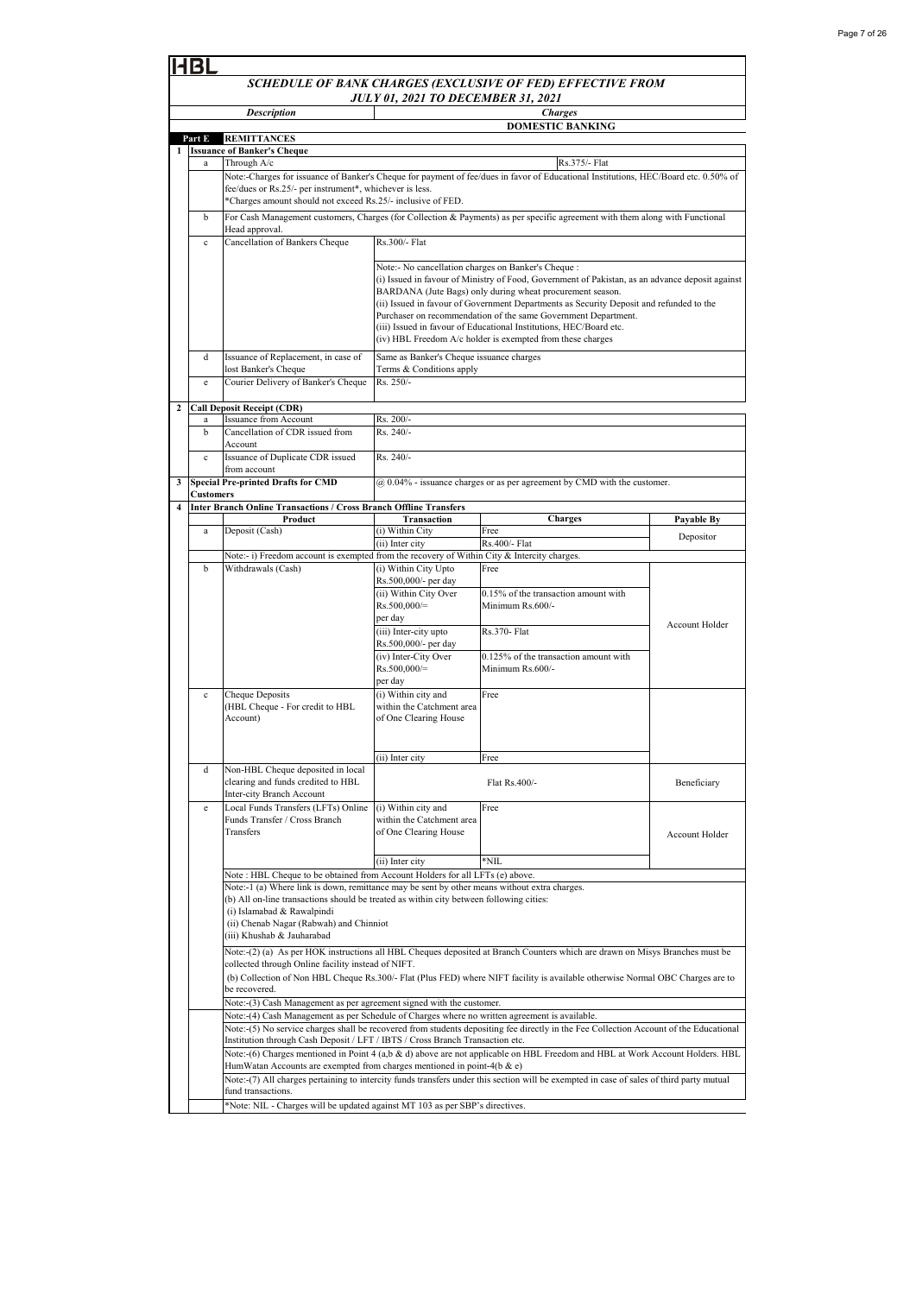|                                                                                                                                                           | SCHEDULE OF BANK CHARGES (EXCLUSIVE OF FED) EFFECTIVE FROM                                                                                                                           |                                                                                                                                     |                                               |                                                                                                                                                        |                |  |  |  |  |
|-----------------------------------------------------------------------------------------------------------------------------------------------------------|--------------------------------------------------------------------------------------------------------------------------------------------------------------------------------------|-------------------------------------------------------------------------------------------------------------------------------------|-----------------------------------------------|--------------------------------------------------------------------------------------------------------------------------------------------------------|----------------|--|--|--|--|
|                                                                                                                                                           |                                                                                                                                                                                      |                                                                                                                                     | <b>JULY 01, 2021 TO DECEMBER 31, 2021</b>     |                                                                                                                                                        |                |  |  |  |  |
|                                                                                                                                                           |                                                                                                                                                                                      | <b>Description</b>                                                                                                                  |                                               | <b>Charges</b>                                                                                                                                         |                |  |  |  |  |
|                                                                                                                                                           |                                                                                                                                                                                      |                                                                                                                                     |                                               | <b>DOMESTIC BANKING</b>                                                                                                                                |                |  |  |  |  |
|                                                                                                                                                           | Part E                                                                                                                                                                               | <b>REMITTANCES</b><br><b>Issuance of Banker's Cheque</b>                                                                            |                                               |                                                                                                                                                        |                |  |  |  |  |
|                                                                                                                                                           | a                                                                                                                                                                                    | Through A/c                                                                                                                         |                                               | Rs.375/- Flat                                                                                                                                          |                |  |  |  |  |
|                                                                                                                                                           |                                                                                                                                                                                      | Note:-Charges for issuance of Banker's Cheque for payment of fee/dues in favor of Educational Institutions, HEC/Board etc. 0.50% of |                                               |                                                                                                                                                        |                |  |  |  |  |
|                                                                                                                                                           |                                                                                                                                                                                      | fee/dues or Rs.25/- per instrument*, whichever is less.<br>*Charges amount should not exceed Rs.25/- inclusive of FED.              |                                               |                                                                                                                                                        |                |  |  |  |  |
|                                                                                                                                                           | $\mathbf b$                                                                                                                                                                          |                                                                                                                                     |                                               |                                                                                                                                                        |                |  |  |  |  |
|                                                                                                                                                           |                                                                                                                                                                                      | Head approval.                                                                                                                      |                                               | For Cash Management customers, Charges (for Collection & Payments) as per specific agreement with them along with Functional                           |                |  |  |  |  |
|                                                                                                                                                           | $\mathbf{c}$                                                                                                                                                                         | Cancellation of Bankers Cheque                                                                                                      |                                               |                                                                                                                                                        |                |  |  |  |  |
|                                                                                                                                                           |                                                                                                                                                                                      |                                                                                                                                     |                                               |                                                                                                                                                        |                |  |  |  |  |
|                                                                                                                                                           |                                                                                                                                                                                      |                                                                                                                                     |                                               | Note:- No cancellation charges on Banker's Cheque :<br>(i) Issued in favour of Ministry of Food, Government of Pakistan, as an advance deposit against |                |  |  |  |  |
|                                                                                                                                                           |                                                                                                                                                                                      |                                                                                                                                     |                                               | BARDANA (Jute Bags) only during wheat procurement season.                                                                                              |                |  |  |  |  |
| (ii) Issued in favour of Government Departments as Security Deposit and refunded to the<br>Purchaser on recommendation of the same Government Department. |                                                                                                                                                                                      |                                                                                                                                     |                                               |                                                                                                                                                        |                |  |  |  |  |
| (iii) Issued in favour of Educational Institutions, HEC/Board etc.                                                                                        |                                                                                                                                                                                      |                                                                                                                                     |                                               |                                                                                                                                                        |                |  |  |  |  |
|                                                                                                                                                           |                                                                                                                                                                                      |                                                                                                                                     |                                               | (iv) HBL Freedom A/c holder is exempted from these charges                                                                                             |                |  |  |  |  |
|                                                                                                                                                           | d                                                                                                                                                                                    | Issuance of Replacement, in case of                                                                                                 | Same as Banker's Cheque issuance charges      |                                                                                                                                                        |                |  |  |  |  |
|                                                                                                                                                           |                                                                                                                                                                                      | lost Banker's Cheque                                                                                                                | Terms & Conditions apply                      |                                                                                                                                                        |                |  |  |  |  |
|                                                                                                                                                           | e                                                                                                                                                                                    | Courier Delivery of Banker's Cheque                                                                                                 | Rs. 250/-                                     |                                                                                                                                                        |                |  |  |  |  |
| $\boldsymbol{2}$                                                                                                                                          |                                                                                                                                                                                      | <b>Call Deposit Receipt (CDR)</b>                                                                                                   |                                               |                                                                                                                                                        |                |  |  |  |  |
|                                                                                                                                                           | a                                                                                                                                                                                    | Issuance from Account                                                                                                               | Rs. 200/-<br>Rs. 240/-                        |                                                                                                                                                        |                |  |  |  |  |
|                                                                                                                                                           | $\mathbf b$                                                                                                                                                                          | Cancellation of CDR issued from<br>Account                                                                                          |                                               |                                                                                                                                                        |                |  |  |  |  |
|                                                                                                                                                           | $\mathbf{c}$                                                                                                                                                                         | Issuance of Duplicate CDR issued                                                                                                    | Rs. 240/-                                     |                                                                                                                                                        |                |  |  |  |  |
|                                                                                                                                                           |                                                                                                                                                                                      | from account                                                                                                                        |                                               |                                                                                                                                                        |                |  |  |  |  |
| 3                                                                                                                                                         | <b>Customers</b>                                                                                                                                                                     | <b>Special Pre-printed Drafts for CMD</b>                                                                                           |                                               | @ 0.04% - issuance charges or as per agreement by CMD with the customer.                                                                               |                |  |  |  |  |
| $\overline{\mathbf{4}}$                                                                                                                                   |                                                                                                                                                                                      | <b>Inter Branch Online Transactions / Cross Branch Offline Transfers</b>                                                            |                                               |                                                                                                                                                        |                |  |  |  |  |
|                                                                                                                                                           |                                                                                                                                                                                      | Product                                                                                                                             | Transaction                                   | <b>Charges</b>                                                                                                                                         | Payable By     |  |  |  |  |
|                                                                                                                                                           | a                                                                                                                                                                                    | Deposit (Cash)                                                                                                                      | (i) Within City<br>(ii) Inter city            | Free<br>Rs.400/- Flat                                                                                                                                  | Depositor      |  |  |  |  |
|                                                                                                                                                           |                                                                                                                                                                                      | Note:- i) Freedom account is exempted from the recovery of Within City & Intercity charges.                                         |                                               |                                                                                                                                                        |                |  |  |  |  |
|                                                                                                                                                           | $\mathbf b$                                                                                                                                                                          | Withdrawals (Cash)                                                                                                                  | (i) Within City Upto                          | Free                                                                                                                                                   |                |  |  |  |  |
|                                                                                                                                                           |                                                                                                                                                                                      |                                                                                                                                     | Rs.500,000/- per day<br>(ii) Within City Over | 0.15% of the transaction amount with                                                                                                                   |                |  |  |  |  |
|                                                                                                                                                           |                                                                                                                                                                                      |                                                                                                                                     | $Rs.500,000/=$                                | Minimum Rs.600/-                                                                                                                                       |                |  |  |  |  |
|                                                                                                                                                           |                                                                                                                                                                                      |                                                                                                                                     | per day                                       |                                                                                                                                                        | Account Holder |  |  |  |  |
|                                                                                                                                                           |                                                                                                                                                                                      |                                                                                                                                     | (iii) Inter-city upto<br>Rs.500,000/- per day | Rs.370- Flat                                                                                                                                           |                |  |  |  |  |
|                                                                                                                                                           |                                                                                                                                                                                      |                                                                                                                                     | (iv) Inter-City Over                          | $0.125\%$ of the transaction amount with                                                                                                               |                |  |  |  |  |
|                                                                                                                                                           |                                                                                                                                                                                      |                                                                                                                                     | Rs.500,000/=                                  | Minimum Rs.600/-                                                                                                                                       |                |  |  |  |  |
|                                                                                                                                                           | $\mathbf c$                                                                                                                                                                          | Cheque Deposits                                                                                                                     | per day<br>(i) Within city and                | Free                                                                                                                                                   |                |  |  |  |  |
|                                                                                                                                                           |                                                                                                                                                                                      | (HBL Cheque - For credit to HBL                                                                                                     | within the Catchment area                     |                                                                                                                                                        |                |  |  |  |  |
|                                                                                                                                                           |                                                                                                                                                                                      | Account)                                                                                                                            | of One Clearing House                         |                                                                                                                                                        |                |  |  |  |  |
|                                                                                                                                                           |                                                                                                                                                                                      |                                                                                                                                     |                                               |                                                                                                                                                        |                |  |  |  |  |
|                                                                                                                                                           |                                                                                                                                                                                      |                                                                                                                                     | (ii) Inter city                               | Free                                                                                                                                                   |                |  |  |  |  |
|                                                                                                                                                           | d                                                                                                                                                                                    | Non-HBL Cheque deposited in local                                                                                                   |                                               |                                                                                                                                                        |                |  |  |  |  |
|                                                                                                                                                           |                                                                                                                                                                                      | clearing and funds credited to HBL<br>Inter-city Branch Account                                                                     |                                               | Flat Rs.400/-                                                                                                                                          | Beneficiary    |  |  |  |  |
|                                                                                                                                                           | $\mathbf e$                                                                                                                                                                          | Local Funds Transfers (LFTs) Online                                                                                                 | (i) Within city and                           | Free                                                                                                                                                   |                |  |  |  |  |
|                                                                                                                                                           |                                                                                                                                                                                      | Funds Transfer / Cross Branch                                                                                                       | within the Catchment area                     |                                                                                                                                                        |                |  |  |  |  |
|                                                                                                                                                           |                                                                                                                                                                                      | Transfers                                                                                                                           | of One Clearing House                         |                                                                                                                                                        | Account Holder |  |  |  |  |
|                                                                                                                                                           |                                                                                                                                                                                      |                                                                                                                                     |                                               |                                                                                                                                                        |                |  |  |  |  |
|                                                                                                                                                           |                                                                                                                                                                                      | Note: HBL Cheque to be obtained from Account Holders for all LFTs (e) above.                                                        | (ii) Inter city                               | $*$ NIL                                                                                                                                                |                |  |  |  |  |
|                                                                                                                                                           |                                                                                                                                                                                      | Note:-1 (a) Where link is down, remittance may be sent by other means without extra charges.                                        |                                               |                                                                                                                                                        |                |  |  |  |  |
|                                                                                                                                                           |                                                                                                                                                                                      | (b) All on-line transactions should be treated as within city between following cities:                                             |                                               |                                                                                                                                                        |                |  |  |  |  |
|                                                                                                                                                           |                                                                                                                                                                                      | (i) Islamabad & Rawalpindi<br>(ii) Chenab Nagar (Rabwah) and Chinniot                                                               |                                               |                                                                                                                                                        |                |  |  |  |  |
|                                                                                                                                                           | (iii) Khushab & Jauharabad                                                                                                                                                           |                                                                                                                                     |                                               |                                                                                                                                                        |                |  |  |  |  |
|                                                                                                                                                           |                                                                                                                                                                                      |                                                                                                                                     |                                               | Note:-(2) (a) As per HOK instructions all HBL Cheques deposited at Branch Counters which are drawn on Misys Branches must be                           |                |  |  |  |  |
|                                                                                                                                                           | collected through Online facility instead of NIFT.<br>(b) Collection of Non HBL Cheque Rs.300/- Flat (Plus FED) where NIFT facility is available otherwise Normal OBC Charges are to |                                                                                                                                     |                                               |                                                                                                                                                        |                |  |  |  |  |
|                                                                                                                                                           |                                                                                                                                                                                      | be recovered.                                                                                                                       |                                               |                                                                                                                                                        |                |  |  |  |  |
|                                                                                                                                                           |                                                                                                                                                                                      | Note:-(3) Cash Management as per agreement signed with the customer.                                                                |                                               |                                                                                                                                                        |                |  |  |  |  |
|                                                                                                                                                           |                                                                                                                                                                                      | Note:-(4) Cash Management as per Schedule of Charges where no written agreement is available.                                       |                                               |                                                                                                                                                        |                |  |  |  |  |
|                                                                                                                                                           |                                                                                                                                                                                      | Institution through Cash Deposit / LFT / IBTS / Cross Branch Transaction etc.                                                       |                                               | Note:-(5) No service charges shall be recovered from students depositing fee directly in the Fee Collection Account of the Educational                 |                |  |  |  |  |
|                                                                                                                                                           |                                                                                                                                                                                      |                                                                                                                                     |                                               | Note:-(6) Charges mentioned in Point 4 (a,b & d) above are not applicable on HBL Freedom and HBL at Work Account Holders. HBL                          |                |  |  |  |  |
|                                                                                                                                                           |                                                                                                                                                                                      | HumWatan Accounts are exempted from charges mentioned in point-4(b & e)                                                             |                                               |                                                                                                                                                        |                |  |  |  |  |
|                                                                                                                                                           |                                                                                                                                                                                      | fund transactions.                                                                                                                  |                                               | Note:-(7) All charges pertaining to intercity funds transfers under this section will be exempted in case of sales of third party mutual               |                |  |  |  |  |
|                                                                                                                                                           |                                                                                                                                                                                      | *Note: NIL - Charges will be updated against MT 103 as per SBP's directives.                                                        |                                               |                                                                                                                                                        |                |  |  |  |  |
|                                                                                                                                                           |                                                                                                                                                                                      |                                                                                                                                     |                                               |                                                                                                                                                        |                |  |  |  |  |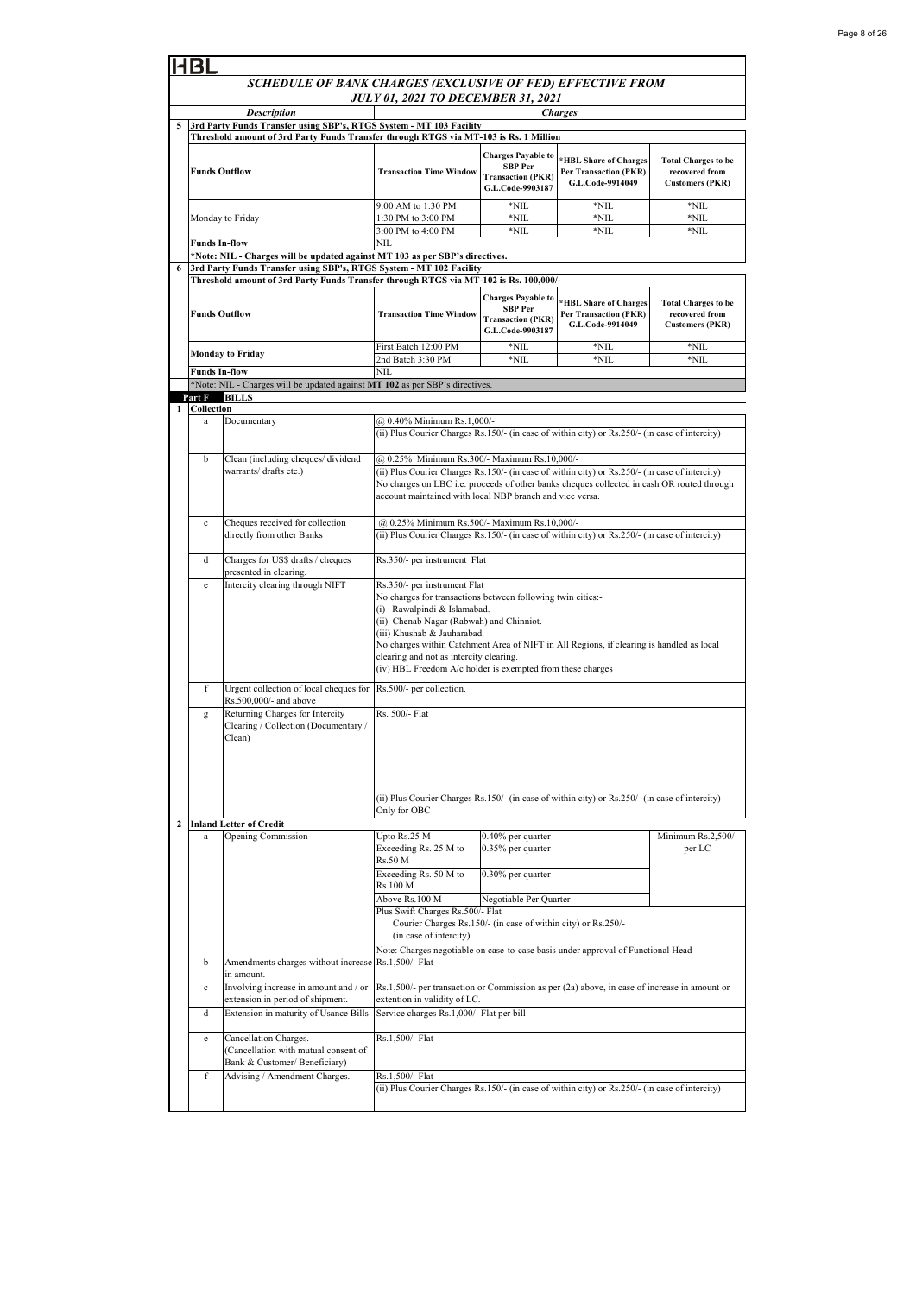|                | <b>HBL</b>                                                                                                  |                                                                                                |                                                                                                                                                                                                                                                                                                                                                                                                            |                                                                                             |                                                                    |                                                                        |  |
|----------------|-------------------------------------------------------------------------------------------------------------|------------------------------------------------------------------------------------------------|------------------------------------------------------------------------------------------------------------------------------------------------------------------------------------------------------------------------------------------------------------------------------------------------------------------------------------------------------------------------------------------------------------|---------------------------------------------------------------------------------------------|--------------------------------------------------------------------|------------------------------------------------------------------------|--|
|                |                                                                                                             | SCHEDULE OF BANK CHARGES (EXCLUSIVE OF FED) EFFECTIVE FROM                                     |                                                                                                                                                                                                                                                                                                                                                                                                            |                                                                                             |                                                                    |                                                                        |  |
|                |                                                                                                             |                                                                                                | <b>JULY 01, 2021 TO DECEMBER 31, 2021</b>                                                                                                                                                                                                                                                                                                                                                                  |                                                                                             |                                                                    |                                                                        |  |
| 5              | <b>Description</b><br><b>Charges</b><br>3rd Party Funds Transfer using SBP's, RTGS System - MT 103 Facility |                                                                                                |                                                                                                                                                                                                                                                                                                                                                                                                            |                                                                                             |                                                                    |                                                                        |  |
|                |                                                                                                             | Threshold amount of 3rd Party Funds Transfer through RTGS via MT-103 is Rs. 1 Million          |                                                                                                                                                                                                                                                                                                                                                                                                            |                                                                                             |                                                                    |                                                                        |  |
|                | <b>Funds Outflow</b>                                                                                        |                                                                                                | <b>Transaction Time Window</b>                                                                                                                                                                                                                                                                                                                                                                             | <b>Charges Payable to</b><br><b>SBP</b> Per<br><b>Transaction (PKR)</b><br>G.L.Code-9903187 | *HBL Share of Charges<br>Per Transaction (PKR)<br>G.L.Code-9914049 | <b>Total Charges to be</b><br>recovered from<br><b>Customers (PKR)</b> |  |
|                |                                                                                                             |                                                                                                | 9:00 AM to 1:30 PM                                                                                                                                                                                                                                                                                                                                                                                         | *NIL                                                                                        | $*$ NIL                                                            | *NIL                                                                   |  |
|                |                                                                                                             | Monday to Friday                                                                               | 1:30 PM to 3:00 PM                                                                                                                                                                                                                                                                                                                                                                                         | *NIL                                                                                        | *NIL                                                               | $*$ NIL                                                                |  |
|                |                                                                                                             |                                                                                                | 3:00 PM to 4:00 PM                                                                                                                                                                                                                                                                                                                                                                                         | $*$ NIL                                                                                     | $*$ NIL                                                            | $*$ NIL                                                                |  |
|                | Funds In-flow                                                                                               | *Note: NIL - Charges will be updated against MT 103 as per SBP's directives.                   | NIL                                                                                                                                                                                                                                                                                                                                                                                                        |                                                                                             |                                                                    |                                                                        |  |
| 6              |                                                                                                             | 3rd Party Funds Transfer using SBP's, RTGS System - MT 102 Facility                            |                                                                                                                                                                                                                                                                                                                                                                                                            |                                                                                             |                                                                    |                                                                        |  |
|                |                                                                                                             | Threshold amount of 3rd Party Funds Transfer through RTGS via MT-102 is Rs. 100,000/-          |                                                                                                                                                                                                                                                                                                                                                                                                            |                                                                                             |                                                                    |                                                                        |  |
|                | <b>Funds Outflow</b>                                                                                        |                                                                                                | <b>Transaction Time Window</b>                                                                                                                                                                                                                                                                                                                                                                             | <b>Charges Payable to</b><br><b>SBP</b> Per<br><b>Transaction (PKR)</b><br>G.L.Code-9903187 | *HBL Share of Charges<br>Per Transaction (PKR)<br>G.L.Code-9914049 | <b>Total Charges to be</b><br>recovered from<br><b>Customers (PKR)</b> |  |
|                |                                                                                                             | <b>Monday to Friday</b>                                                                        | First Batch 12:00 PM                                                                                                                                                                                                                                                                                                                                                                                       | $*$ NIL                                                                                     | $*$ NIL                                                            | *NIL                                                                   |  |
|                | <b>Funds In-flow</b>                                                                                        |                                                                                                | 2nd Batch 3:30 PM<br>NIL                                                                                                                                                                                                                                                                                                                                                                                   | $*$ NIL                                                                                     | $*$ NIL                                                            | $*$ NIL                                                                |  |
|                |                                                                                                             | *Note: NIL - Charges will be updated against MT 102 as per SBP's directives.                   |                                                                                                                                                                                                                                                                                                                                                                                                            |                                                                                             |                                                                    |                                                                        |  |
|                | Part F                                                                                                      | <b>BILLS</b>                                                                                   |                                                                                                                                                                                                                                                                                                                                                                                                            |                                                                                             |                                                                    |                                                                        |  |
|                | 1 Collection<br>a                                                                                           | Documentary                                                                                    | @ 0.40% Minimum Rs.1,000/-                                                                                                                                                                                                                                                                                                                                                                                 |                                                                                             |                                                                    |                                                                        |  |
|                |                                                                                                             |                                                                                                | (ii) Plus Courier Charges Rs.150/- (in case of within city) or Rs.250/- (in case of intercity)                                                                                                                                                                                                                                                                                                             |                                                                                             |                                                                    |                                                                        |  |
|                | b                                                                                                           | Clean (including cheques/ dividend<br>warrants/ drafts etc.)                                   | @ 0.25% Minimum Rs.300/- Maximum Rs.10,000/-<br>(ii) Plus Courier Charges Rs.150/- (in case of within city) or Rs.250/- (in case of intercity)                                                                                                                                                                                                                                                             |                                                                                             |                                                                    |                                                                        |  |
|                |                                                                                                             |                                                                                                | No charges on LBC i.e. proceeds of other banks cheques collected in cash OR routed through<br>account maintained with local NBP branch and vice versa.                                                                                                                                                                                                                                                     |                                                                                             |                                                                    |                                                                        |  |
|                | c                                                                                                           | Cheques received for collection                                                                | @ 0.25% Minimum Rs.500/- Maximum Rs.10,000/-                                                                                                                                                                                                                                                                                                                                                               |                                                                                             |                                                                    |                                                                        |  |
|                |                                                                                                             | directly from other Banks                                                                      | (ii) Plus Courier Charges Rs.150/- (in case of within city) or Rs.250/- (in case of intercity)                                                                                                                                                                                                                                                                                                             |                                                                                             |                                                                    |                                                                        |  |
|                | d                                                                                                           | Charges for US\$ drafts / cheques<br>presented in clearing.                                    | Rs.350/- per instrument Flat                                                                                                                                                                                                                                                                                                                                                                               |                                                                                             |                                                                    |                                                                        |  |
|                | e                                                                                                           | Intercity clearing through NIFT                                                                | Rs.350/- per instrument Flat<br>No charges for transactions between following twin cities:-<br>(i) Rawalpindi & Islamabad.<br>(ii) Chenab Nagar (Rabwah) and Chinniot.<br>(iii) Khushab & Jauharabad.<br>No charges within Catchment Area of NIFT in All Regions, if clearing is handled as local<br>clearing and not as intercity clearing.<br>(iv) HBL Freedom A/c holder is exempted from these charges |                                                                                             |                                                                    |                                                                        |  |
|                | f                                                                                                           | Urgent collection of local cheques for<br>Rs.500,000/- and above                               | Rs.500/- per collection.                                                                                                                                                                                                                                                                                                                                                                                   |                                                                                             |                                                                    |                                                                        |  |
|                | g                                                                                                           | Returning Charges for Intercity<br>Clearing / Collection (Documentary /<br>Clean)              | Rs. 500/- Flat                                                                                                                                                                                                                                                                                                                                                                                             |                                                                                             |                                                                    |                                                                        |  |
|                |                                                                                                             |                                                                                                | (ii) Plus Courier Charges Rs.150/- (in case of within city) or Rs.250/- (in case of intercity)<br>Only for OBC                                                                                                                                                                                                                                                                                             |                                                                                             |                                                                    |                                                                        |  |
| $\overline{c}$ | a                                                                                                           | <b>Inland Letter of Credit</b><br>Opening Commission                                           | Upto Rs.25 M                                                                                                                                                                                                                                                                                                                                                                                               | 0.40% per quarter                                                                           |                                                                    | Minimum Rs.2,500/-                                                     |  |
|                |                                                                                                             |                                                                                                | Exceeding Rs. 25 M to<br>Rs.50 M                                                                                                                                                                                                                                                                                                                                                                           | 0.35% per quarter                                                                           |                                                                    | per LC                                                                 |  |
|                |                                                                                                             |                                                                                                | Exceeding Rs. 50 M to<br>Rs.100 M                                                                                                                                                                                                                                                                                                                                                                          | 0.30% per quarter                                                                           |                                                                    |                                                                        |  |
|                |                                                                                                             |                                                                                                | Above Rs.100 M                                                                                                                                                                                                                                                                                                                                                                                             | Negotiable Per Quarter                                                                      |                                                                    |                                                                        |  |
|                |                                                                                                             |                                                                                                | Plus Swift Charges Rs.500/- Flat<br>Courier Charges Rs.150/- (in case of within city) or Rs.250/-<br>(in case of intercity)                                                                                                                                                                                                                                                                                |                                                                                             |                                                                    |                                                                        |  |
|                |                                                                                                             |                                                                                                | Note: Charges negotiable on case-to-case basis under approval of Functional Head                                                                                                                                                                                                                                                                                                                           |                                                                                             |                                                                    |                                                                        |  |
|                | b                                                                                                           | Amendments charges without increase                                                            | Rs.1,500/- Flat                                                                                                                                                                                                                                                                                                                                                                                            |                                                                                             |                                                                    |                                                                        |  |
|                | c                                                                                                           | in amount.<br>Involving increase in amount and / or                                            | Rs.1,500/- per transaction or Commission as per (2a) above, in case of increase in amount or                                                                                                                                                                                                                                                                                                               |                                                                                             |                                                                    |                                                                        |  |
|                | d                                                                                                           | extension in period of shipment.<br>Extension in maturity of Usance Bills                      | extention in validity of LC.<br>Service charges Rs.1,000/- Flat per bill                                                                                                                                                                                                                                                                                                                                   |                                                                                             |                                                                    |                                                                        |  |
|                |                                                                                                             |                                                                                                |                                                                                                                                                                                                                                                                                                                                                                                                            |                                                                                             |                                                                    |                                                                        |  |
|                | e                                                                                                           | Cancellation Charges.<br>(Cancellation with mutual consent of<br>Bank & Customer/ Beneficiary) | Rs.1,500/- Flat                                                                                                                                                                                                                                                                                                                                                                                            |                                                                                             |                                                                    |                                                                        |  |
|                | f                                                                                                           | Advising / Amendment Charges.                                                                  | Rs.1,500/- Flat<br>(ii) Plus Courier Charges Rs.150/- (in case of within city) or Rs.250/- (in case of intercity)                                                                                                                                                                                                                                                                                          |                                                                                             |                                                                    |                                                                        |  |
|                |                                                                                                             |                                                                                                |                                                                                                                                                                                                                                                                                                                                                                                                            |                                                                                             |                                                                    |                                                                        |  |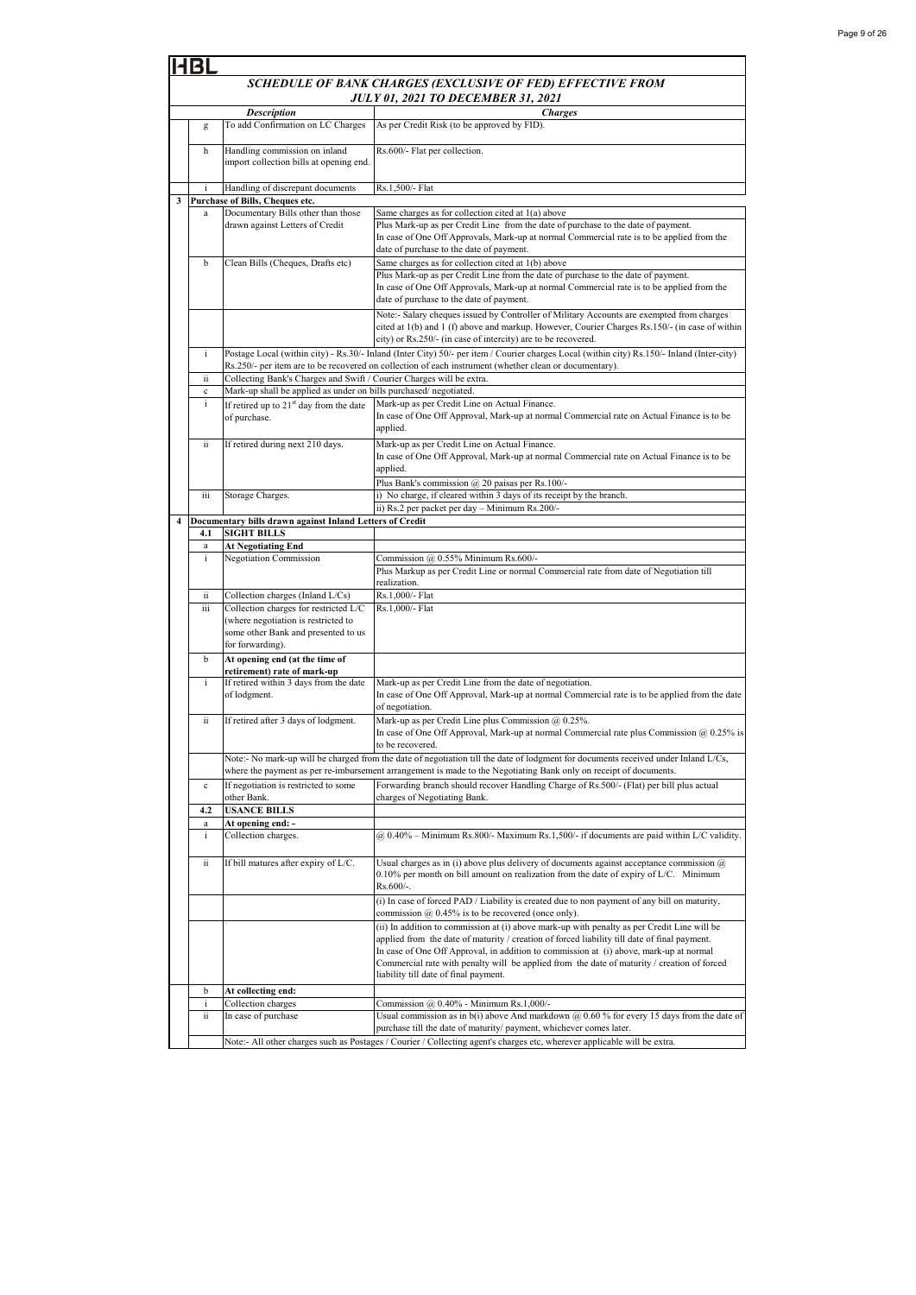|   | SCHEDULE OF BANK CHARGES (EXCLUSIVE OF FED) EFFECTIVE FROM |                                                                                                                                                                                                                                                         |                                                                                                                                                                                                                                                                                                                                                                                                                               |  |  |  |
|---|------------------------------------------------------------|---------------------------------------------------------------------------------------------------------------------------------------------------------------------------------------------------------------------------------------------------------|-------------------------------------------------------------------------------------------------------------------------------------------------------------------------------------------------------------------------------------------------------------------------------------------------------------------------------------------------------------------------------------------------------------------------------|--|--|--|
|   | <b>JULY 01, 2021 TO DECEMBER 31, 2021</b>                  |                                                                                                                                                                                                                                                         |                                                                                                                                                                                                                                                                                                                                                                                                                               |  |  |  |
|   |                                                            | <b>Description</b>                                                                                                                                                                                                                                      | <b>Charges</b>                                                                                                                                                                                                                                                                                                                                                                                                                |  |  |  |
|   | g                                                          | To add Confirmation on LC Charges                                                                                                                                                                                                                       | As per Credit Risk (to be approved by FID).                                                                                                                                                                                                                                                                                                                                                                                   |  |  |  |
|   | h                                                          | Handling commission on inland<br>import collection bills at opening end.                                                                                                                                                                                | Rs.600/- Flat per collection.                                                                                                                                                                                                                                                                                                                                                                                                 |  |  |  |
|   |                                                            | Handling of discrepant documents                                                                                                                                                                                                                        | Rs.1,500/- Flat                                                                                                                                                                                                                                                                                                                                                                                                               |  |  |  |
| 3 | $\mathbf{a}$                                               | Purchase of Bills, Cheques etc.<br>Documentary Bills other than those                                                                                                                                                                                   | Same charges as for collection cited at 1(a) above                                                                                                                                                                                                                                                                                                                                                                            |  |  |  |
|   |                                                            | drawn against Letters of Credit                                                                                                                                                                                                                         | Plus Mark-up as per Credit Line from the date of purchase to the date of payment.<br>In case of One Off Approvals, Mark-up at normal Commercial rate is to be applied from the<br>date of purchase to the date of payment.                                                                                                                                                                                                    |  |  |  |
|   | b                                                          | Clean Bills (Cheques, Drafts etc)                                                                                                                                                                                                                       | Same charges as for collection cited at 1(b) above<br>Plus Mark-up as per Credit Line from the date of purchase to the date of payment.<br>In case of One Off Approvals, Mark-up at normal Commercial rate is to be applied from the<br>date of purchase to the date of payment.                                                                                                                                              |  |  |  |
|   |                                                            |                                                                                                                                                                                                                                                         | Note:- Salary cheques issued by Controller of Military Accounts are exempted from charges<br>cited at 1(b) and 1 (f) above and markup. However, Courier Charges Rs.150/- (in case of within<br>city) or Rs.250/- (in case of intercity) are to be recovered.                                                                                                                                                                  |  |  |  |
|   | i                                                          |                                                                                                                                                                                                                                                         | Postage Local (within city) - Rs.30/- Inland (Inter City) 50/- per item / Courier charges Local (within city) Rs.150/- Inland (Inter-city)<br>Rs.250/- per item are to be recovered on collection of each instrument (whether clean or documentary).                                                                                                                                                                          |  |  |  |
|   | ii<br>c                                                    | Collecting Bank's Charges and Swift / Courier Charges will be extra.<br>Mark-up shall be applied as under on bills purchased/negotiated.                                                                                                                |                                                                                                                                                                                                                                                                                                                                                                                                                               |  |  |  |
|   | i                                                          | If retired up to $21st$ day from the date                                                                                                                                                                                                               | Mark-up as per Credit Line on Actual Finance.                                                                                                                                                                                                                                                                                                                                                                                 |  |  |  |
|   |                                                            | of purchase.                                                                                                                                                                                                                                            | In case of One Off Approval, Mark-up at normal Commercial rate on Actual Finance is to be<br>applied.                                                                                                                                                                                                                                                                                                                         |  |  |  |
|   | ii                                                         | If retired during next 210 days.                                                                                                                                                                                                                        | Mark-up as per Credit Line on Actual Finance.<br>In case of One Off Approval, Mark-up at normal Commercial rate on Actual Finance is to be<br>applied.<br>Plus Bank's commission @ 20 paisas per Rs.100/-                                                                                                                                                                                                                     |  |  |  |
|   | iii                                                        | Storage Charges.                                                                                                                                                                                                                                        | i) No charge, if cleared within 3 days of its receipt by the branch.                                                                                                                                                                                                                                                                                                                                                          |  |  |  |
|   |                                                            |                                                                                                                                                                                                                                                         | ii) Rs.2 per packet per day - Minimum Rs.200/-                                                                                                                                                                                                                                                                                                                                                                                |  |  |  |
| 4 | 4.1                                                        | Documentary bills drawn against Inland Letters of Credit<br><b>SIGHT BILLS</b>                                                                                                                                                                          |                                                                                                                                                                                                                                                                                                                                                                                                                               |  |  |  |
|   | a                                                          | <b>At Negotiating End</b>                                                                                                                                                                                                                               |                                                                                                                                                                                                                                                                                                                                                                                                                               |  |  |  |
|   | $\mathbf{i}$                                               | <b>Negotiation Commission</b>                                                                                                                                                                                                                           | Commission @ 0.55% Minimum Rs.600/-                                                                                                                                                                                                                                                                                                                                                                                           |  |  |  |
|   |                                                            |                                                                                                                                                                                                                                                         | Plus Markup as per Credit Line or normal Commercial rate from date of Negotiation till<br>realization.                                                                                                                                                                                                                                                                                                                        |  |  |  |
|   | ii                                                         | Collection charges (Inland L/Cs)                                                                                                                                                                                                                        | Rs.1,000/- Flat                                                                                                                                                                                                                                                                                                                                                                                                               |  |  |  |
|   | iii                                                        | Collection charges for restricted L/C<br>(where negotiation is restricted to<br>some other Bank and presented to us<br>for forwarding).                                                                                                                 | Rs.1,000/- Flat                                                                                                                                                                                                                                                                                                                                                                                                               |  |  |  |
|   | b                                                          | At opening end (at the time of                                                                                                                                                                                                                          |                                                                                                                                                                                                                                                                                                                                                                                                                               |  |  |  |
|   | i                                                          | retirement) rate of mark-up<br>If retired within 3 days from the date<br>of lodgment.                                                                                                                                                                   | Mark-up as per Credit Line from the date of negotiation.<br>In case of One Off Approval, Mark-up at normal Commercial rate is to be applied from the date<br>of negotiation.                                                                                                                                                                                                                                                  |  |  |  |
|   | ii                                                         | If retired after 3 days of lodgment.                                                                                                                                                                                                                    | Mark-up as per Credit Line plus Commission @ 0.25%.<br>In case of One Off Approval, Mark-up at normal Commercial rate plus Commission $@0.25\%$ is<br>to be recovered.                                                                                                                                                                                                                                                        |  |  |  |
|   |                                                            | Note:- No mark-up will be charged from the date of negotiation till the date of lodgment for documents received under Inland L/Cs,<br>where the payment as per re-imbursement arrangement is made to the Negotiating Bank only on receipt of documents. |                                                                                                                                                                                                                                                                                                                                                                                                                               |  |  |  |
|   | $\mathbf c$                                                | If negotiation is restricted to some<br>other Bank.                                                                                                                                                                                                     | Forwarding branch should recover Handling Charge of Rs.500/- (Flat) per bill plus actual<br>charges of Negotiating Bank.                                                                                                                                                                                                                                                                                                      |  |  |  |
|   | 4.2                                                        | <b>USANCE BILLS</b>                                                                                                                                                                                                                                     |                                                                                                                                                                                                                                                                                                                                                                                                                               |  |  |  |
|   | a<br>i                                                     | At opening end: -<br>Collection charges.                                                                                                                                                                                                                | $(a)$ 0.40% – Minimum Rs.800/- Maximum Rs.1,500/- if documents are paid within L/C validity.                                                                                                                                                                                                                                                                                                                                  |  |  |  |
|   | ii                                                         | If bill matures after expiry of L/C.                                                                                                                                                                                                                    | Usual charges as in (i) above plus delivery of documents against acceptance commission $(a)$<br>$0.10\%$ per month on bill amount on realization from the date of expiry of L/C. Minimum<br>Rs.600/-.                                                                                                                                                                                                                         |  |  |  |
|   |                                                            |                                                                                                                                                                                                                                                         | (i) In case of forced PAD / Liability is created due to non payment of any bill on maturity,<br>commission $@$ 0.45% is to be recovered (once only).                                                                                                                                                                                                                                                                          |  |  |  |
|   |                                                            |                                                                                                                                                                                                                                                         | (ii) In addition to commission at (i) above mark-up with penalty as per Credit Line will be<br>applied from the date of maturity / creation of forced liability till date of final payment.<br>In case of One Off Approval, in addition to commission at (i) above, mark-up at normal<br>Commercial rate with penalty will be applied from the date of maturity / creation of forced<br>liability till date of final payment. |  |  |  |
|   | b                                                          | At collecting end:                                                                                                                                                                                                                                      |                                                                                                                                                                                                                                                                                                                                                                                                                               |  |  |  |
|   | i<br>ii.                                                   | Collection charges<br>In case of purchase                                                                                                                                                                                                               | Commission $@$ 0.40% - Minimum Rs.1,000/-<br>Usual commission as in $b(i)$ above And markdown $@$ 0.60% for every 15 days from the date of<br>purchase till the date of maturity/ payment, whichever comes later.                                                                                                                                                                                                             |  |  |  |
|   |                                                            | Note:- All other charges such as Postages / Courier / Collecting agent's charges etc, wherever applicable will be extra.                                                                                                                                |                                                                                                                                                                                                                                                                                                                                                                                                                               |  |  |  |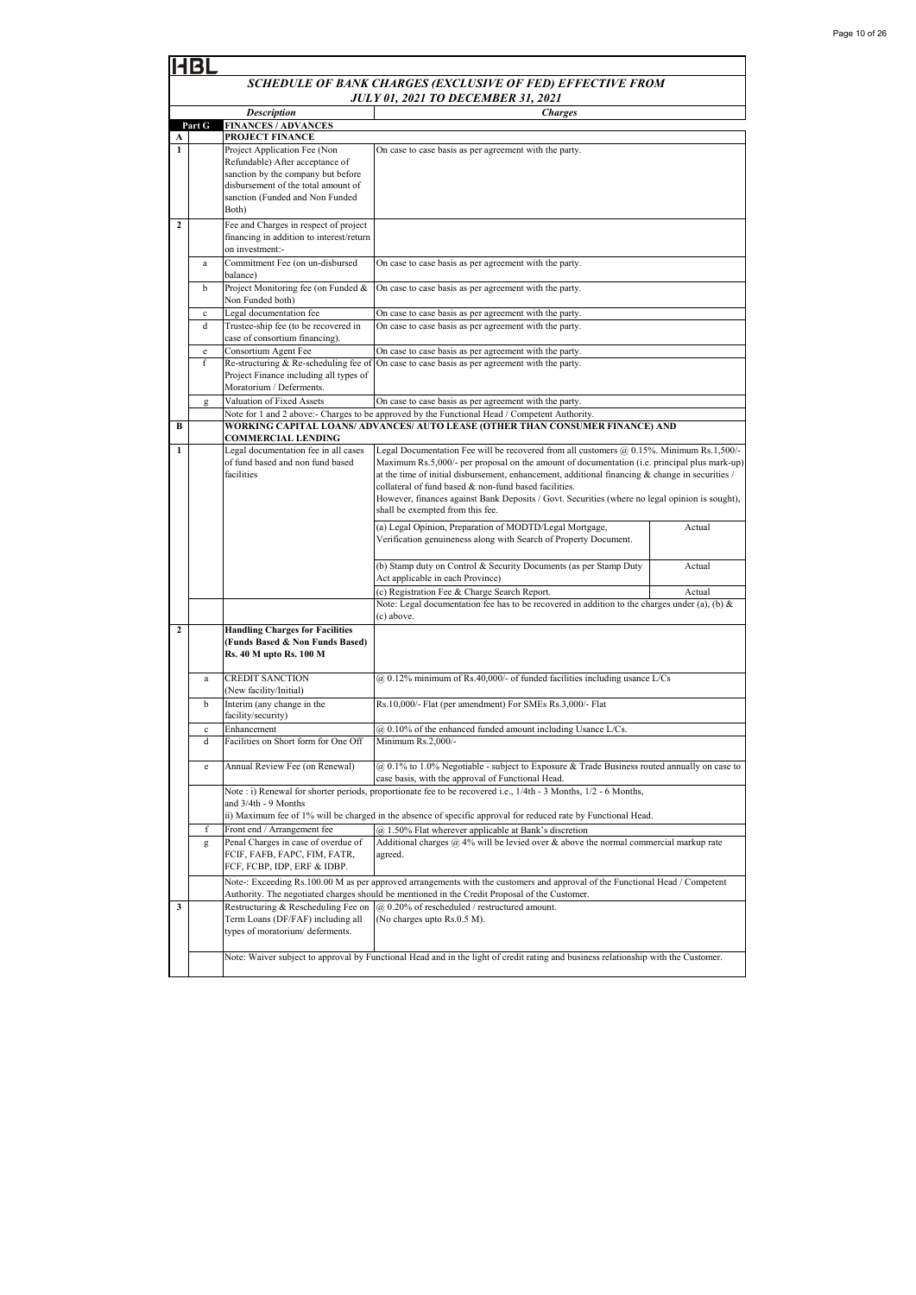|                | BI                                                         |                                                                                                                                                                                          |                                                                                                                                                                                                                                                                                                                                                                                                                                                                                               |        |  |
|----------------|------------------------------------------------------------|------------------------------------------------------------------------------------------------------------------------------------------------------------------------------------------|-----------------------------------------------------------------------------------------------------------------------------------------------------------------------------------------------------------------------------------------------------------------------------------------------------------------------------------------------------------------------------------------------------------------------------------------------------------------------------------------------|--------|--|
|                | SCHEDULE OF BANK CHARGES (EXCLUSIVE OF FED) EFFECTIVE FROM |                                                                                                                                                                                          |                                                                                                                                                                                                                                                                                                                                                                                                                                                                                               |        |  |
|                | <b>JULY 01, 2021 TO DECEMBER 31, 2021</b>                  |                                                                                                                                                                                          |                                                                                                                                                                                                                                                                                                                                                                                                                                                                                               |        |  |
|                | Part G                                                     | <b>Description</b><br><b>FINANCES / ADVANCES</b>                                                                                                                                         | <b>Charges</b>                                                                                                                                                                                                                                                                                                                                                                                                                                                                                |        |  |
| A              |                                                            | PROJECT FINANCE                                                                                                                                                                          |                                                                                                                                                                                                                                                                                                                                                                                                                                                                                               |        |  |
| 1              |                                                            | Project Application Fee (Non<br>Refundable) After acceptance of<br>sanction by the company but before<br>disbursement of the total amount of<br>sanction (Funded and Non Funded<br>Both) | On case to case basis as per agreement with the party.                                                                                                                                                                                                                                                                                                                                                                                                                                        |        |  |
| $\mathbf{2}$   |                                                            | Fee and Charges in respect of project<br>financing in addition to interest/return<br>on investment:-                                                                                     |                                                                                                                                                                                                                                                                                                                                                                                                                                                                                               |        |  |
|                | a                                                          | Commitment Fee (on un-disbursed<br>balance)                                                                                                                                              | On case to case basis as per agreement with the party.                                                                                                                                                                                                                                                                                                                                                                                                                                        |        |  |
|                | b                                                          | Project Monitoring fee (on Funded &<br>Non Funded both)                                                                                                                                  | On case to case basis as per agreement with the party.                                                                                                                                                                                                                                                                                                                                                                                                                                        |        |  |
|                | $\mathbf c$                                                | Legal documentation fee                                                                                                                                                                  | On case to case basis as per agreement with the party.                                                                                                                                                                                                                                                                                                                                                                                                                                        |        |  |
|                | d                                                          | Trustee-ship fee (to be recovered in<br>case of consortium financing).                                                                                                                   | On case to case basis as per agreement with the party.                                                                                                                                                                                                                                                                                                                                                                                                                                        |        |  |
|                | e                                                          | Consortium Agent Fee                                                                                                                                                                     | On case to case basis as per agreement with the party.                                                                                                                                                                                                                                                                                                                                                                                                                                        |        |  |
|                | f                                                          | Re-structuring & Re-scheduling fee of<br>Project Finance including all types of<br>Moratorium / Deferments.                                                                              | On case to case basis as per agreement with the party.                                                                                                                                                                                                                                                                                                                                                                                                                                        |        |  |
|                | g                                                          | Valuation of Fixed Assets                                                                                                                                                                | On case to case basis as per agreement with the party.                                                                                                                                                                                                                                                                                                                                                                                                                                        |        |  |
|                |                                                            |                                                                                                                                                                                          | Note for 1 and 2 above:- Charges to be approved by the Functional Head / Competent Authority.                                                                                                                                                                                                                                                                                                                                                                                                 |        |  |
| в              |                                                            | <b>COMMERCIAL LENDING</b>                                                                                                                                                                | WORKING CAPITAL LOANS/ ADVANCES/ AUTO LEASE (OTHER THAN CONSUMER FINANCE) AND                                                                                                                                                                                                                                                                                                                                                                                                                 |        |  |
| $\mathbf{1}$   |                                                            | Legal documentation fee in all cases<br>of fund based and non fund based<br>facilities                                                                                                   | Legal Documentation Fee will be recovered from all customers @ 0.15%. Minimum Rs.1,500/-<br>Maximum Rs.5,000/- per proposal on the amount of documentation (i.e. principal plus mark-up)<br>at the time of initial disbursement, enhancement, additional financing $\&$ change in securities /<br>collateral of fund based & non-fund based facilities.<br>However, finances against Bank Deposits / Govt. Securities (where no legal opinion is sought),<br>shall be exempted from this fee. |        |  |
|                |                                                            |                                                                                                                                                                                          | (a) Legal Opinion, Preparation of MODTD/Legal Mortgage,<br>Verification genuineness along with Search of Property Document.                                                                                                                                                                                                                                                                                                                                                                   | Actual |  |
|                |                                                            |                                                                                                                                                                                          | (b) Stamp duty on Control & Security Documents (as per Stamp Duty<br>Act applicable in each Province)                                                                                                                                                                                                                                                                                                                                                                                         | Actual |  |
|                |                                                            |                                                                                                                                                                                          | (c) Registration Fee & Charge Search Report.<br>Note: Legal documentation fee has to be recovered in addition to the charges under (a), (b) &                                                                                                                                                                                                                                                                                                                                                 | Actual |  |
|                |                                                            |                                                                                                                                                                                          | (c) above.                                                                                                                                                                                                                                                                                                                                                                                                                                                                                    |        |  |
| $\overline{c}$ |                                                            | <b>Handling Charges for Facilities</b><br>(Funds Based & Non Funds Based)<br>Rs. 40 M upto Rs. 100 M                                                                                     |                                                                                                                                                                                                                                                                                                                                                                                                                                                                                               |        |  |
|                | a                                                          | <b>CREDIT SANCTION</b><br>(New facility/Initial)                                                                                                                                         | $@$ 0.12% minimum of Rs.40,000/- of funded facilities including usance L/Cs                                                                                                                                                                                                                                                                                                                                                                                                                   |        |  |
|                | b                                                          | Interim (any change in the<br>facility/security)                                                                                                                                         | Rs.10,000/- Flat (per amendment) For SMEs Rs.3,000/- Flat                                                                                                                                                                                                                                                                                                                                                                                                                                     |        |  |
|                | c                                                          | Enhancement                                                                                                                                                                              | @ 0.10% of the enhanced funded amount including Usance L/Cs.                                                                                                                                                                                                                                                                                                                                                                                                                                  |        |  |
|                | α                                                          | Facilities on Short form for One Off                                                                                                                                                     | $M$ inimum $\text{Ks.2,000/-}$                                                                                                                                                                                                                                                                                                                                                                                                                                                                |        |  |
|                | e                                                          | Annual Review Fee (on Renewal)                                                                                                                                                           | @ 0.1% to 1.0% Negotiable - subject to Exposure & Trade Business routed annually on case to<br>case basis, with the approval of Functional Head.                                                                                                                                                                                                                                                                                                                                              |        |  |
|                |                                                            | and 3/4th - 9 Months                                                                                                                                                                     | Note : i) Renewal for shorter periods, proportionate fee to be recovered i.e., 1/4th - 3 Months, 1/2 - 6 Months,                                                                                                                                                                                                                                                                                                                                                                              |        |  |
|                |                                                            |                                                                                                                                                                                          | ii) Maximum fee of 1% will be charged in the absence of specific approval for reduced rate by Functional Head.                                                                                                                                                                                                                                                                                                                                                                                |        |  |
|                | f<br>g                                                     | Front end / Arrangement fee<br>Penal Charges in case of overdue of<br>FCIF, FAFB, FAPC, FIM, FATR,<br>FCF, FCBP, IDP, ERF & IDBP.                                                        | @ 1.50% Flat wherever applicable at Bank's discretion<br>Additional charges $@$ 4% will be levied over $&$ above the normal commercial markup rate<br>agreed.                                                                                                                                                                                                                                                                                                                                 |        |  |
| 3              |                                                            | Restructuring & Rescheduling Fee on                                                                                                                                                      | Note-: Exceeding Rs.100.00 M as per approved arrangements with the customers and approval of the Functional Head / Competent<br>Authority. The negotiated charges should be mentioned in the Credit Proposal of the Customer.<br>@ 0.20% of rescheduled / restructured amount.                                                                                                                                                                                                                |        |  |
|                |                                                            | Term Loans (DF/FAF) including all<br>types of moratorium/ deferments.                                                                                                                    | (No charges upto Rs.0.5 M).                                                                                                                                                                                                                                                                                                                                                                                                                                                                   |        |  |
|                |                                                            |                                                                                                                                                                                          | Note: Waiver subject to approval by Functional Head and in the light of credit rating and business relationship with the Customer.                                                                                                                                                                                                                                                                                                                                                            |        |  |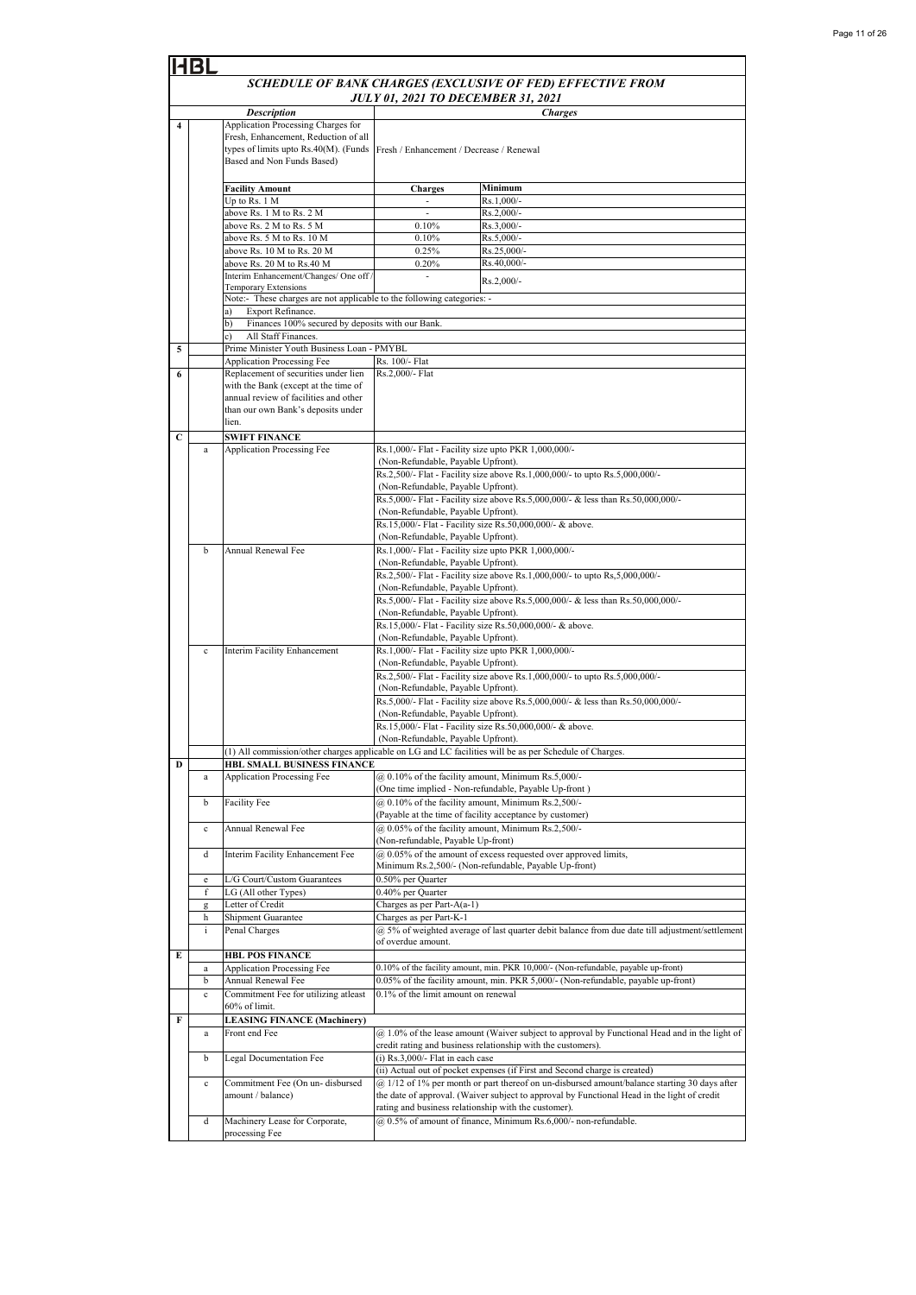|   | <b>BL</b>   |                                                                                                                                                                                                           |                                           |                                                                                                                                                                                             |  |
|---|-------------|-----------------------------------------------------------------------------------------------------------------------------------------------------------------------------------------------------------|-------------------------------------------|---------------------------------------------------------------------------------------------------------------------------------------------------------------------------------------------|--|
|   |             |                                                                                                                                                                                                           |                                           | SCHEDULE OF BANK CHARGES (EXCLUSIVE OF FED) EFFECTIVE FROM                                                                                                                                  |  |
|   |             |                                                                                                                                                                                                           | <b>JULY 01, 2021 TO DECEMBER 31, 2021</b> |                                                                                                                                                                                             |  |
|   |             | <b>Description</b>                                                                                                                                                                                        |                                           | <b>Charges</b>                                                                                                                                                                              |  |
| 4 |             | Application Processing Charges for<br>Fresh, Enhancement, Reduction of all<br>types of limits upto Rs.40(M). (Funds<br>Based and Non Funds Based)                                                         | Fresh / Enhancement / Decrease / Renewal  |                                                                                                                                                                                             |  |
|   |             | <b>Facility Amount</b>                                                                                                                                                                                    | <b>Charges</b>                            | Minimum                                                                                                                                                                                     |  |
|   |             | Up to Rs. 1 M                                                                                                                                                                                             |                                           | Rs.1,000/-                                                                                                                                                                                  |  |
|   |             | above Rs. 1 M to Rs. 2 M                                                                                                                                                                                  | ÷,                                        | Rs.2,000/-<br>Rs.3,000/-                                                                                                                                                                    |  |
|   |             | above Rs. 2 M to Rs. 5 M<br>above Rs. 5 M to Rs. 10 M                                                                                                                                                     | 0.10%<br>0.10%                            | Rs.5,000/-                                                                                                                                                                                  |  |
|   |             | above Rs. 10 M to Rs. 20 M                                                                                                                                                                                | 0.25%                                     | Rs.25,000/-                                                                                                                                                                                 |  |
|   |             | above Rs. 20 M to Rs.40 M                                                                                                                                                                                 | 0.20%                                     | Rs.40,000/-                                                                                                                                                                                 |  |
|   |             | Interim Enhancement/Changes/ One off                                                                                                                                                                      | ÷,                                        | Rs.2,000/-                                                                                                                                                                                  |  |
|   |             | <b>Temporary Extensions</b><br>Note:- These charges are not applicable to the following categories: -                                                                                                     |                                           |                                                                                                                                                                                             |  |
|   |             | Export Refinance.<br>a)                                                                                                                                                                                   |                                           |                                                                                                                                                                                             |  |
|   |             | Finances 100% secured by deposits with our Bank.<br>b)                                                                                                                                                    |                                           |                                                                                                                                                                                             |  |
|   |             | All Staff Finances.<br>c).                                                                                                                                                                                |                                           |                                                                                                                                                                                             |  |
| 5 |             | Prime Minister Youth Business Loan - PMYBL                                                                                                                                                                |                                           |                                                                                                                                                                                             |  |
| 6 |             | <b>Application Processing Fee</b><br>Replacement of securities under lien<br>with the Bank (except at the time of<br>annual review of facilities and other<br>than our own Bank's deposits under<br>lien. | Rs. 100/- Flat<br>Rs.2,000/- Flat         |                                                                                                                                                                                             |  |
| C |             | <b>SWIFT FINANCE</b><br>Application Processing Fee                                                                                                                                                        |                                           | Rs.1,000/- Flat - Facility size upto PKR 1,000,000/-                                                                                                                                        |  |
|   | a           |                                                                                                                                                                                                           | (Non-Refundable, Payable Upfront).        |                                                                                                                                                                                             |  |
|   |             |                                                                                                                                                                                                           |                                           | Rs.2,500/- Flat - Facility size above Rs.1,000,000/- to upto Rs.5,000,000/-                                                                                                                 |  |
|   |             |                                                                                                                                                                                                           | (Non-Refundable, Payable Upfront).        |                                                                                                                                                                                             |  |
|   |             |                                                                                                                                                                                                           |                                           | Rs.5,000/- Flat - Facility size above Rs.5,000,000/- & less than Rs.50,000,000/-                                                                                                            |  |
|   |             |                                                                                                                                                                                                           | (Non-Refundable, Payable Upfront).        |                                                                                                                                                                                             |  |
|   |             |                                                                                                                                                                                                           | (Non-Refundable, Payable Upfront).        | Rs.15,000/- Flat - Facility size Rs.50,000,000/- & above.                                                                                                                                   |  |
|   | b           | Annual Renewal Fee                                                                                                                                                                                        |                                           | Rs.1,000/- Flat - Facility size upto PKR 1,000,000/-                                                                                                                                        |  |
|   |             |                                                                                                                                                                                                           | (Non-Refundable, Payable Upfront).        |                                                                                                                                                                                             |  |
|   |             |                                                                                                                                                                                                           |                                           | Rs.2,500/- Flat - Facility size above Rs.1,000,000/- to upto Rs,5,000,000/-                                                                                                                 |  |
|   |             |                                                                                                                                                                                                           | (Non-Refundable, Payable Upfront).        |                                                                                                                                                                                             |  |
|   |             |                                                                                                                                                                                                           | (Non-Refundable, Payable Upfront).        | Rs.5,000/- Flat - Facility size above Rs.5,000,000/- & less than Rs.50,000,000/-                                                                                                            |  |
|   |             |                                                                                                                                                                                                           |                                           | Rs.15,000/- Flat - Facility size Rs.50,000,000/- & above.                                                                                                                                   |  |
|   |             |                                                                                                                                                                                                           | (Non-Refundable, Payable Upfront).        |                                                                                                                                                                                             |  |
|   | $\mathbf c$ | Interim Facility Enhancement                                                                                                                                                                              |                                           | Rs.1,000/- Flat - Facility size upto PKR 1,000,000/-                                                                                                                                        |  |
|   |             |                                                                                                                                                                                                           | (Non-Refundable, Payable Upfront).        |                                                                                                                                                                                             |  |
|   |             |                                                                                                                                                                                                           | (Non-Refundable, Payable Upfront).        | Rs.2,500/- Flat - Facility size above Rs.1,000,000/- to upto Rs.5,000,000/-                                                                                                                 |  |
|   |             |                                                                                                                                                                                                           |                                           | Rs.5,000/- Flat - Facility size above Rs.5,000,000/- & less than Rs.50,000,000/-                                                                                                            |  |
|   |             |                                                                                                                                                                                                           | (Non-Refundable, Payable Upfront).        |                                                                                                                                                                                             |  |
|   |             |                                                                                                                                                                                                           |                                           | Rs.15,000/- Flat - Facility size Rs.50,000,000/- & above.                                                                                                                                   |  |
|   |             |                                                                                                                                                                                                           | (Non-Refundable, Payable Upfront).        |                                                                                                                                                                                             |  |
| D |             | HBL SMALL BUSINESS FINANCE                                                                                                                                                                                |                                           | (1) All commission/other charges applicable on LG and LC facilities will be as per Schedule of Charges.                                                                                     |  |
|   | a           | Application Processing Fee                                                                                                                                                                                |                                           | @ 0.10% of the facility amount, Minimum Rs.5,000/-                                                                                                                                          |  |
|   |             |                                                                                                                                                                                                           |                                           | (One time implied - Non-refundable, Payable Up-front)                                                                                                                                       |  |
|   | b           | Facility Fee                                                                                                                                                                                              |                                           | @ 0.10% of the facility amount, Minimum Rs.2,500/-                                                                                                                                          |  |
|   |             |                                                                                                                                                                                                           |                                           | (Payable at the time of facility acceptance by customer)                                                                                                                                    |  |
|   | $\mathbf c$ | Annual Renewal Fee                                                                                                                                                                                        | (Non-refundable, Payable Up-front)        | @ 0.05% of the facility amount, Minimum Rs.2,500/-                                                                                                                                          |  |
|   | d           | Interim Facility Enhancement Fee                                                                                                                                                                          |                                           | @ 0.05% of the amount of excess requested over approved limits,                                                                                                                             |  |
|   |             |                                                                                                                                                                                                           |                                           | Minimum Rs.2,500/- (Non-refundable, Payable Up-front)                                                                                                                                       |  |
|   | e           | L/G Court/Custom Guarantees                                                                                                                                                                               | 0.50% per Quarter                         |                                                                                                                                                                                             |  |
|   | f           | LG (All other Types)                                                                                                                                                                                      | 0.40% per Quarter                         |                                                                                                                                                                                             |  |
|   | g           | Letter of Credit                                                                                                                                                                                          | Charges as per Part-A(a-1)                |                                                                                                                                                                                             |  |
|   | h<br>i      | Shipment Guarantee<br>Penal Charges                                                                                                                                                                       | Charges as per Part-K-1                   | @ 5% of weighted average of last quarter debit balance from due date till adjustment/settlement                                                                                             |  |
|   |             |                                                                                                                                                                                                           | of overdue amount.                        |                                                                                                                                                                                             |  |
| E |             | <b>HBL POS FINANCE</b>                                                                                                                                                                                    |                                           |                                                                                                                                                                                             |  |
|   | a           | <b>Application Processing Fee</b>                                                                                                                                                                         |                                           | 0.10% of the facility amount, min. PKR 10,000/- (Non-refundable, payable up-front)                                                                                                          |  |
|   | b           | Annual Renewal Fee                                                                                                                                                                                        |                                           | 0.05% of the facility amount, min. PKR 5,000/- (Non-refundable, payable up-front)                                                                                                           |  |
|   | $\mathbf c$ | Commitment Fee for utilizing atleast<br>60% of limit.                                                                                                                                                     | 0.1% of the limit amount on renewal       |                                                                                                                                                                                             |  |
| F |             | <b>LEASING FINANCE (Machinery)</b>                                                                                                                                                                        |                                           |                                                                                                                                                                                             |  |
|   | a           | Front end Fee                                                                                                                                                                                             |                                           | (a) 1.0% of the lease amount (Waiver subject to approval by Functional Head and in the light of                                                                                             |  |
|   |             |                                                                                                                                                                                                           |                                           | credit rating and business relationship with the customers).                                                                                                                                |  |
|   | b           | Legal Documentation Fee                                                                                                                                                                                   | $(i)$ Rs.3,000/- Flat in each case        |                                                                                                                                                                                             |  |
|   |             |                                                                                                                                                                                                           |                                           | (ii) Actual out of pocket expenses (if First and Second charge is created)                                                                                                                  |  |
|   | $\mathbf c$ | Commitment Fee (On un- disbursed<br>amount / balance)                                                                                                                                                     |                                           | @ 1/12 of 1% per month or part thereof on un-disbursed amount/balance starting 30 days after<br>the date of approval. (Waiver subject to approval by Functional Head in the light of credit |  |
|   |             |                                                                                                                                                                                                           |                                           | rating and business relationship with the customer).                                                                                                                                        |  |
|   | d           | Machinery Lease for Corporate,                                                                                                                                                                            |                                           | @ 0.5% of amount of finance, Minimum Rs.6,000/- non-refundable.                                                                                                                             |  |
|   |             | processing Fee                                                                                                                                                                                            |                                           |                                                                                                                                                                                             |  |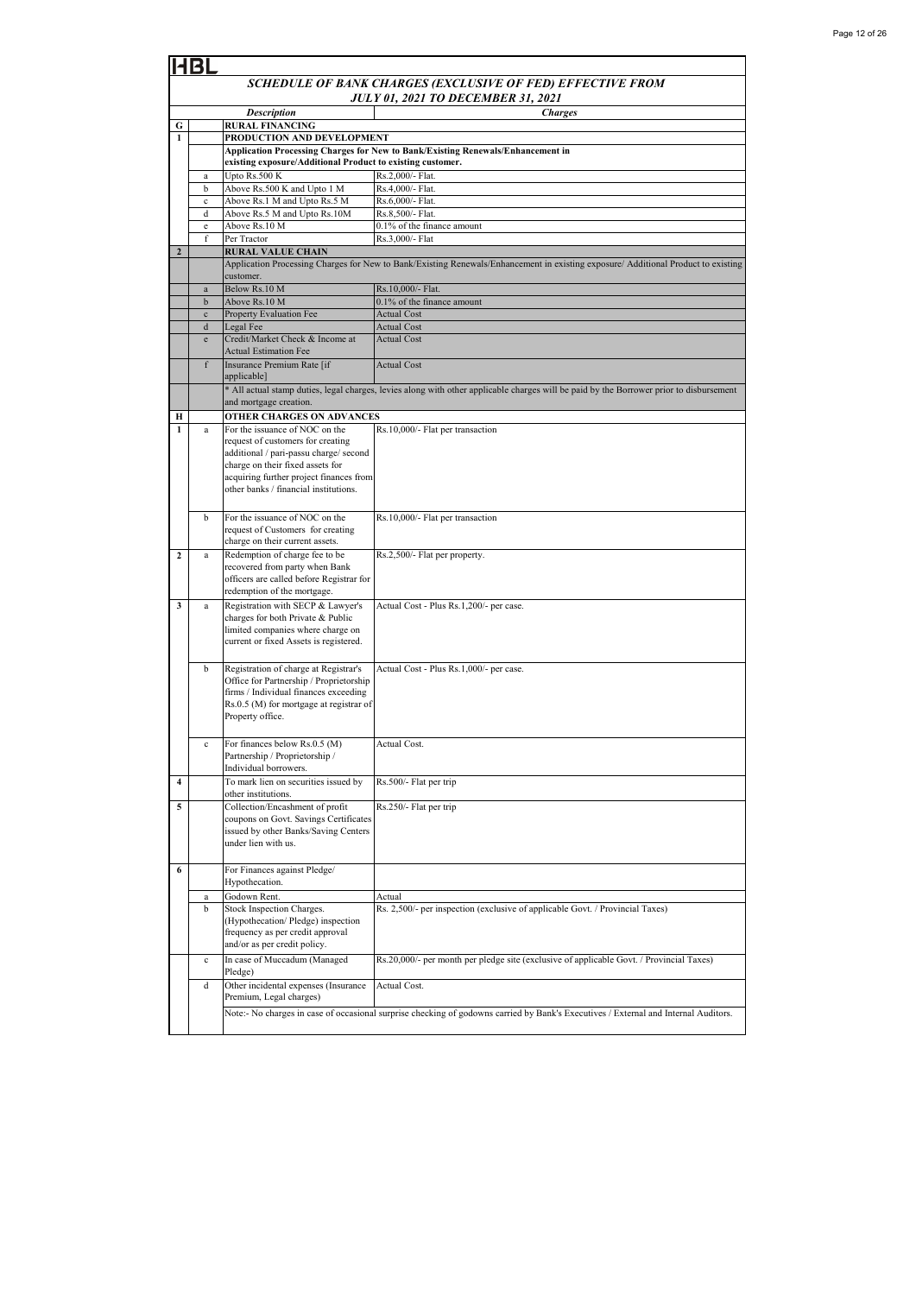|                  | SCHEDULE OF BANK CHARGES (EXCLUSIVE OF FED) EFFECTIVE FROM |                                                                                  |                                                                                                                                         |  |  |
|------------------|------------------------------------------------------------|----------------------------------------------------------------------------------|-----------------------------------------------------------------------------------------------------------------------------------------|--|--|
|                  |                                                            |                                                                                  | <b>JULY 01, 2021 TO DECEMBER 31, 2021</b>                                                                                               |  |  |
| G                |                                                            | <b>Description</b><br><b>RURAL FINANCING</b>                                     | <b>Charges</b>                                                                                                                          |  |  |
| $\mathbf{1}$     |                                                            | PRODUCTION AND DEVELOPMENT                                                       |                                                                                                                                         |  |  |
|                  |                                                            |                                                                                  | Application Processing Charges for New to Bank/Existing Renewals/Enhancement in                                                         |  |  |
|                  |                                                            | existing exposure/Additional Product to existing customer.                       |                                                                                                                                         |  |  |
|                  | $\mathbf{a}$<br>b                                          | Upto Rs.500 K<br>Above Rs.500 K and Upto 1 M                                     | Rs.2,000/- Flat.<br>Rs.4,000/- Flat.                                                                                                    |  |  |
|                  | $\mathbf c$                                                | Above Rs.1 M and Upto Rs.5 M                                                     | Rs.6,000/- Flat.                                                                                                                        |  |  |
|                  | d                                                          | Above Rs.5 M and Upto Rs.10M                                                     | Rs.8,500/- Flat.                                                                                                                        |  |  |
|                  | $\mathbf e$                                                | Above Rs.10 M                                                                    | 0.1% of the finance amount                                                                                                              |  |  |
| $\mathbf{2}$     | f                                                          | Per Tractor<br><b>RURAL VALUE CHAIN</b>                                          | Rs.3,000/- Flat                                                                                                                         |  |  |
|                  |                                                            |                                                                                  | Application Processing Charges for New to Bank/Existing Renewals/Enhancement in existing exposure/ Additional Product to existing       |  |  |
|                  |                                                            | customer.                                                                        |                                                                                                                                         |  |  |
|                  | $\mathbf{a}$                                               | Below Rs.10 M                                                                    | Rs.10,000/- Flat.                                                                                                                       |  |  |
|                  | $\mathbf b$<br>$\mathbf{c}$                                | Above Rs.10 M<br>Property Evaluation Fee                                         | 0.1% of the finance amount<br><b>Actual Cost</b>                                                                                        |  |  |
|                  | d                                                          | Legal Fee                                                                        | <b>Actual Cost</b>                                                                                                                      |  |  |
|                  | e                                                          | Credit/Market Check & Income at                                                  | <b>Actual Cost</b>                                                                                                                      |  |  |
|                  |                                                            | <b>Actual Estimation Fee</b>                                                     |                                                                                                                                         |  |  |
|                  | f                                                          | Insurance Premium Rate [if]<br>applicable]                                       | <b>Actual Cost</b>                                                                                                                      |  |  |
|                  |                                                            |                                                                                  | * All actual stamp duties, legal charges, levies along with other applicable charges will be paid by the Borrower prior to disbursement |  |  |
|                  |                                                            | and mortgage creation.                                                           |                                                                                                                                         |  |  |
| н                |                                                            | <b>OTHER CHARGES ON ADVANCES</b>                                                 |                                                                                                                                         |  |  |
|                  | $\mathbf{a}$                                               | For the issuance of NOC on the                                                   | Rs.10,000/- Flat per transaction                                                                                                        |  |  |
|                  |                                                            | request of customers for creating<br>additional / pari-passu charge/ second      |                                                                                                                                         |  |  |
|                  |                                                            | charge on their fixed assets for                                                 |                                                                                                                                         |  |  |
|                  |                                                            | acquiring further project finances from                                          |                                                                                                                                         |  |  |
|                  |                                                            | other banks / financial institutions.                                            |                                                                                                                                         |  |  |
|                  | b                                                          | For the issuance of NOC on the                                                   | Rs.10,000/- Flat per transaction                                                                                                        |  |  |
|                  |                                                            | request of Customers for creating                                                |                                                                                                                                         |  |  |
|                  |                                                            | charge on their current assets.                                                  |                                                                                                                                         |  |  |
| $\boldsymbol{2}$ | a                                                          | Redemption of charge fee to be                                                   | Rs.2,500/- Flat per property.                                                                                                           |  |  |
|                  |                                                            | recovered from party when Bank<br>officers are called before Registrar for       |                                                                                                                                         |  |  |
|                  |                                                            | redemption of the mortgage.                                                      |                                                                                                                                         |  |  |
| 3                | a                                                          | Registration with SECP & Lawyer's                                                | Actual Cost - Plus Rs.1,200/- per case.                                                                                                 |  |  |
|                  |                                                            | charges for both Private & Public                                                |                                                                                                                                         |  |  |
|                  |                                                            | limited companies where charge on<br>current or fixed Assets is registered.      |                                                                                                                                         |  |  |
|                  |                                                            |                                                                                  |                                                                                                                                         |  |  |
|                  | b                                                          | Registration of charge at Registrar's                                            | Actual Cost - Plus Rs.1,000/- per case.                                                                                                 |  |  |
|                  |                                                            | Office for Partnership / Proprietorship                                          |                                                                                                                                         |  |  |
|                  |                                                            | firms / Individual finances exceeding<br>Rs.0.5 (M) for mortgage at registrar of |                                                                                                                                         |  |  |
|                  |                                                            | Property office.                                                                 |                                                                                                                                         |  |  |
|                  |                                                            |                                                                                  |                                                                                                                                         |  |  |
|                  |                                                            | For finances below Rs.0.5 (M)                                                    | Actual Cost.                                                                                                                            |  |  |
|                  |                                                            | Partnership / Proprietorship /<br>Individual borrowers.                          |                                                                                                                                         |  |  |
| 4                |                                                            | To mark lien on securities issued by                                             | Rs.500/- Flat per trip                                                                                                                  |  |  |
|                  |                                                            | other institutions.                                                              |                                                                                                                                         |  |  |
| 5                |                                                            | Collection/Encashment of profit                                                  | Rs.250/- Flat per trip                                                                                                                  |  |  |
|                  |                                                            | coupons on Govt. Savings Certificates                                            |                                                                                                                                         |  |  |
|                  |                                                            | issued by other Banks/Saving Centers<br>under lien with us.                      |                                                                                                                                         |  |  |
|                  |                                                            |                                                                                  |                                                                                                                                         |  |  |
| 6                |                                                            | For Finances against Pledge/                                                     |                                                                                                                                         |  |  |
|                  |                                                            | Hypothecation.                                                                   |                                                                                                                                         |  |  |
|                  | a                                                          | Godown Rent.<br>Stock Inspection Charges.                                        | Actual<br>Rs. 2,500/- per inspection (exclusive of applicable Govt. / Provincial Taxes)                                                 |  |  |
|                  | b                                                          | (Hypothecation/Pledge) inspection                                                |                                                                                                                                         |  |  |
|                  |                                                            | frequency as per credit approval                                                 |                                                                                                                                         |  |  |
|                  |                                                            | and/or as per credit policy.                                                     |                                                                                                                                         |  |  |
|                  | $\mathbf c$                                                | In case of Muccadum (Managed                                                     | Rs.20,000/- per month per pledge site (exclusive of applicable Govt. / Provincial Taxes)                                                |  |  |
|                  | d                                                          | Pledge)                                                                          | Actual Cost.                                                                                                                            |  |  |
|                  |                                                            | Other incidental expenses (Insurance<br>Premium, Legal charges)                  |                                                                                                                                         |  |  |
|                  |                                                            |                                                                                  | Note:- No charges in case of occasional surprise checking of godowns carried by Bank's Executives / External and Internal Auditors.     |  |  |
|                  |                                                            |                                                                                  |                                                                                                                                         |  |  |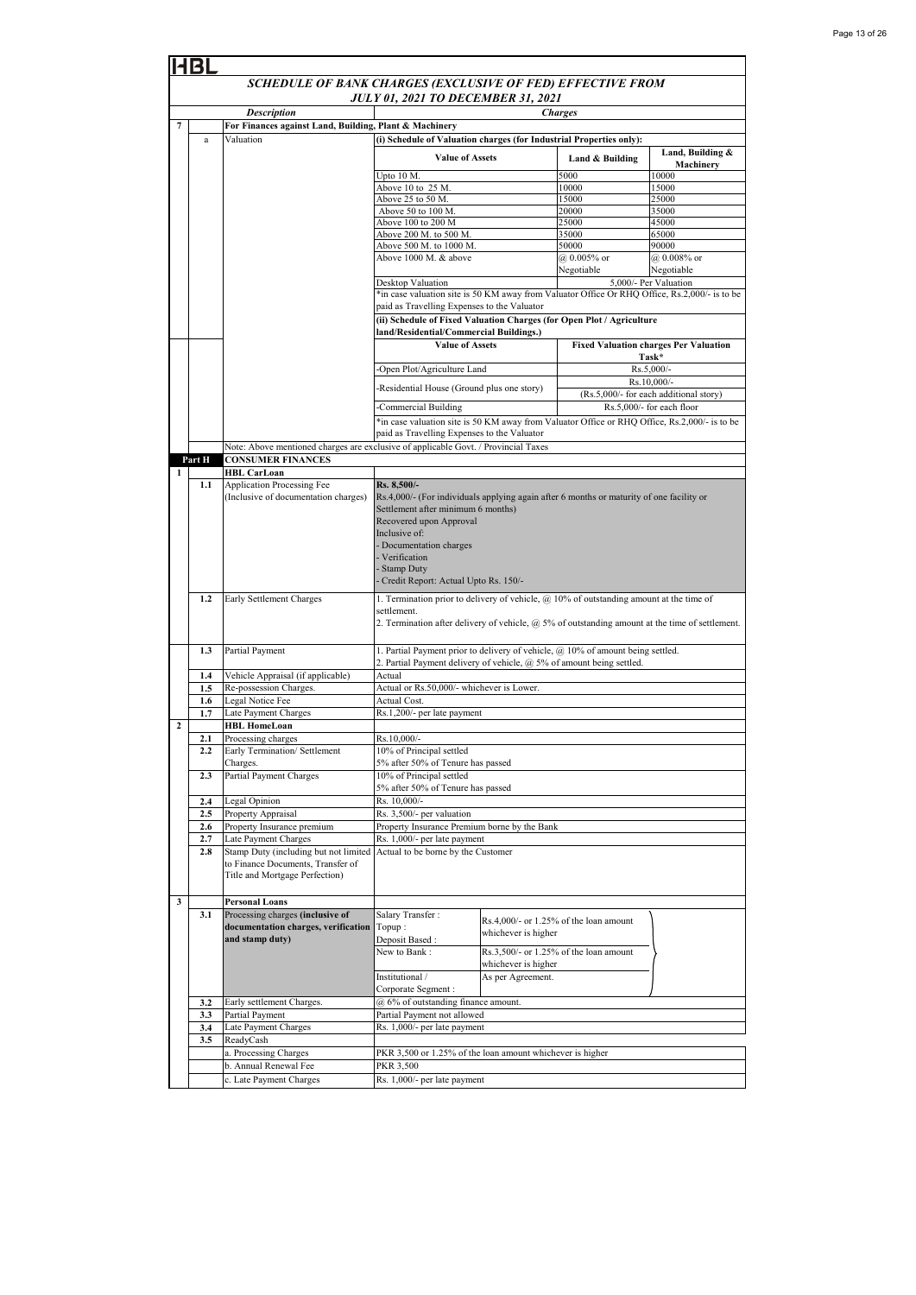|                | HBL        |                                                                                    |                                                                                                                                                                                                                                                                                 |                     |                                           |                                                       |
|----------------|------------|------------------------------------------------------------------------------------|---------------------------------------------------------------------------------------------------------------------------------------------------------------------------------------------------------------------------------------------------------------------------------|---------------------|-------------------------------------------|-------------------------------------------------------|
|                |            | SCHEDULE OF BANK CHARGES (EXCLUSIVE OF FED) EFFECTIVE FROM                         |                                                                                                                                                                                                                                                                                 |                     |                                           |                                                       |
|                |            | <b>JULY 01, 2021 TO DECEMBER 31, 2021</b><br><b>Description</b><br><b>Charges</b>  |                                                                                                                                                                                                                                                                                 |                     |                                           |                                                       |
| 7              |            | For Finances against Land, Building, Plant & Machinery                             |                                                                                                                                                                                                                                                                                 |                     |                                           |                                                       |
|                | a          | Valuation                                                                          | (i) Schedule of Valuation charges (for Industrial Properties only):                                                                                                                                                                                                             |                     |                                           |                                                       |
|                |            |                                                                                    | <b>Value of Assets</b>                                                                                                                                                                                                                                                          |                     | Land & Building                           | Land, Building &<br>Machinery                         |
|                |            |                                                                                    | Upto 10 M.                                                                                                                                                                                                                                                                      |                     | 5000                                      | 10000                                                 |
|                |            |                                                                                    | Above 10 to 25 M.<br>Above $25$ to $50$ M.                                                                                                                                                                                                                                      |                     | 10000<br>15000                            | 15000<br>25000                                        |
|                |            |                                                                                    | Above 50 to 100 M                                                                                                                                                                                                                                                               |                     | 20000                                     | 35000                                                 |
|                |            |                                                                                    | Above 100 to 200 M                                                                                                                                                                                                                                                              |                     | 25000                                     | 45000                                                 |
|                |            |                                                                                    | Above 200 M. to 500 M.                                                                                                                                                                                                                                                          |                     | 35000                                     | 65000                                                 |
|                |            |                                                                                    | Above 500 M. to 1000 M.                                                                                                                                                                                                                                                         |                     | 50000                                     | 90000                                                 |
|                |            |                                                                                    | Above 1000 M. & above                                                                                                                                                                                                                                                           |                     | $@0.005\%$ or<br>Negotiable               | @ 0.008% or<br>Negotiable                             |
|                |            |                                                                                    | Desktop Valuation                                                                                                                                                                                                                                                               |                     |                                           | 5,000/- Per Valuation                                 |
|                |            |                                                                                    | *in case valuation site is 50 KM away from Valuator Office Or RHQ Office, Rs.2,000/- is to be                                                                                                                                                                                   |                     |                                           |                                                       |
|                |            |                                                                                    | paid as Travelling Expenses to the Valuator<br>(ii) Schedule of Fixed Valuation Charges (for Open Plot / Agriculture                                                                                                                                                            |                     |                                           |                                                       |
|                |            |                                                                                    | land/Residential/Commercial Buildings.)                                                                                                                                                                                                                                         |                     |                                           |                                                       |
|                |            |                                                                                    | <b>Value of Assets</b>                                                                                                                                                                                                                                                          |                     |                                           | <b>Fixed Valuation charges Per Valuation</b><br>Task* |
|                |            |                                                                                    | Open Plot/Agriculture Land                                                                                                                                                                                                                                                      |                     |                                           | Rs.5,000/-                                            |
|                |            |                                                                                    |                                                                                                                                                                                                                                                                                 |                     |                                           | Rs.10,000/-                                           |
|                |            |                                                                                    | -Residential House (Ground plus one story)                                                                                                                                                                                                                                      |                     |                                           | (Rs.5,000/- for each additional story)                |
|                |            |                                                                                    | Commercial Building                                                                                                                                                                                                                                                             |                     |                                           | Rs.5,000/- for each floor                             |
|                |            |                                                                                    | *in case valuation site is 50 KM away from Valuator Office or RHQ Office, Rs.2,000/- is to be                                                                                                                                                                                   |                     |                                           |                                                       |
|                |            |                                                                                    | paid as Travelling Expenses to the Valuator                                                                                                                                                                                                                                     |                     |                                           |                                                       |
|                |            | Note: Above mentioned charges are exclusive of applicable Govt. / Provincial Taxes |                                                                                                                                                                                                                                                                                 |                     |                                           |                                                       |
|                | Part H     | <b>CONSUMER FINANCES</b>                                                           |                                                                                                                                                                                                                                                                                 |                     |                                           |                                                       |
| 1              | 1.1        | <b>HBL CarLoan</b><br>Application Processing Fee                                   | Rs. 8,500/-                                                                                                                                                                                                                                                                     |                     |                                           |                                                       |
|                |            | (Inclusive of documentation charges)                                               | Rs.4,000/- (For individuals applying again after 6 months or maturity of one facility or<br>Settlement after minimum 6 months)<br>Recovered upon Approval<br>Inclusive of:<br>- Documentation charges<br>- Verification<br>- Stamp Duty<br>Credit Report: Actual Upto Rs. 150/- |                     |                                           |                                                       |
|                | 1.2        | Early Settlement Charges                                                           | 1. Termination prior to delivery of vehicle, $@10\%$ of outstanding amount at the time of                                                                                                                                                                                       |                     |                                           |                                                       |
|                |            |                                                                                    | settlement.<br>2. Termination after delivery of vehicle, $\omega$ 5% of outstanding amount at the time of settlement.                                                                                                                                                           |                     |                                           |                                                       |
|                | 1.3        | Partial Payment                                                                    | 1. Partial Payment prior to delivery of vehicle, @ 10% of amount being settled.<br>2. Partial Payment delivery of vehicle, @ 5% of amount being settled.                                                                                                                        |                     |                                           |                                                       |
|                | 1.4        | Vehicle Appraisal (if applicable)                                                  | Actual                                                                                                                                                                                                                                                                          |                     |                                           |                                                       |
|                | 1.5        | Re-possession Charges.                                                             | Actual or Rs.50,000/- whichever is Lower.                                                                                                                                                                                                                                       |                     |                                           |                                                       |
|                | 1.6        | Legal Notice Fee                                                                   | Actual Cost.                                                                                                                                                                                                                                                                    |                     |                                           |                                                       |
| $\overline{2}$ | 1.7        | Late Payment Charges<br><b>HBL HomeLoan</b>                                        | Rs.1,200/- per late payment                                                                                                                                                                                                                                                     |                     |                                           |                                                       |
|                | 2.1        | Processing charges                                                                 | $Rs.10,000/-$                                                                                                                                                                                                                                                                   |                     |                                           |                                                       |
|                | 2.2        | Early Termination/ Settlement                                                      | 10% of Principal settled                                                                                                                                                                                                                                                        |                     |                                           |                                                       |
|                |            | Charges.                                                                           | 5% after 50% of Tenure has passed                                                                                                                                                                                                                                               |                     |                                           |                                                       |
|                | 2.3        | Partial Payment Charges                                                            | 10% of Principal settled                                                                                                                                                                                                                                                        |                     |                                           |                                                       |
|                |            |                                                                                    | 5% after 50% of Tenure has passed                                                                                                                                                                                                                                               |                     |                                           |                                                       |
|                | 2.4        | Legal Opinion                                                                      | Rs. 10,000/-                                                                                                                                                                                                                                                                    |                     |                                           |                                                       |
|                | 2.5        | Property Appraisal                                                                 | Rs. 3,500/- per valuation                                                                                                                                                                                                                                                       |                     |                                           |                                                       |
|                | 2.6        | Property Insurance premium<br>Late Payment Charges                                 | Property Insurance Premium borne by the Bank<br>Rs. 1,000/- per late payment                                                                                                                                                                                                    |                     |                                           |                                                       |
|                | 2.7<br>2.8 | Stamp Duty (including but not limited                                              | Actual to be borne by the Customer                                                                                                                                                                                                                                              |                     |                                           |                                                       |
|                |            | to Finance Documents, Transfer of<br>Title and Mortgage Perfection)                |                                                                                                                                                                                                                                                                                 |                     |                                           |                                                       |
| 3              |            | <b>Personal Loans</b>                                                              |                                                                                                                                                                                                                                                                                 |                     |                                           |                                                       |
|                | 3.1        | Processing charges (inclusive of                                                   | Salary Transfer:                                                                                                                                                                                                                                                                |                     | Rs.4,000/- or $1.25\%$ of the loan amount |                                                       |
|                |            | documentation charges, verification                                                | Topup:                                                                                                                                                                                                                                                                          | whichever is higher |                                           |                                                       |
|                |            | and stamp duty)                                                                    | Deposit Based:<br>New to Bank:                                                                                                                                                                                                                                                  |                     | Rs.3,500/- or 1.25% of the loan amount    |                                                       |
|                |            |                                                                                    |                                                                                                                                                                                                                                                                                 | whichever is higher |                                           |                                                       |
|                |            |                                                                                    | Institutional /                                                                                                                                                                                                                                                                 | As per Agreement.   |                                           |                                                       |
|                |            |                                                                                    | Corporate Segment:                                                                                                                                                                                                                                                              |                     |                                           |                                                       |
|                | 3.2        | Early settlement Charges.                                                          | @ 6% of outstanding finance amount.                                                                                                                                                                                                                                             |                     |                                           |                                                       |
|                | 3.3        | Partial Payment                                                                    | Partial Payment not allowed                                                                                                                                                                                                                                                     |                     |                                           |                                                       |
|                | 3.4        | Late Payment Charges                                                               | Rs. 1,000/- per late payment                                                                                                                                                                                                                                                    |                     |                                           |                                                       |
|                | 3.5        | ReadyCash                                                                          |                                                                                                                                                                                                                                                                                 |                     |                                           |                                                       |
|                |            | a. Processing Charges<br>b. Annual Renewal Fee                                     | PKR 3,500 or 1.25% of the loan amount whichever is higher<br>PKR 3,500                                                                                                                                                                                                          |                     |                                           |                                                       |
|                |            |                                                                                    |                                                                                                                                                                                                                                                                                 |                     |                                           |                                                       |
|                |            | c. Late Payment Charges<br>Rs. 1,000/- per late payment                            |                                                                                                                                                                                                                                                                                 |                     |                                           |                                                       |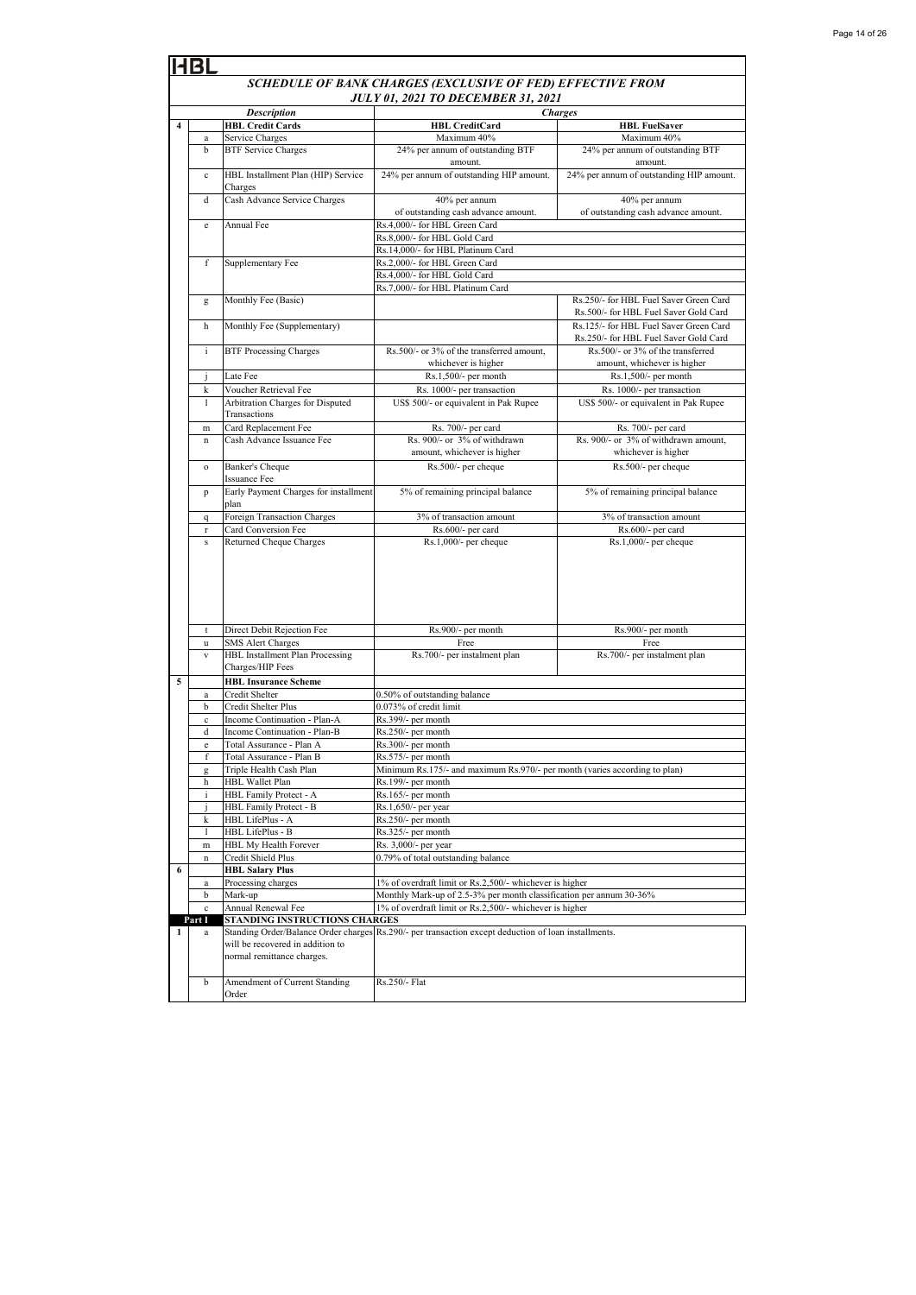|                         | HBL                                                        |                                                                |                                                                                                                                |                                                                                 |  |
|-------------------------|------------------------------------------------------------|----------------------------------------------------------------|--------------------------------------------------------------------------------------------------------------------------------|---------------------------------------------------------------------------------|--|
|                         | SCHEDULE OF BANK CHARGES (EXCLUSIVE OF FED) EFFECTIVE FROM |                                                                |                                                                                                                                |                                                                                 |  |
|                         | <b>JULY 01, 2021 TO DECEMBER 31, 2021</b>                  |                                                                |                                                                                                                                |                                                                                 |  |
|                         |                                                            | <b>Description</b>                                             |                                                                                                                                | <b>Charges</b>                                                                  |  |
| $\overline{\mathbf{4}}$ |                                                            | <b>HBL Credit Cards</b>                                        | <b>HBL CreditCard</b>                                                                                                          | <b>HBL FuelSaver</b>                                                            |  |
|                         | a<br>b                                                     | Service Charges<br><b>BTF</b> Service Charges                  | Maximum 40%<br>24% per annum of outstanding BTF                                                                                | Maximum 40%<br>24% per annum of outstanding BTF                                 |  |
|                         |                                                            |                                                                | amount.                                                                                                                        | amount.                                                                         |  |
|                         | $\mathbf{c}$                                               | HBL Installment Plan (HIP) Service<br>Charges                  | 24% per annum of outstanding HIP amount.                                                                                       | 24% per annum of outstanding HIP amount.                                        |  |
|                         | d                                                          | Cash Advance Service Charges                                   | 40% per annum<br>of outstanding cash advance amount.                                                                           | 40% per annum<br>of outstanding cash advance amount.                            |  |
|                         | e                                                          | Annual Fee                                                     | Rs.4.000/- for HBL Green Card                                                                                                  |                                                                                 |  |
|                         |                                                            |                                                                | Rs.8,000/- for HBL Gold Card                                                                                                   |                                                                                 |  |
|                         | f                                                          | Supplementary Fee                                              | Rs.14,000/- for HBL Platinum Card<br>Rs.2,000/- for HBL Green Card                                                             |                                                                                 |  |
|                         |                                                            |                                                                | Rs.4,000/- for HBL Gold Card                                                                                                   |                                                                                 |  |
|                         |                                                            |                                                                | Rs.7,000/- for HBL Platinum Card                                                                                               |                                                                                 |  |
|                         | g                                                          | Monthly Fee (Basic)                                            |                                                                                                                                | Rs.250/- for HBL Fuel Saver Green Card<br>Rs.500/- for HBL Fuel Saver Gold Card |  |
|                         | h                                                          | Monthly Fee (Supplementary)                                    |                                                                                                                                | Rs.125/- for HBL Fuel Saver Green Card<br>Rs.250/- for HBL Fuel Saver Gold Card |  |
|                         | i                                                          | <b>BTF Processing Charges</b>                                  | Rs.500/- or 3% of the transferred amount,<br>whichever is higher                                                               | Rs.500/- or 3% of the transferred<br>amount, whichever is higher                |  |
|                         | $\bf J$                                                    | Late Fee                                                       | Rs.1,500/- per month                                                                                                           | Rs.1,500/- per month                                                            |  |
|                         | k                                                          | Voucher Retrieval Fee                                          | Rs. 1000/- per transaction                                                                                                     | Rs. 1000/- per transaction                                                      |  |
|                         | $\mathbf{1}$                                               | Arbitration Charges for Disputed                               | US\$ 500/- or equivalent in Pak Rupee                                                                                          | US\$ 500/- or equivalent in Pak Rupee                                           |  |
|                         |                                                            | Transactions                                                   |                                                                                                                                |                                                                                 |  |
|                         | m                                                          | Card Replacement Fee                                           | Rs. 700/- per card                                                                                                             | Rs. 700/- per card                                                              |  |
|                         | $\mathbf{n}$                                               | Cash Advance Issuance Fee                                      | Rs. 900/- or 3% of withdrawn<br>amount, whichever is higher                                                                    | Rs. 900/- or 3% of withdrawn amount,<br>whichever is higher                     |  |
|                         | $\mathbf{o}$                                               | Banker's Cheque                                                | Rs.500/- per cheque                                                                                                            | Rs.500/- per cheque                                                             |  |
|                         |                                                            | Issuance Fee                                                   |                                                                                                                                |                                                                                 |  |
|                         | p                                                          | Early Payment Charges for installment<br>plan                  | 5% of remaining principal balance                                                                                              | 5% of remaining principal balance                                               |  |
|                         | $\mathbf q$                                                | Foreign Transaction Charges                                    | 3% of transaction amount                                                                                                       | 3% of transaction amount                                                        |  |
|                         | $\mathbf r$<br>${\bf S}$                                   | Card Conversion Fee<br>Returned Cheque Charges                 | Rs.600/- per card<br>Rs.1,000/- per cheque                                                                                     | Rs.600/- per card<br>Rs.1,000/- per cheque                                      |  |
|                         |                                                            |                                                                |                                                                                                                                |                                                                                 |  |
|                         |                                                            |                                                                |                                                                                                                                |                                                                                 |  |
|                         | t<br>u                                                     | Direct Debit Rejection Fee<br><b>SMS Alert Charges</b>         | Rs.900/- per month<br>Free                                                                                                     | Rs.900/- per month<br>Free                                                      |  |
|                         | $\mathbf{V}$                                               | HBL Installment Plan Processing                                | Rs.700/- per instalment plan                                                                                                   | Rs.700/- per instalment plan                                                    |  |
|                         |                                                            | Charges/HIP Fees                                               |                                                                                                                                |                                                                                 |  |
| 5                       |                                                            | <b>HBL Insurance Scheme</b>                                    |                                                                                                                                |                                                                                 |  |
|                         | a<br>b                                                     | Credit Shelter<br>Credit Shelter Plus                          | 0.50% of outstanding balance<br>0.073% of credit limit                                                                         |                                                                                 |  |
|                         | $\mathbf c$                                                | Income Continuation - Plan-A                                   | Rs.399/- per month                                                                                                             |                                                                                 |  |
|                         | d                                                          | Income Continuation - Plan-B                                   | Rs.250/- per month                                                                                                             |                                                                                 |  |
|                         | e                                                          | Total Assurance - Plan A                                       | Rs.300/- per month                                                                                                             |                                                                                 |  |
|                         | f                                                          | Total Assurance - Plan B                                       | Rs.575/- per month                                                                                                             |                                                                                 |  |
|                         | g                                                          | Triple Health Cash Plan                                        | Minimum Rs.175/- and maximum Rs.970/- per month (varies according to plan)                                                     |                                                                                 |  |
|                         | h                                                          | <b>HBL Wallet Plan</b><br>HBL Family Protect - A               | Rs.199/- per month<br>Rs.165/- per month                                                                                       |                                                                                 |  |
|                         | i.<br>1                                                    | HBL Family Protect - B                                         | Rs.1,650/- per year                                                                                                            |                                                                                 |  |
|                         | k                                                          | <b>HBL LifePlus - A</b>                                        | Rs.250/- per month                                                                                                             |                                                                                 |  |
|                         | 1                                                          | HBL LifePlus - B                                               | Rs.325/- per month                                                                                                             |                                                                                 |  |
|                         | m                                                          | HBL My Health Forever                                          | Rs. 3,000/- per year                                                                                                           |                                                                                 |  |
|                         | n                                                          | Credit Shield Plus                                             | 0.79% of total outstanding balance                                                                                             |                                                                                 |  |
| 6                       |                                                            | <b>HBL Salary Plus</b>                                         |                                                                                                                                |                                                                                 |  |
|                         | a                                                          | Processing charges                                             | 1% of overdraft limit or Rs.2,500/- whichever is higher                                                                        |                                                                                 |  |
|                         | b<br>$\mathbf{c}$                                          | Mark-up<br>Annual Renewal Fee                                  | Monthly Mark-up of 2.5-3% per month classification per annum 30-36%<br>1% of overdraft limit or Rs.2,500/- whichever is higher |                                                                                 |  |
|                         | Part I                                                     | STANDING INSTRUCTIONS CHARGES                                  |                                                                                                                                |                                                                                 |  |
| 1                       | a                                                          | will be recovered in addition to<br>normal remittance charges. | Standing Order/Balance Order charges Rs.290/- per transaction except deduction of loan installments.                           |                                                                                 |  |
|                         | b                                                          | Amendment of Current Standing<br>Order                         | Rs.250/- Flat                                                                                                                  |                                                                                 |  |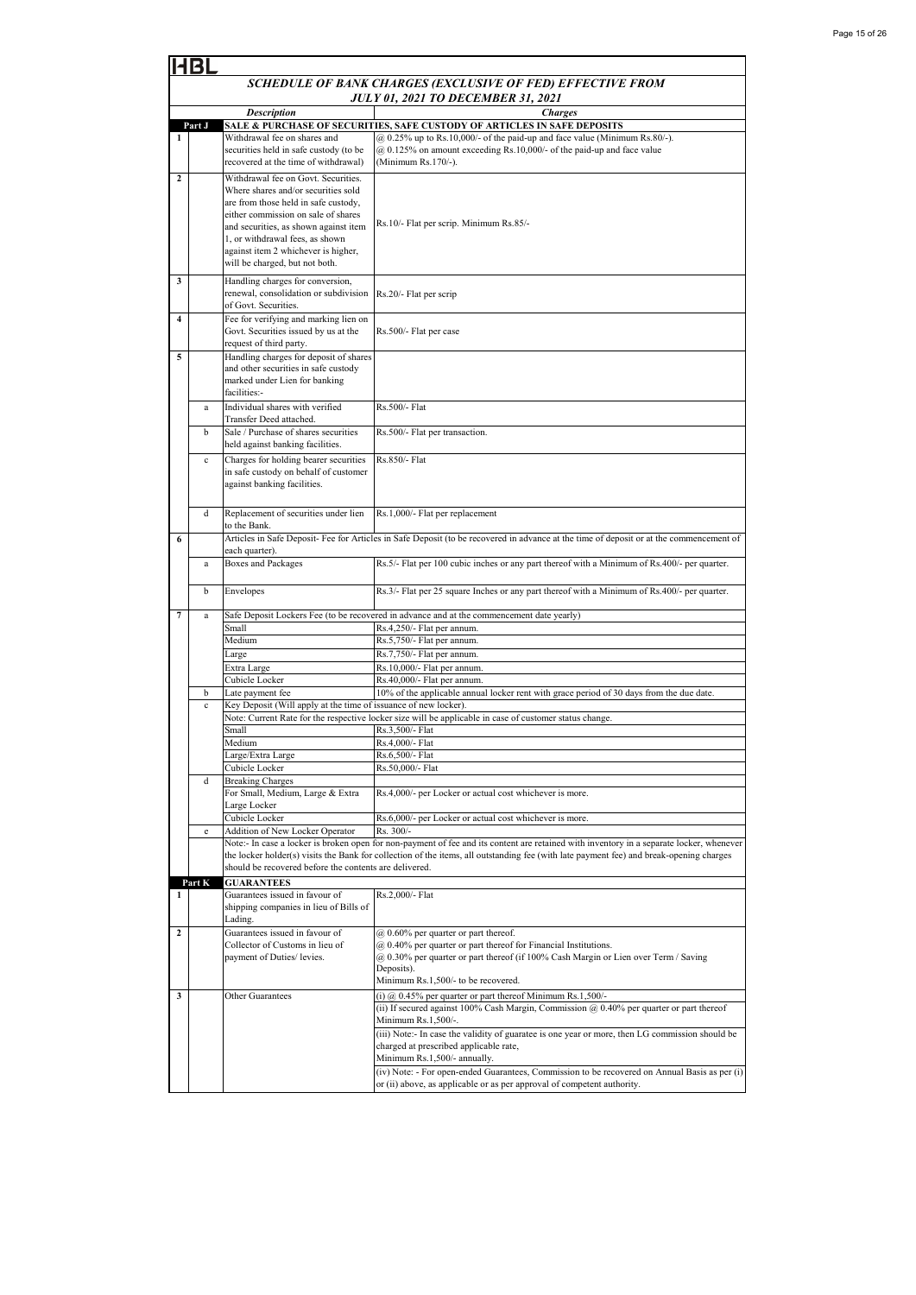|                  | 4BL                                                                                                                        |                                                                                                                                                                                                                                                                                                                |                                                                                                                                                                                                                                                         |  |  |  |
|------------------|----------------------------------------------------------------------------------------------------------------------------|----------------------------------------------------------------------------------------------------------------------------------------------------------------------------------------------------------------------------------------------------------------------------------------------------------------|---------------------------------------------------------------------------------------------------------------------------------------------------------------------------------------------------------------------------------------------------------|--|--|--|
|                  | SCHEDULE OF BANK CHARGES (EXCLUSIVE OF FED) EFFECTIVE FROM                                                                 |                                                                                                                                                                                                                                                                                                                |                                                                                                                                                                                                                                                         |  |  |  |
|                  | <b>JULY 01, 2021 TO DECEMBER 31, 2021</b>                                                                                  |                                                                                                                                                                                                                                                                                                                |                                                                                                                                                                                                                                                         |  |  |  |
|                  | <b>Description</b><br><b>Charges</b><br>Part J<br>SALE & PURCHASE OF SECURITIES, SAFE CUSTODY OF ARTICLES IN SAFE DEPOSITS |                                                                                                                                                                                                                                                                                                                |                                                                                                                                                                                                                                                         |  |  |  |
| 1                |                                                                                                                            | Withdrawal fee on shares and                                                                                                                                                                                                                                                                                   | $(a)$ 0.25% up to Rs.10,000/- of the paid-up and face value (Minimum Rs.80/-).                                                                                                                                                                          |  |  |  |
|                  |                                                                                                                            | securities held in safe custody (to be<br>recovered at the time of withdrawal)                                                                                                                                                                                                                                 | $@$ 0.125% on amount exceeding Rs.10,000/- of the paid-up and face value<br>(Minimum Rs.170/-).                                                                                                                                                         |  |  |  |
| $\overline{2}$   |                                                                                                                            | Withdrawal fee on Govt. Securities.<br>Where shares and/or securities sold<br>are from those held in safe custody,<br>either commission on sale of shares<br>and securities, as shown against item<br>1, or withdrawal fees, as shown<br>against item 2 whichever is higher,<br>will be charged, but not both. | Rs.10/- Flat per scrip. Minimum Rs.85/-                                                                                                                                                                                                                 |  |  |  |
| 3                |                                                                                                                            | Handling charges for conversion,<br>renewal, consolidation or subdivision<br>of Govt. Securities.                                                                                                                                                                                                              | Rs.20/- Flat per scrip                                                                                                                                                                                                                                  |  |  |  |
| $\overline{4}$   |                                                                                                                            | Fee for verifying and marking lien on<br>Govt. Securities issued by us at the<br>request of third party.                                                                                                                                                                                                       | Rs.500/- Flat per case                                                                                                                                                                                                                                  |  |  |  |
| 5                |                                                                                                                            | Handling charges for deposit of shares<br>and other securities in safe custody<br>marked under Lien for banking<br>facilities:-                                                                                                                                                                                | Rs.500/- Flat                                                                                                                                                                                                                                           |  |  |  |
|                  | a                                                                                                                          | Individual shares with verified<br>Transfer Deed attached.                                                                                                                                                                                                                                                     |                                                                                                                                                                                                                                                         |  |  |  |
|                  | b                                                                                                                          | Sale / Purchase of shares securities<br>held against banking facilities.                                                                                                                                                                                                                                       | Rs.500/- Flat per transaction.                                                                                                                                                                                                                          |  |  |  |
|                  | $\mathbf{c}$                                                                                                               | Charges for holding bearer securities<br>in safe custody on behalf of customer<br>against banking facilities.                                                                                                                                                                                                  | Rs.850/- Flat                                                                                                                                                                                                                                           |  |  |  |
|                  | d                                                                                                                          | Replacement of securities under lien<br>to the Bank.                                                                                                                                                                                                                                                           | Rs.1,000/- Flat per replacement                                                                                                                                                                                                                         |  |  |  |
| 6                |                                                                                                                            | each quarter).                                                                                                                                                                                                                                                                                                 | Articles in Safe Deposit- Fee for Articles in Safe Deposit (to be recovered in advance at the time of deposit or at the commencement of                                                                                                                 |  |  |  |
|                  | a                                                                                                                          | <b>Boxes and Packages</b>                                                                                                                                                                                                                                                                                      | Rs.5/- Flat per 100 cubic inches or any part thereof with a Minimum of Rs.400/- per quarter.                                                                                                                                                            |  |  |  |
|                  | b                                                                                                                          | Envelopes                                                                                                                                                                                                                                                                                                      | Rs.3/- Flat per 25 square Inches or any part thereof with a Minimum of Rs.400/- per quarter.                                                                                                                                                            |  |  |  |
| 7                | a                                                                                                                          |                                                                                                                                                                                                                                                                                                                | Safe Deposit Lockers Fee (to be recovered in advance and at the commencement date yearly)                                                                                                                                                               |  |  |  |
|                  |                                                                                                                            | Small                                                                                                                                                                                                                                                                                                          | Rs.4,250/- Flat per annum.                                                                                                                                                                                                                              |  |  |  |
|                  |                                                                                                                            | Medium                                                                                                                                                                                                                                                                                                         | Rs.5,750/- Flat per annum.                                                                                                                                                                                                                              |  |  |  |
|                  |                                                                                                                            | Large<br>Extra Large                                                                                                                                                                                                                                                                                           | Rs.7,750/- Flat per annum.<br>Rs.10,000/- Flat per annum.                                                                                                                                                                                               |  |  |  |
|                  |                                                                                                                            | Cubicle Locker                                                                                                                                                                                                                                                                                                 | Rs.40,000/- Flat per annum.                                                                                                                                                                                                                             |  |  |  |
|                  | b                                                                                                                          | Late payment fee                                                                                                                                                                                                                                                                                               | 10% of the applicable annual locker rent with grace period of 30 days from the due date.                                                                                                                                                                |  |  |  |
|                  | $\mathbf c$                                                                                                                | Key Deposit (Will apply at the time of issuance of new locker).                                                                                                                                                                                                                                                |                                                                                                                                                                                                                                                         |  |  |  |
|                  |                                                                                                                            | Small                                                                                                                                                                                                                                                                                                          | Note: Current Rate for the respective locker size will be applicable in case of customer status change.                                                                                                                                                 |  |  |  |
|                  |                                                                                                                            | Medium                                                                                                                                                                                                                                                                                                         | Rs.3,500/- Flat<br>Rs.4,000/- Flat                                                                                                                                                                                                                      |  |  |  |
|                  |                                                                                                                            | Large/Extra Large                                                                                                                                                                                                                                                                                              | Rs.6,500/- Flat                                                                                                                                                                                                                                         |  |  |  |
|                  |                                                                                                                            | Cubicle Locker                                                                                                                                                                                                                                                                                                 | Rs.50,000/- Flat                                                                                                                                                                                                                                        |  |  |  |
|                  | d                                                                                                                          | <b>Breaking Charges</b><br>For Small, Medium, Large & Extra<br>Large Locker                                                                                                                                                                                                                                    | Rs.4,000/- per Locker or actual cost whichever is more.                                                                                                                                                                                                 |  |  |  |
|                  |                                                                                                                            | Cubicle Locker                                                                                                                                                                                                                                                                                                 | Rs.6,000/- per Locker or actual cost whichever is more.<br>Rs. 300/-                                                                                                                                                                                    |  |  |  |
|                  | $\mathbf e$                                                                                                                | Addition of New Locker Operator                                                                                                                                                                                                                                                                                | Note:- In case a locker is broken open for non-payment of fee and its content are retained with inventory in a separate locker, whenever                                                                                                                |  |  |  |
|                  |                                                                                                                            | should be recovered before the contents are delivered.                                                                                                                                                                                                                                                         | the locker holder(s) visits the Bank for collection of the items, all outstanding fee (with late payment fee) and break-opening charges                                                                                                                 |  |  |  |
|                  | Part K                                                                                                                     | <b>GUARANTEES</b>                                                                                                                                                                                                                                                                                              |                                                                                                                                                                                                                                                         |  |  |  |
| 1                |                                                                                                                            | Guarantees issued in favour of<br>shipping companies in lieu of Bills of<br>Lading.                                                                                                                                                                                                                            | Rs.2,000/- Flat                                                                                                                                                                                                                                         |  |  |  |
| $\boldsymbol{2}$ |                                                                                                                            | Guarantees issued in favour of<br>Collector of Customs in lieu of<br>payment of Duties/ levies.                                                                                                                                                                                                                | $(a)$ 0.60% per quarter or part thereof.<br>@ 0.40% per quarter or part thereof for Financial Institutions.<br>@ 0.30% per quarter or part thereof (if 100% Cash Margin or Lien over Term / Saving<br>Deposits).<br>Minimum Rs.1,500/- to be recovered. |  |  |  |
| 3                |                                                                                                                            | Other Guarantees                                                                                                                                                                                                                                                                                               | (i) $@$ 0.45% per quarter or part thereof Minimum Rs.1,500/-<br>(ii) If secured against 100% Cash Margin, Commission $\omega$ 0.40% per quarter or part thereof                                                                                         |  |  |  |
|                  |                                                                                                                            |                                                                                                                                                                                                                                                                                                                | Minimum Rs.1,500/-.                                                                                                                                                                                                                                     |  |  |  |
|                  |                                                                                                                            |                                                                                                                                                                                                                                                                                                                | (iii) Note:- In case the validity of guaratee is one year or more, then LG commission should be<br>charged at prescribed applicable rate,<br>Minimum Rs.1,500/- annually.                                                                               |  |  |  |
|                  |                                                                                                                            |                                                                                                                                                                                                                                                                                                                | (iv) Note: - For open-ended Guarantees, Commission to be recovered on Annual Basis as per (i)<br>or (ii) above, as applicable or as per approval of competent authority.                                                                                |  |  |  |
|                  |                                                                                                                            |                                                                                                                                                                                                                                                                                                                |                                                                                                                                                                                                                                                         |  |  |  |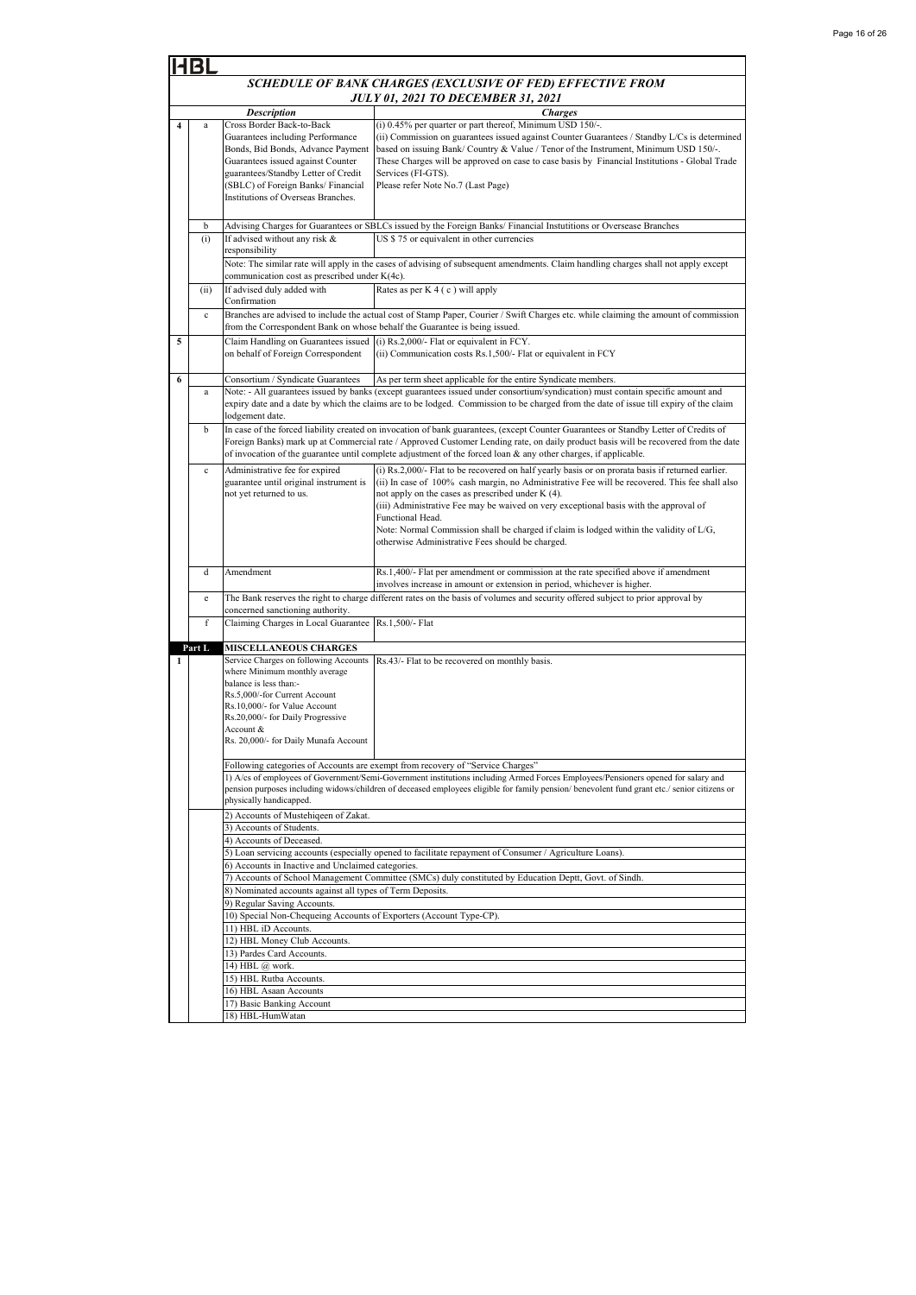|                                                                                                                                                                                                                                                                                                  | HBL                                                        |                                                                                                                                                                                                                                                               |                                                                                                                                                                                                                                                                                                                                                                                                                                                                                                                      |  |  |
|--------------------------------------------------------------------------------------------------------------------------------------------------------------------------------------------------------------------------------------------------------------------------------------------------|------------------------------------------------------------|---------------------------------------------------------------------------------------------------------------------------------------------------------------------------------------------------------------------------------------------------------------|----------------------------------------------------------------------------------------------------------------------------------------------------------------------------------------------------------------------------------------------------------------------------------------------------------------------------------------------------------------------------------------------------------------------------------------------------------------------------------------------------------------------|--|--|
|                                                                                                                                                                                                                                                                                                  | SCHEDULE OF BANK CHARGES (EXCLUSIVE OF FED) EFFECTIVE FROM |                                                                                                                                                                                                                                                               |                                                                                                                                                                                                                                                                                                                                                                                                                                                                                                                      |  |  |
|                                                                                                                                                                                                                                                                                                  | <b>JULY 01, 2021 TO DECEMBER 31, 2021</b>                  |                                                                                                                                                                                                                                                               |                                                                                                                                                                                                                                                                                                                                                                                                                                                                                                                      |  |  |
|                                                                                                                                                                                                                                                                                                  |                                                            | <b>Description</b>                                                                                                                                                                                                                                            | <b>Charges</b>                                                                                                                                                                                                                                                                                                                                                                                                                                                                                                       |  |  |
| 4                                                                                                                                                                                                                                                                                                | $\rm{a}$                                                   | Cross Border Back-to-Back<br>Guarantees including Performance<br>Bonds, Bid Bonds, Advance Payment<br>Guarantees issued against Counter<br>guarantees/Standby Letter of Credit<br>(SBLC) of Foreign Banks/ Financial<br>Institutions of Overseas Branches.    | (i) 0.45% per quarter or part thereof, Minimum USD 150/-.<br>(ii) Commission on guarantees issued against Counter Guarantees / Standby L/Cs is determined<br>based on issuing Bank/Country & Value / Tenor of the Instrument, Minimum USD 150/-.<br>These Charges will be approved on case to case basis by Financial Institutions - Global Trade<br>Services (FI-GTS).<br>Please refer Note No.7 (Last Page)                                                                                                        |  |  |
|                                                                                                                                                                                                                                                                                                  | b                                                          |                                                                                                                                                                                                                                                               | Advising Charges for Guarantees or SBLCs issued by the Foreign Banks/ Financial Instutitions or Oversease Branches                                                                                                                                                                                                                                                                                                                                                                                                   |  |  |
|                                                                                                                                                                                                                                                                                                  | (i)                                                        | If advised without any risk &<br>responsibility                                                                                                                                                                                                               | US \$75 or equivalent in other currencies<br>Note: The similar rate will apply in the cases of advising of subsequent amendments. Claim handling charges shall not apply except                                                                                                                                                                                                                                                                                                                                      |  |  |
|                                                                                                                                                                                                                                                                                                  |                                                            | communication cost as prescribed under K(4c).                                                                                                                                                                                                                 |                                                                                                                                                                                                                                                                                                                                                                                                                                                                                                                      |  |  |
|                                                                                                                                                                                                                                                                                                  | (ii)                                                       | If advised duly added with<br>Confirmation                                                                                                                                                                                                                    | Rates as per K 4 (c) will apply                                                                                                                                                                                                                                                                                                                                                                                                                                                                                      |  |  |
|                                                                                                                                                                                                                                                                                                  | $\mathbf c$                                                | from the Correspondent Bank on whose behalf the Guarantee is being issued.                                                                                                                                                                                    | Branches are advised to include the actual cost of Stamp Paper, Courier / Swift Charges etc. while claiming the amount of commission                                                                                                                                                                                                                                                                                                                                                                                 |  |  |
| 5                                                                                                                                                                                                                                                                                                |                                                            | on behalf of Foreign Correspondent                                                                                                                                                                                                                            | Claim Handling on Guarantees issued (i) Rs.2,000/- Flat or equivalent in FCY.<br>(ii) Communication costs Rs.1,500/- Flat or equivalent in FCY                                                                                                                                                                                                                                                                                                                                                                       |  |  |
| 6                                                                                                                                                                                                                                                                                                |                                                            | As per term sheet applicable for the entire Syndicate members.<br>Consortium / Syndicate Guarantees                                                                                                                                                           |                                                                                                                                                                                                                                                                                                                                                                                                                                                                                                                      |  |  |
| Note: - All guarantees issued by banks (except guarantees issued under consortium/syndication) must contain specific amount and<br>a<br>expiry date and a date by which the claims are to be lodged. Commission to be charged from the date of issue till expiry of the claim<br>lodgement date. |                                                            |                                                                                                                                                                                                                                                               |                                                                                                                                                                                                                                                                                                                                                                                                                                                                                                                      |  |  |
|                                                                                                                                                                                                                                                                                                  | b                                                          |                                                                                                                                                                                                                                                               | In case of the forced liability created on invocation of bank guarantees, (except Counter Guarantees or Standby Letter of Credits of<br>Foreign Banks) mark up at Commercial rate / Approved Customer Lending rate, on daily product basis will be recovered from the date<br>of invocation of the guarantee until complete adjustment of the forced loan & any other charges, if applicable.                                                                                                                        |  |  |
|                                                                                                                                                                                                                                                                                                  | $\mathbf c$                                                | Administrative fee for expired<br>guarantee until original instrument is<br>not yet returned to us.                                                                                                                                                           | (i) Rs.2,000/- Flat to be recovered on half yearly basis or on prorata basis if returned earlier.<br>(ii) In case of 100% cash margin, no Administrative Fee will be recovered. This fee shall also<br>not apply on the cases as prescribed under K (4).<br>(iii) Administrative Fee may be waived on very exceptional basis with the approval of<br>Functional Head.<br>Note: Normal Commission shall be charged if claim is lodged within the validity of L/G,<br>otherwise Administrative Fees should be charged. |  |  |
|                                                                                                                                                                                                                                                                                                  | d                                                          | Amendment                                                                                                                                                                                                                                                     | Rs.1,400/- Flat per amendment or commission at the rate specified above if amendment<br>involves increase in amount or extension in period, whichever is higher.                                                                                                                                                                                                                                                                                                                                                     |  |  |
|                                                                                                                                                                                                                                                                                                  | $\mathbf{e}% _{t}\left  \mathbf{v}_{t}\right $             |                                                                                                                                                                                                                                                               | The Bank reserves the right to charge different rates on the basis of volumes and security offered subject to prior approval by                                                                                                                                                                                                                                                                                                                                                                                      |  |  |
|                                                                                                                                                                                                                                                                                                  | f                                                          | concerned sanctioning authority.<br>Claiming Charges in Local Guarantee                                                                                                                                                                                       | Rs.1,500/- Flat                                                                                                                                                                                                                                                                                                                                                                                                                                                                                                      |  |  |
|                                                                                                                                                                                                                                                                                                  |                                                            |                                                                                                                                                                                                                                                               |                                                                                                                                                                                                                                                                                                                                                                                                                                                                                                                      |  |  |
|                                                                                                                                                                                                                                                                                                  | Part L                                                     | <b>MISCELLANEOUS CHARGES</b>                                                                                                                                                                                                                                  |                                                                                                                                                                                                                                                                                                                                                                                                                                                                                                                      |  |  |
| 1                                                                                                                                                                                                                                                                                                |                                                            | Service Charges on following Accounts<br>where Minimum monthly average<br>balance is less than:-<br>Rs.5,000/-for Current Account<br>Rs.10,000/- for Value Account<br>Rs.20,000/- for Daily Progressive<br>Account &<br>Rs. 20,000/- for Daily Munafa Account | Rs.43/- Flat to be recovered on monthly basis.                                                                                                                                                                                                                                                                                                                                                                                                                                                                       |  |  |
|                                                                                                                                                                                                                                                                                                  |                                                            |                                                                                                                                                                                                                                                               | Following categories of Accounts are exempt from recovery of "Service Charges"                                                                                                                                                                                                                                                                                                                                                                                                                                       |  |  |
|                                                                                                                                                                                                                                                                                                  |                                                            | physically handicapped.                                                                                                                                                                                                                                       | 1) A/cs of employees of Government/Semi-Government institutions including Armed Forces Employees/Pensioners opened for salary and<br>pension purposes including widows/children of deceased employees eligible for family pension/ benevolent fund grant etc./ senior citizens or                                                                                                                                                                                                                                    |  |  |
|                                                                                                                                                                                                                                                                                                  |                                                            | 2) Accounts of Mustehiqeen of Zakat.                                                                                                                                                                                                                          |                                                                                                                                                                                                                                                                                                                                                                                                                                                                                                                      |  |  |
|                                                                                                                                                                                                                                                                                                  |                                                            | 3) Accounts of Students.                                                                                                                                                                                                                                      |                                                                                                                                                                                                                                                                                                                                                                                                                                                                                                                      |  |  |
|                                                                                                                                                                                                                                                                                                  |                                                            | 4) Accounts of Deceased.                                                                                                                                                                                                                                      | 5) Loan servicing accounts (especially opened to facilitate repayment of Consumer / Agriculture Loans).                                                                                                                                                                                                                                                                                                                                                                                                              |  |  |
|                                                                                                                                                                                                                                                                                                  |                                                            | 6) Accounts in Inactive and Unclaimed categories.                                                                                                                                                                                                             |                                                                                                                                                                                                                                                                                                                                                                                                                                                                                                                      |  |  |
|                                                                                                                                                                                                                                                                                                  |                                                            |                                                                                                                                                                                                                                                               | 7) Accounts of School Management Committee (SMCs) duly constituted by Education Deptt, Govt. of Sindh.                                                                                                                                                                                                                                                                                                                                                                                                               |  |  |
|                                                                                                                                                                                                                                                                                                  |                                                            | 8) Nominated accounts against all types of Term Deposits.                                                                                                                                                                                                     |                                                                                                                                                                                                                                                                                                                                                                                                                                                                                                                      |  |  |
|                                                                                                                                                                                                                                                                                                  |                                                            | 9) Regular Saving Accounts.                                                                                                                                                                                                                                   |                                                                                                                                                                                                                                                                                                                                                                                                                                                                                                                      |  |  |
|                                                                                                                                                                                                                                                                                                  |                                                            | 10) Special Non-Chequeing Accounts of Exporters (Account Type-CP).<br>11) HBL iD Accounts.                                                                                                                                                                    |                                                                                                                                                                                                                                                                                                                                                                                                                                                                                                                      |  |  |
|                                                                                                                                                                                                                                                                                                  |                                                            | 12) HBL Money Club Accounts.                                                                                                                                                                                                                                  |                                                                                                                                                                                                                                                                                                                                                                                                                                                                                                                      |  |  |
|                                                                                                                                                                                                                                                                                                  |                                                            | 13) Pardes Card Accounts.                                                                                                                                                                                                                                     |                                                                                                                                                                                                                                                                                                                                                                                                                                                                                                                      |  |  |
|                                                                                                                                                                                                                                                                                                  |                                                            | 14) HBL @ work.                                                                                                                                                                                                                                               |                                                                                                                                                                                                                                                                                                                                                                                                                                                                                                                      |  |  |
|                                                                                                                                                                                                                                                                                                  |                                                            | 15) HBL Rutba Accounts.                                                                                                                                                                                                                                       |                                                                                                                                                                                                                                                                                                                                                                                                                                                                                                                      |  |  |
|                                                                                                                                                                                                                                                                                                  |                                                            | 16) HBL Asaan Accounts<br>17) Basic Banking Account                                                                                                                                                                                                           |                                                                                                                                                                                                                                                                                                                                                                                                                                                                                                                      |  |  |
|                                                                                                                                                                                                                                                                                                  |                                                            | 18) HBL-HumWatan                                                                                                                                                                                                                                              |                                                                                                                                                                                                                                                                                                                                                                                                                                                                                                                      |  |  |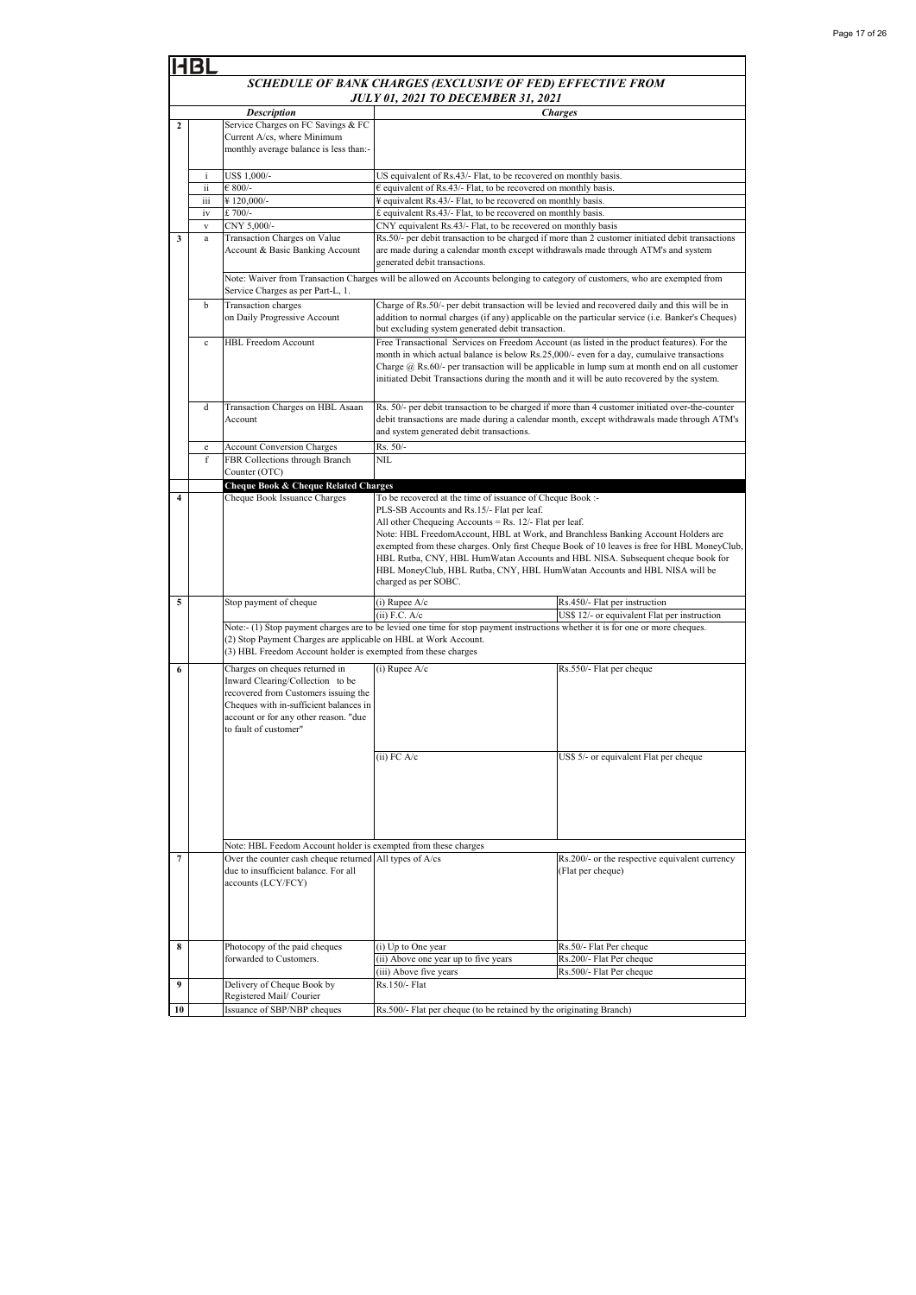|              | 1131                                                                                                    |                                                                                                                                                                                                                        |                                                                                                                                                                                                             |                                                                                                                                                                                                                                                                                                                                                                                            |  |
|--------------|---------------------------------------------------------------------------------------------------------|------------------------------------------------------------------------------------------------------------------------------------------------------------------------------------------------------------------------|-------------------------------------------------------------------------------------------------------------------------------------------------------------------------------------------------------------|--------------------------------------------------------------------------------------------------------------------------------------------------------------------------------------------------------------------------------------------------------------------------------------------------------------------------------------------------------------------------------------------|--|
|              | SCHEDULE OF BANK CHARGES (EXCLUSIVE OF FED) EFFECTIVE FROM<br><b>JULY 01, 2021 TO DECEMBER 31, 2021</b> |                                                                                                                                                                                                                        |                                                                                                                                                                                                             |                                                                                                                                                                                                                                                                                                                                                                                            |  |
|              |                                                                                                         | <b>Description</b>                                                                                                                                                                                                     |                                                                                                                                                                                                             | <b>Charges</b>                                                                                                                                                                                                                                                                                                                                                                             |  |
| $\mathbf{2}$ |                                                                                                         | Service Charges on FC Savings & FC<br>Current A/cs, where Minimum<br>monthly average balance is less than:-                                                                                                            |                                                                                                                                                                                                             |                                                                                                                                                                                                                                                                                                                                                                                            |  |
|              | i                                                                                                       | US\$ 1,000/-                                                                                                                                                                                                           | US equivalent of Rs.43/- Flat, to be recovered on monthly basis.                                                                                                                                            |                                                                                                                                                                                                                                                                                                                                                                                            |  |
|              | ii                                                                                                      | $€ 800/-$                                                                                                                                                                                                              | $\epsilon$ equivalent of Rs.43/- Flat, to be recovered on monthly basis.                                                                                                                                    |                                                                                                                                                                                                                                                                                                                                                                                            |  |
|              | iii                                                                                                     | ¥120,000/-                                                                                                                                                                                                             | ¥ equivalent Rs.43/- Flat, to be recovered on monthly basis.                                                                                                                                                |                                                                                                                                                                                                                                                                                                                                                                                            |  |
|              | iv<br>$\mathbf{V}$                                                                                      | £700/-<br>CNY 5,000/-                                                                                                                                                                                                  | £ equivalent Rs.43/- Flat, to be recovered on monthly basis.<br>CNY equivalent Rs.43/- Flat, to be recovered on monthly basis                                                                               |                                                                                                                                                                                                                                                                                                                                                                                            |  |
| $\mathbf{3}$ | a                                                                                                       | Transaction Charges on Value                                                                                                                                                                                           |                                                                                                                                                                                                             | Rs.50/- per debit transaction to be charged if more than 2 customer initiated debit transactions                                                                                                                                                                                                                                                                                           |  |
|              |                                                                                                         | Account & Basic Banking Account                                                                                                                                                                                        | are made during a calendar month except withdrawals made through ATM's and system<br>generated debit transactions.                                                                                          |                                                                                                                                                                                                                                                                                                                                                                                            |  |
|              |                                                                                                         | Service Charges as per Part-L, 1.                                                                                                                                                                                      |                                                                                                                                                                                                             | Note: Waiver from Transaction Charges will be allowed on Accounts belonging to category of customers, who are exempted from                                                                                                                                                                                                                                                                |  |
|              | b                                                                                                       | Transaction charges<br>on Daily Progressive Account                                                                                                                                                                    | but excluding system generated debit transaction.                                                                                                                                                           | Charge of Rs.50/- per debit transaction will be levied and recovered daily and this will be in<br>addition to normal charges (if any) applicable on the particular service (i.e. Banker's Cheques)                                                                                                                                                                                         |  |
|              | $\mathbf c$                                                                                             | <b>HBL Freedom Account</b>                                                                                                                                                                                             |                                                                                                                                                                                                             | Free Transactional Services on Freedom Account (as listed in the product features). For the<br>month in which actual balance is below Rs.25,000/- even for a day, cumulaive transactions<br>Charge $(a)$ Rs.60/- per transaction will be applicable in lump sum at month end on all customer<br>initiated Debit Transactions during the month and it will be auto recovered by the system. |  |
|              | d                                                                                                       | Transaction Charges on HBL Asaan<br>Account                                                                                                                                                                            | and system generated debit transactions.                                                                                                                                                                    | Rs. 50/- per debit transaction to be charged if more than 4 customer initiated over-the-counter<br>debit transactions are made during a calendar month, except withdrawals made through ATM's                                                                                                                                                                                              |  |
|              | $\mathbf e$                                                                                             | <b>Account Conversion Charges</b>                                                                                                                                                                                      | Rs. 50/-                                                                                                                                                                                                    |                                                                                                                                                                                                                                                                                                                                                                                            |  |
|              | f                                                                                                       | FBR Collections through Branch<br>Counter (OTC)                                                                                                                                                                        | NII.                                                                                                                                                                                                        |                                                                                                                                                                                                                                                                                                                                                                                            |  |
| 4            |                                                                                                         | Cheque Book & Cheque Related Charges<br>Cheque Book Issuance Charges                                                                                                                                                   | To be recovered at the time of issuance of Cheque Book :-                                                                                                                                                   |                                                                                                                                                                                                                                                                                                                                                                                            |  |
|              |                                                                                                         |                                                                                                                                                                                                                        | PLS-SB Accounts and Rs.15/- Flat per leaf.<br>All other Chequeing Accounts = Rs. $12/-$ Flat per leaf.<br>HBL MoneyClub, HBL Rutba, CNY, HBL HumWatan Accounts and HBL NISA will be<br>charged as per SOBC. | Note: HBL FreedomAccount, HBL at Work, and Branchless Banking Account Holders are<br>exempted from these charges. Only first Cheque Book of 10 leaves is free for HBL MoneyClub,<br>HBL Rutba, CNY, HBL HumWatan Accounts and HBL NISA. Subsequent cheque book for                                                                                                                         |  |
| 5            |                                                                                                         | Stop payment of cheque                                                                                                                                                                                                 | $(i)$ Rupee A/c                                                                                                                                                                                             | Rs.450/- Flat per instruction                                                                                                                                                                                                                                                                                                                                                              |  |
|              |                                                                                                         |                                                                                                                                                                                                                        | $(ii)$ F.C. A/c                                                                                                                                                                                             | US\$ 12/- or equivalent Flat per instruction                                                                                                                                                                                                                                                                                                                                               |  |
|              |                                                                                                         | (2) Stop Payment Charges are applicable on HBL at Work Account.<br>(3) HBL Freedom Account holder is exempted from these charges                                                                                       | Note:- (1) Stop payment charges are to be levied one time for stop payment instructions whether it is for one or more cheques.                                                                              |                                                                                                                                                                                                                                                                                                                                                                                            |  |
| 6            |                                                                                                         | Charges on cheques returned in<br>Inward Clearing/Collection to be<br>recovered from Customers issuing the<br>Cheques with in-sufficient balances in<br>account or for any other reason. "due<br>to fault of customer" | $(i)$ Rupee A/c                                                                                                                                                                                             | Rs.550/- Flat per cheque                                                                                                                                                                                                                                                                                                                                                                   |  |
|              |                                                                                                         |                                                                                                                                                                                                                        | $(ii)$ FC $A/c$                                                                                                                                                                                             | US\$ 5/- or equivalent Flat per cheque                                                                                                                                                                                                                                                                                                                                                     |  |
|              |                                                                                                         | Note: HBL Feedom Account holder is exempted from these charges                                                                                                                                                         |                                                                                                                                                                                                             |                                                                                                                                                                                                                                                                                                                                                                                            |  |
| 7            |                                                                                                         | Over the counter cash cheque returned All types of A/cs<br>due to insufficient balance. For all<br>accounts (LCY/FCY)                                                                                                  |                                                                                                                                                                                                             | Rs.200/- or the respective equivalent currency<br>(Flat per cheque)                                                                                                                                                                                                                                                                                                                        |  |
|              |                                                                                                         |                                                                                                                                                                                                                        |                                                                                                                                                                                                             |                                                                                                                                                                                                                                                                                                                                                                                            |  |
| 8            |                                                                                                         | Photocopy of the paid cheques                                                                                                                                                                                          | (i) Up to One year                                                                                                                                                                                          | Rs.50/- Flat Per cheque                                                                                                                                                                                                                                                                                                                                                                    |  |
|              |                                                                                                         | forwarded to Customers.                                                                                                                                                                                                | (ii) Above one year up to five years<br>(iii) Above five years                                                                                                                                              | Rs.200/- Flat Per cheque<br>Rs.500/- Flat Per cheque                                                                                                                                                                                                                                                                                                                                       |  |
| 9            |                                                                                                         | Delivery of Cheque Book by                                                                                                                                                                                             | Rs.150/- Flat                                                                                                                                                                                               |                                                                                                                                                                                                                                                                                                                                                                                            |  |
|              |                                                                                                         | Registered Mail/ Courier                                                                                                                                                                                               |                                                                                                                                                                                                             |                                                                                                                                                                                                                                                                                                                                                                                            |  |
| 10           |                                                                                                         | Issuance of SBP/NBP cheques                                                                                                                                                                                            | Rs.500/- Flat per cheque (to be retained by the originating Branch)                                                                                                                                         |                                                                                                                                                                                                                                                                                                                                                                                            |  |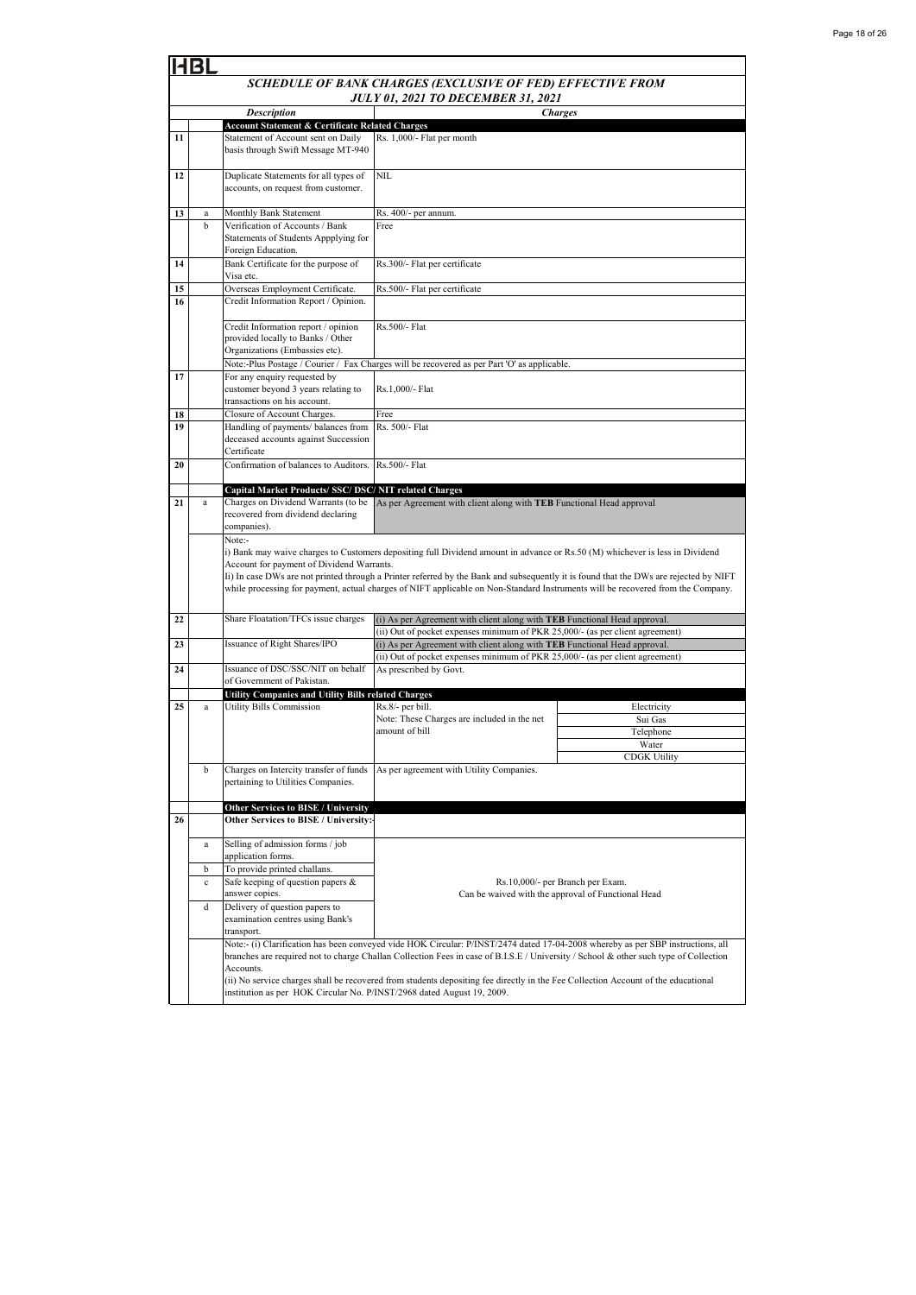|    | Bl                                                         |                                                                                                            |                                                                                                                                                                                                                                                                                                                                                                                                          |                                                    |  |  |
|----|------------------------------------------------------------|------------------------------------------------------------------------------------------------------------|----------------------------------------------------------------------------------------------------------------------------------------------------------------------------------------------------------------------------------------------------------------------------------------------------------------------------------------------------------------------------------------------------------|----------------------------------------------------|--|--|
|    | SCHEDULE OF BANK CHARGES (EXCLUSIVE OF FED) EFFECTIVE FROM |                                                                                                            |                                                                                                                                                                                                                                                                                                                                                                                                          |                                                    |  |  |
|    | <b>JULY 01, 2021 TO DECEMBER 31, 2021</b>                  |                                                                                                            |                                                                                                                                                                                                                                                                                                                                                                                                          |                                                    |  |  |
|    | <b>Charges</b><br><b>Description</b>                       |                                                                                                            |                                                                                                                                                                                                                                                                                                                                                                                                          |                                                    |  |  |
|    |                                                            | <b>Account Statement &amp; Certificate Related Charges</b>                                                 |                                                                                                                                                                                                                                                                                                                                                                                                          |                                                    |  |  |
| 11 |                                                            | Statement of Account sent on Daily<br>basis through Swift Message MT-940                                   | Rs. 1,000/- Flat per month                                                                                                                                                                                                                                                                                                                                                                               |                                                    |  |  |
| 12 |                                                            | Duplicate Statements for all types of<br>accounts, on request from customer.                               | NIL                                                                                                                                                                                                                                                                                                                                                                                                      |                                                    |  |  |
| 13 | a                                                          | Monthly Bank Statement                                                                                     | Rs. 400/- per annum.                                                                                                                                                                                                                                                                                                                                                                                     |                                                    |  |  |
|    | h                                                          | Verification of Accounts / Bank<br>Statements of Students Appplying for<br>Foreign Education.              | Free                                                                                                                                                                                                                                                                                                                                                                                                     |                                                    |  |  |
| 14 |                                                            | Bank Certificate for the purpose of<br>Visa etc.                                                           | Rs.300/- Flat per certificate                                                                                                                                                                                                                                                                                                                                                                            |                                                    |  |  |
| 15 |                                                            | Overseas Employment Certificate.                                                                           | Rs.500/- Flat per certificate                                                                                                                                                                                                                                                                                                                                                                            |                                                    |  |  |
| 16 |                                                            | Credit Information Report / Opinion.                                                                       |                                                                                                                                                                                                                                                                                                                                                                                                          |                                                    |  |  |
|    |                                                            | Credit Information report / opinion<br>provided locally to Banks / Other<br>Organizations (Embassies etc). | Rs.500/- Flat                                                                                                                                                                                                                                                                                                                                                                                            |                                                    |  |  |
|    |                                                            |                                                                                                            | Note:-Plus Postage / Courier / Fax Charges will be recovered as per Part 'O' as applicable.                                                                                                                                                                                                                                                                                                              |                                                    |  |  |
| 17 |                                                            | For any enquiry requested by<br>customer beyond 3 years relating to<br>transactions on his account.        | Rs.1,000/- Flat                                                                                                                                                                                                                                                                                                                                                                                          |                                                    |  |  |
| 18 |                                                            | Closure of Account Charges.                                                                                | Free                                                                                                                                                                                                                                                                                                                                                                                                     |                                                    |  |  |
| 19 |                                                            | Handling of payments/ balances from<br>deceased accounts against Succession<br>Certificate                 | Rs. 500/- Flat                                                                                                                                                                                                                                                                                                                                                                                           |                                                    |  |  |
| 20 |                                                            | Confirmation of balances to Auditors.                                                                      | Rs.500/- Flat                                                                                                                                                                                                                                                                                                                                                                                            |                                                    |  |  |
|    |                                                            | Capital Market Products/ SSC/ DSC/ NIT related Charges                                                     |                                                                                                                                                                                                                                                                                                                                                                                                          |                                                    |  |  |
| 21 | a                                                          | Charges on Dividend Warrants (to be<br>recovered from dividend declaring<br>companies).<br>Note:-          | As per Agreement with client along with TEB Functional Head approval                                                                                                                                                                                                                                                                                                                                     |                                                    |  |  |
|    |                                                            | Account for payment of Dividend Warrants.                                                                  | i) Bank may waive charges to Customers depositing full Dividend amount in advance or Rs.50 (M) whichever is less in Dividend<br>Ii) In case DWs are not printed through a Printer referred by the Bank and subsequently it is found that the DWs are rejected by NIFT<br>while processing for payment, actual charges of NIFT applicable on Non-Standard Instruments will be recovered from the Company. |                                                    |  |  |
| 22 |                                                            | Share Floatation/TFCs issue charges                                                                        | (i) As per Agreement with client along with TEB Functional Head approval.<br>(ii) Out of pocket expenses minimum of PKR 25,000/- (as per client agreement)                                                                                                                                                                                                                                               |                                                    |  |  |
| 23 |                                                            | Issuance of Right Shares/IPO                                                                               | (i) As per Agreement with client along with TEB Functional Head approval.                                                                                                                                                                                                                                                                                                                                |                                                    |  |  |
|    |                                                            |                                                                                                            | (ii) Out of pocket expenses minimum of PKR 25,000/- (as per client agreement)                                                                                                                                                                                                                                                                                                                            |                                                    |  |  |
| 24 |                                                            | Issuance of DSC/SSC/NIT on behalf                                                                          | As prescribed by Govt.                                                                                                                                                                                                                                                                                                                                                                                   |                                                    |  |  |
|    |                                                            | of Government of Pakistan.                                                                                 |                                                                                                                                                                                                                                                                                                                                                                                                          |                                                    |  |  |
|    |                                                            | Utility Companies and Utility Bills related Charges                                                        |                                                                                                                                                                                                                                                                                                                                                                                                          |                                                    |  |  |
| 25 | a                                                          | <b>Utility Bills Commission</b>                                                                            | Rs.8/- per bill.                                                                                                                                                                                                                                                                                                                                                                                         | Electricity                                        |  |  |
|    |                                                            |                                                                                                            | Note: These Charges are included in the net<br>amount of bill                                                                                                                                                                                                                                                                                                                                            | Sui Gas<br>Telephone                               |  |  |
|    |                                                            |                                                                                                            |                                                                                                                                                                                                                                                                                                                                                                                                          | Water                                              |  |  |
|    |                                                            |                                                                                                            |                                                                                                                                                                                                                                                                                                                                                                                                          | <b>CDGK Utility</b>                                |  |  |
|    | b                                                          | Charges on Intercity transfer of funds<br>pertaining to Utilities Companies.                               | As per agreement with Utility Companies.                                                                                                                                                                                                                                                                                                                                                                 |                                                    |  |  |
|    |                                                            | <b>Other Services to BISE / University</b>                                                                 |                                                                                                                                                                                                                                                                                                                                                                                                          |                                                    |  |  |
| 26 |                                                            | Other Services to BISE / University:-                                                                      |                                                                                                                                                                                                                                                                                                                                                                                                          |                                                    |  |  |
|    | $\rm{a}$                                                   | Selling of admission forms / job<br>application forms.                                                     |                                                                                                                                                                                                                                                                                                                                                                                                          |                                                    |  |  |
|    | b                                                          | To provide printed challans.                                                                               |                                                                                                                                                                                                                                                                                                                                                                                                          |                                                    |  |  |
|    | $\mathbf c$                                                | Safe keeping of question papers &                                                                          |                                                                                                                                                                                                                                                                                                                                                                                                          | Rs.10,000/- per Branch per Exam.                   |  |  |
|    |                                                            | answer copies.                                                                                             |                                                                                                                                                                                                                                                                                                                                                                                                          | Can be waived with the approval of Functional Head |  |  |
|    | d                                                          | Delivery of question papers to<br>examination centres using Bank's<br>transport.                           |                                                                                                                                                                                                                                                                                                                                                                                                          |                                                    |  |  |
|    |                                                            | Accounts.                                                                                                  | Note:- (i) Clarification has been conveyed vide HOK Circular: P/INST/2474 dated 17-04-2008 whereby as per SBP instructions, all<br>branches are required not to charge Challan Collection Fees in case of B.I.S.E / University / School & other such type of Collection                                                                                                                                  |                                                    |  |  |
|    |                                                            | institution as per HOK Circular No. P/INST/2968 dated August 19, 2009.                                     | (ii) No service charges shall be recovered from students depositing fee directly in the Fee Collection Account of the educational                                                                                                                                                                                                                                                                        |                                                    |  |  |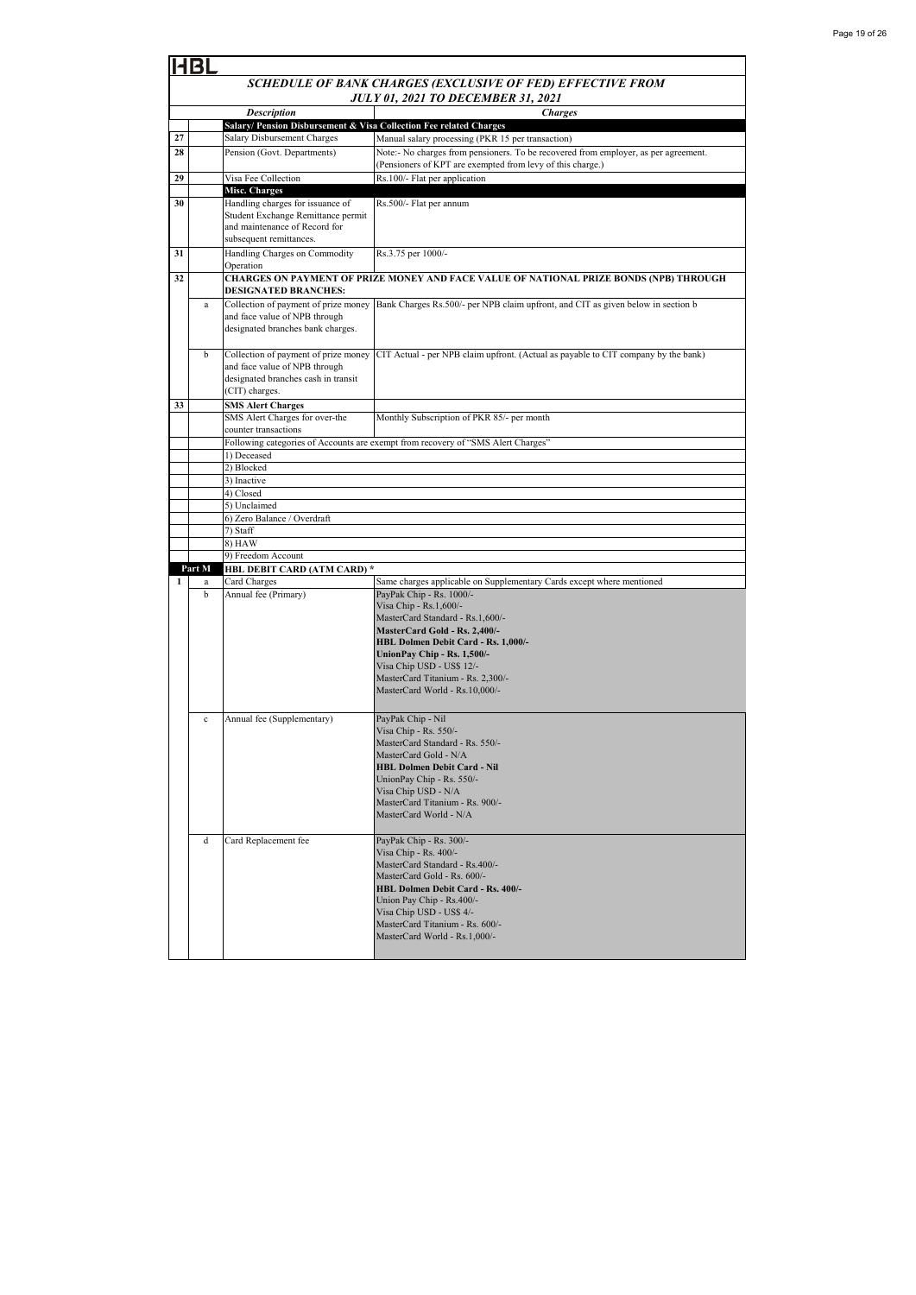|    | HBL                                       |                                                                                                                       |                                                                                                                                          |  |  |
|----|-------------------------------------------|-----------------------------------------------------------------------------------------------------------------------|------------------------------------------------------------------------------------------------------------------------------------------|--|--|
|    |                                           |                                                                                                                       | SCHEDULE OF BANK CHARGES (EXCLUSIVE OF FED) EFFECTIVE FROM                                                                               |  |  |
|    | <b>JULY 01, 2021 TO DECEMBER 31, 2021</b> |                                                                                                                       |                                                                                                                                          |  |  |
|    |                                           | <b>Description</b>                                                                                                    | <b>Charges</b>                                                                                                                           |  |  |
| 27 |                                           | Salary/ Pension Disbursement & Visa Collection Fee related Charges                                                    |                                                                                                                                          |  |  |
| 28 |                                           | Salary Disbursement Charges<br>Pension (Govt. Departments)                                                            | Manual salary processing (PKR 15 per transaction)<br>Note:- No charges from pensioners. To be recovered from employer, as per agreement. |  |  |
|    |                                           |                                                                                                                       | (Pensioners of KPT are exempted from levy of this charge.)                                                                               |  |  |
| 29 |                                           | Visa Fee Collection                                                                                                   | Rs.100/- Flat per application                                                                                                            |  |  |
|    |                                           | Misc. Charges                                                                                                         |                                                                                                                                          |  |  |
| 30 |                                           | Handling charges for issuance of                                                                                      | Rs.500/- Flat per annum                                                                                                                  |  |  |
|    |                                           | Student Exchange Remittance permit<br>and maintenance of Record for                                                   |                                                                                                                                          |  |  |
|    |                                           | subsequent remittances.                                                                                               |                                                                                                                                          |  |  |
| 31 |                                           | Handling Charges on Commodity                                                                                         | Rs.3.75 per 1000/-                                                                                                                       |  |  |
|    |                                           | Operation                                                                                                             |                                                                                                                                          |  |  |
| 32 |                                           | CHARGES ON PAYMENT OF PRIZE MONEY AND FACE VALUE OF NATIONAL PRIZE BONDS (NPB) THROUGH<br><b>DESIGNATED BRANCHES:</b> |                                                                                                                                          |  |  |
|    | a                                         | Collection of payment of prize money                                                                                  | Bank Charges Rs.500/- per NPB claim upfront, and CIT as given below in section b                                                         |  |  |
|    |                                           | and face value of NPB through                                                                                         |                                                                                                                                          |  |  |
|    |                                           | designated branches bank charges.                                                                                     |                                                                                                                                          |  |  |
|    |                                           |                                                                                                                       |                                                                                                                                          |  |  |
|    | b                                         | Collection of payment of prize money<br>and face value of NPB through                                                 | CIT Actual - per NPB claim upfront. (Actual as payable to CIT company by the bank)                                                       |  |  |
|    |                                           | designated branches cash in transit                                                                                   |                                                                                                                                          |  |  |
|    |                                           | (CIT) charges.                                                                                                        |                                                                                                                                          |  |  |
| 33 |                                           | <b>SMS Alert Charges</b>                                                                                              |                                                                                                                                          |  |  |
|    |                                           | SMS Alert Charges for over-the<br>counter transactions                                                                | Monthly Subscription of PKR 85/- per month                                                                                               |  |  |
|    |                                           |                                                                                                                       |                                                                                                                                          |  |  |
|    |                                           | Following categories of Accounts are exempt from recovery of "SMS Alert Charges"<br>1) Deceased                       |                                                                                                                                          |  |  |
|    |                                           | 2) Blocked                                                                                                            |                                                                                                                                          |  |  |
|    |                                           | 3) Inactive                                                                                                           |                                                                                                                                          |  |  |
|    |                                           | 4) Closed                                                                                                             |                                                                                                                                          |  |  |
|    |                                           | 5) Unclaimed<br>6) Zero Balance / Overdraft                                                                           |                                                                                                                                          |  |  |
|    |                                           | 7) Staff                                                                                                              |                                                                                                                                          |  |  |
|    |                                           | 8) HAW                                                                                                                |                                                                                                                                          |  |  |
|    |                                           | 9) Freedom Account                                                                                                    |                                                                                                                                          |  |  |
| 1  | Part M<br>a                               | HBL DEBIT CARD (ATM CARD) *<br>Card Charges                                                                           | Same charges applicable on Supplementary Cards except where mentioned                                                                    |  |  |
|    | b                                         | Annual fee (Primary)                                                                                                  | PayPak Chip - Rs. 1000/-                                                                                                                 |  |  |
|    |                                           |                                                                                                                       | Visa Chip - Rs.1,600/-                                                                                                                   |  |  |
|    |                                           |                                                                                                                       | MasterCard Standard - Rs.1,600/-                                                                                                         |  |  |
|    |                                           |                                                                                                                       | MasterCard Gold - Rs. 2,400/-                                                                                                            |  |  |
|    |                                           |                                                                                                                       | HBL Dolmen Debit Card - Rs. 1,000/-<br>UnionPay Chip - Rs. 1,500/-                                                                       |  |  |
|    |                                           |                                                                                                                       | Visa Chip USD - US\$ 12/-                                                                                                                |  |  |
|    |                                           |                                                                                                                       | MasterCard Titanium - Rs. 2,300/-                                                                                                        |  |  |
|    |                                           |                                                                                                                       | MasterCard World - Rs.10,000/-                                                                                                           |  |  |
|    |                                           |                                                                                                                       |                                                                                                                                          |  |  |
|    | c                                         | Annual fee (Supplementary)                                                                                            | PayPak Chip - Nil<br>Visa Chip - Rs. 550/-                                                                                               |  |  |
|    |                                           |                                                                                                                       | MasterCard Standard - Rs. 550/-                                                                                                          |  |  |
|    |                                           |                                                                                                                       | MasterCard Gold - N/A                                                                                                                    |  |  |
|    |                                           |                                                                                                                       | <b>HBL Dolmen Debit Card - Nil</b>                                                                                                       |  |  |
|    |                                           |                                                                                                                       | UnionPay Chip - Rs. 550/-                                                                                                                |  |  |
|    |                                           |                                                                                                                       | Visa Chip USD - N/A<br>MasterCard Titanium - Rs. 900/-                                                                                   |  |  |
|    |                                           |                                                                                                                       | MasterCard World - N/A                                                                                                                   |  |  |
|    |                                           |                                                                                                                       |                                                                                                                                          |  |  |
|    | d                                         | Card Replacement fee                                                                                                  | PayPak Chip - Rs. 300/-                                                                                                                  |  |  |
|    |                                           |                                                                                                                       | Visa Chip - Rs. 400/-                                                                                                                    |  |  |
|    |                                           |                                                                                                                       | MasterCard Standard - Rs.400/-<br>MasterCard Gold - Rs. 600/-                                                                            |  |  |
|    |                                           |                                                                                                                       | HBL Dolmen Debit Card - Rs. 400/-                                                                                                        |  |  |
|    |                                           |                                                                                                                       | Union Pay Chip - Rs.400/-                                                                                                                |  |  |
|    |                                           |                                                                                                                       | Visa Chip USD - US\$ 4/-                                                                                                                 |  |  |
|    |                                           |                                                                                                                       | MasterCard Titanium - Rs. 600/-<br>MasterCard World - Rs.1,000/-                                                                         |  |  |
|    |                                           |                                                                                                                       |                                                                                                                                          |  |  |
|    |                                           |                                                                                                                       |                                                                                                                                          |  |  |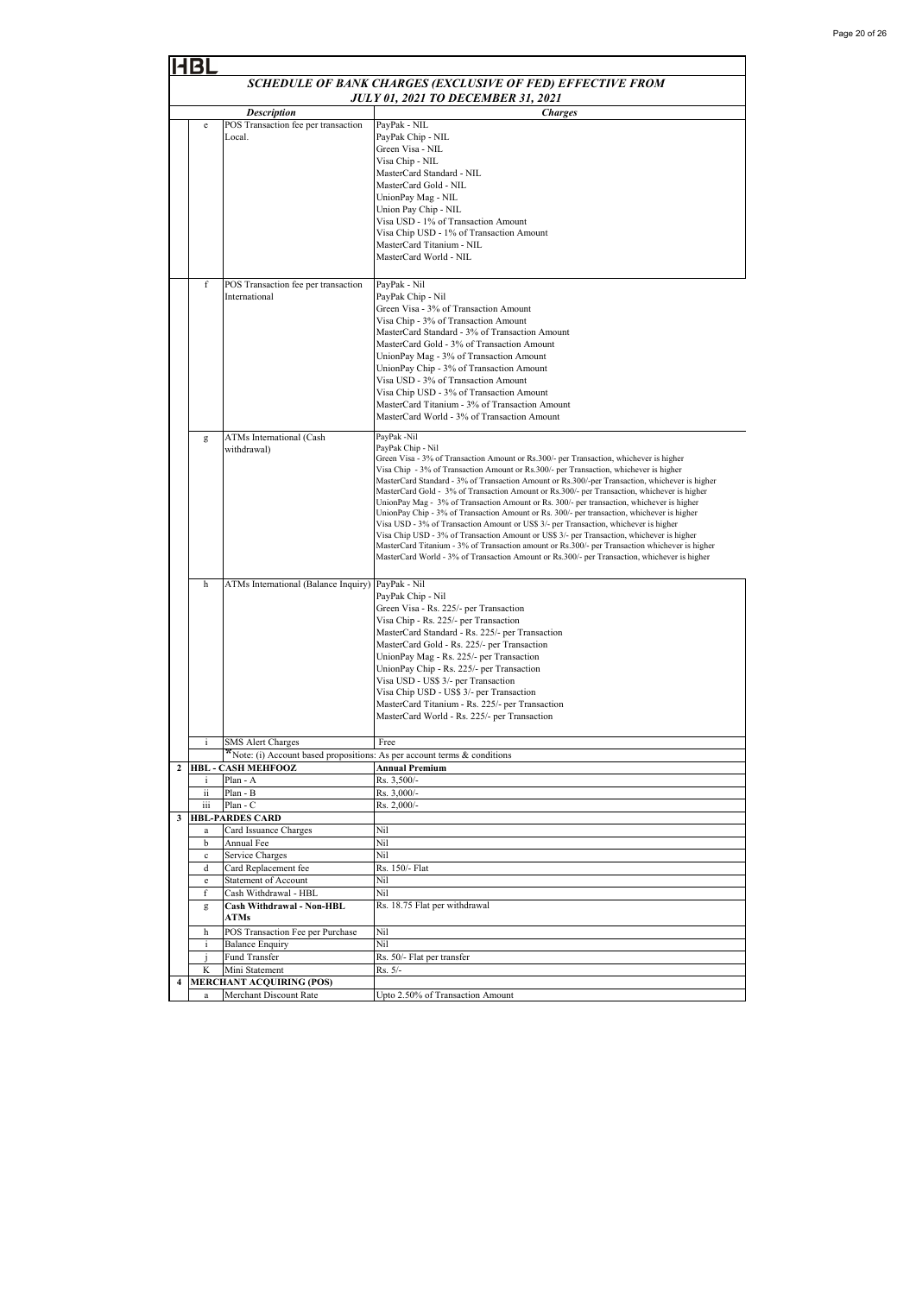|   |                                           |                                                                          | SCHEDULE OF BANK CHARGES (EXCLUSIVE OF FED) EFFECTIVE FROM                                                                                                                                                                                                                                                                                                                                                                                                                                                                                                                                                                                                                                                                                                                                                                                                               |  |  |
|---|-------------------------------------------|--------------------------------------------------------------------------|--------------------------------------------------------------------------------------------------------------------------------------------------------------------------------------------------------------------------------------------------------------------------------------------------------------------------------------------------------------------------------------------------------------------------------------------------------------------------------------------------------------------------------------------------------------------------------------------------------------------------------------------------------------------------------------------------------------------------------------------------------------------------------------------------------------------------------------------------------------------------|--|--|
|   | <b>JULY 01, 2021 TO DECEMBER 31, 2021</b> |                                                                          |                                                                                                                                                                                                                                                                                                                                                                                                                                                                                                                                                                                                                                                                                                                                                                                                                                                                          |  |  |
|   |                                           | <b>Description</b>                                                       | <b>Charges</b>                                                                                                                                                                                                                                                                                                                                                                                                                                                                                                                                                                                                                                                                                                                                                                                                                                                           |  |  |
|   | e                                         | POS Transaction fee per transaction<br>Local.                            | PayPak - NIL<br>PayPak Chip - NIL<br>Green Visa - NIL<br>Visa Chip - NIL<br>MasterCard Standard - NIL<br>MasterCard Gold - NIL<br>UnionPay Mag - NIL<br>Union Pay Chip - NIL<br>Visa USD - 1% of Transaction Amount<br>Visa Chip USD - 1% of Transaction Amount<br>MasterCard Titanium - NIL<br>MasterCard World - NIL                                                                                                                                                                                                                                                                                                                                                                                                                                                                                                                                                   |  |  |
|   | f                                         | POS Transaction fee per transaction<br>International                     | PayPak - Nil<br>PayPak Chip - Nil<br>Green Visa - 3% of Transaction Amount<br>Visa Chip - 3% of Transaction Amount<br>MasterCard Standard - 3% of Transaction Amount<br>MasterCard Gold - 3% of Transaction Amount<br>UnionPay Mag - 3% of Transaction Amount<br>UnionPay Chip - 3% of Transaction Amount<br>Visa USD - 3% of Transaction Amount<br>Visa Chip USD - 3% of Transaction Amount                                                                                                                                                                                                                                                                                                                                                                                                                                                                             |  |  |
|   | g                                         | ATMs International (Cash<br>withdrawal)                                  | MasterCard Titanium - 3% of Transaction Amount<br>MasterCard World - 3% of Transaction Amount<br>PayPak -Nil<br>PayPak Chip - Nil<br>Green Visa - 3% of Transaction Amount or Rs.300/- per Transaction, whichever is higher                                                                                                                                                                                                                                                                                                                                                                                                                                                                                                                                                                                                                                              |  |  |
|   |                                           |                                                                          | Visa Chip - 3% of Transaction Amount or Rs.300/- per Transaction, whichever is higher<br>MasterCard Standard - 3% of Transaction Amount or Rs.300/-per Transaction, whichever is higher<br>MasterCard Gold - 3% of Transaction Amount or Rs.300/- per Transaction, whichever is higher<br>UnionPay Mag - 3% of Transaction Amount or Rs. 300/- per transaction, whichever is higher<br>UnionPay Chip - 3% of Transaction Amount or Rs. 300/- per transaction, whichever is higher<br>Visa USD - 3% of Transaction Amount or US\$ 3/- per Transaction, whichever is higher<br>Visa Chip USD - 3% of Transaction Amount or US\$ 3/- per Transaction, whichever is higher<br>MasterCard Titanium - 3% of Transaction amount or Rs.300/- per Transaction whichever is higher<br>MasterCard World - 3% of Transaction Amount or Rs.300/- per Transaction, whichever is higher |  |  |
|   | h                                         | ATMs International (Balance Inquiry)                                     | PayPak - Nil<br>PayPak Chip - Nil<br>Green Visa - Rs. 225/- per Transaction<br>Visa Chip - Rs. 225/- per Transaction<br>MasterCard Standard - Rs. 225/- per Transaction<br>MasterCard Gold - Rs. 225/- per Transaction<br>UnionPay Mag - Rs. 225/- per Transaction<br>UnionPay Chip - Rs. 225/- per Transaction<br>Visa USD - US\$ 3/- per Transaction<br>Visa Chip USD - US\$ 3/- per Transaction<br>MasterCard Titanium - Rs. 225/- per Transaction<br>MasterCard World - Rs. 225/- per Transaction                                                                                                                                                                                                                                                                                                                                                                    |  |  |
|   |                                           | <b>SMS</b> Alert Charges                                                 | Free                                                                                                                                                                                                                                                                                                                                                                                                                                                                                                                                                                                                                                                                                                                                                                                                                                                                     |  |  |
|   |                                           | *Note: (i) Account based propositions: As per account terms & conditions |                                                                                                                                                                                                                                                                                                                                                                                                                                                                                                                                                                                                                                                                                                                                                                                                                                                                          |  |  |
|   | i                                         | 2 HBL - CASH MEHFOOZ<br>Plan - A                                         | <b>Annual Premium</b><br>Rs. 3,500/-                                                                                                                                                                                                                                                                                                                                                                                                                                                                                                                                                                                                                                                                                                                                                                                                                                     |  |  |
|   | ii                                        | Plan - B                                                                 | Rs. 3,000/-                                                                                                                                                                                                                                                                                                                                                                                                                                                                                                                                                                                                                                                                                                                                                                                                                                                              |  |  |
|   | iii                                       | Plan - C                                                                 | Rs. 2,000/-                                                                                                                                                                                                                                                                                                                                                                                                                                                                                                                                                                                                                                                                                                                                                                                                                                                              |  |  |
| 3 |                                           | <b>HBL-PARDES CARD</b>                                                   |                                                                                                                                                                                                                                                                                                                                                                                                                                                                                                                                                                                                                                                                                                                                                                                                                                                                          |  |  |
|   | a                                         | Card Issuance Charges                                                    | Nil                                                                                                                                                                                                                                                                                                                                                                                                                                                                                                                                                                                                                                                                                                                                                                                                                                                                      |  |  |
|   | b<br>$\mathbf c$                          | Annual Fee<br>Service Charges                                            | Nil<br>Nil                                                                                                                                                                                                                                                                                                                                                                                                                                                                                                                                                                                                                                                                                                                                                                                                                                                               |  |  |
|   | d                                         | Card Replacement fee                                                     | Rs. 150/- Flat                                                                                                                                                                                                                                                                                                                                                                                                                                                                                                                                                                                                                                                                                                                                                                                                                                                           |  |  |
|   | e                                         | Statement of Account                                                     | Nil                                                                                                                                                                                                                                                                                                                                                                                                                                                                                                                                                                                                                                                                                                                                                                                                                                                                      |  |  |
|   | f                                         | Cash Withdrawal - HBL                                                    | Nil                                                                                                                                                                                                                                                                                                                                                                                                                                                                                                                                                                                                                                                                                                                                                                                                                                                                      |  |  |
|   | g                                         | Cash Withdrawal - Non-HBL<br><b>ATMs</b>                                 | Rs. 18.75 Flat per withdrawal                                                                                                                                                                                                                                                                                                                                                                                                                                                                                                                                                                                                                                                                                                                                                                                                                                            |  |  |
|   | h                                         | POS Transaction Fee per Purchase                                         | Nil<br>Nil                                                                                                                                                                                                                                                                                                                                                                                                                                                                                                                                                                                                                                                                                                                                                                                                                                                               |  |  |
|   | i                                         | <b>Balance Enquiry</b><br>Fund Transfer                                  | Rs. 50/- Flat per transfer                                                                                                                                                                                                                                                                                                                                                                                                                                                                                                                                                                                                                                                                                                                                                                                                                                               |  |  |
|   | K                                         | Mini Statement                                                           | Rs. 5/-                                                                                                                                                                                                                                                                                                                                                                                                                                                                                                                                                                                                                                                                                                                                                                                                                                                                  |  |  |
| 4 |                                           | <b>MERCHANT ACQUIRING (POS)</b>                                          |                                                                                                                                                                                                                                                                                                                                                                                                                                                                                                                                                                                                                                                                                                                                                                                                                                                                          |  |  |
|   |                                           | Merchant Discount Rate                                                   | Upto 2.50% of Transaction Amount                                                                                                                                                                                                                                                                                                                                                                                                                                                                                                                                                                                                                                                                                                                                                                                                                                         |  |  |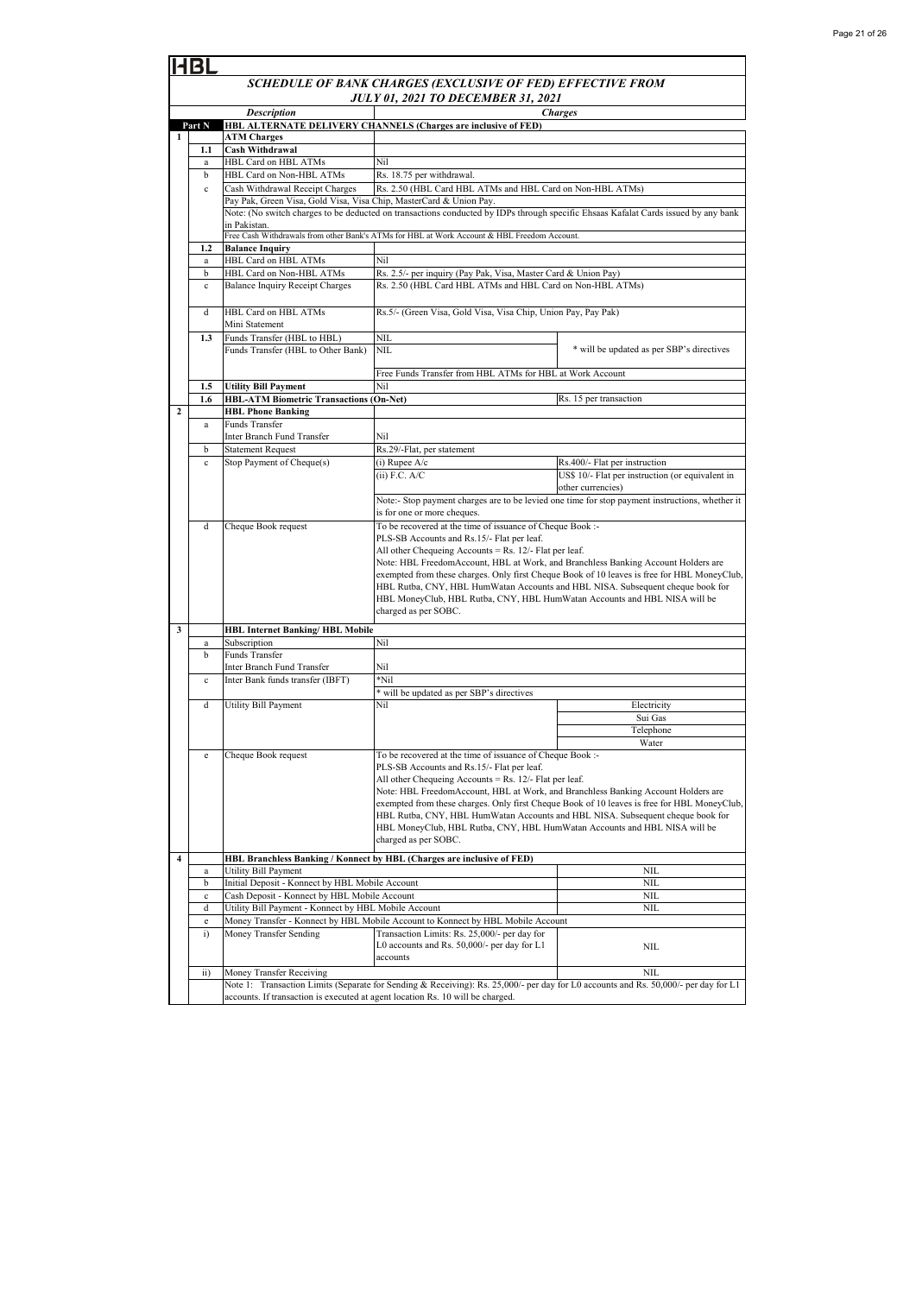|              | BL                                        |                                                                                                                                    |                                                                                                                                     |                                                                                                 |  |
|--------------|-------------------------------------------|------------------------------------------------------------------------------------------------------------------------------------|-------------------------------------------------------------------------------------------------------------------------------------|-------------------------------------------------------------------------------------------------|--|
|              |                                           |                                                                                                                                    | SCHEDULE OF BANK CHARGES (EXCLUSIVE OF FED) EFFECTIVE FROM                                                                          |                                                                                                 |  |
|              | <b>JULY 01, 2021 TO DECEMBER 31, 2021</b> |                                                                                                                                    |                                                                                                                                     |                                                                                                 |  |
|              |                                           | <b>Description</b>                                                                                                                 |                                                                                                                                     | <b>Charges</b>                                                                                  |  |
|              | Part N                                    |                                                                                                                                    | HBL ALTERNATE DELIVERY CHANNELS (Charges are inclusive of FED)                                                                      |                                                                                                 |  |
| $\mathbf{1}$ |                                           | <b>ATM Charges</b>                                                                                                                 |                                                                                                                                     |                                                                                                 |  |
|              | 1.1<br>a                                  | <b>Cash Withdrawal</b><br>HBL Card on HBL ATMs                                                                                     | Nil                                                                                                                                 |                                                                                                 |  |
|              | b                                         | HBL Card on Non-HBL ATMs                                                                                                           | Rs. 18.75 per withdrawal.                                                                                                           |                                                                                                 |  |
|              | $\mathbf{c}$                              | Cash Withdrawal Receipt Charges                                                                                                    | Rs. 2.50 (HBL Card HBL ATMs and HBL Card on Non-HBL ATMs)                                                                           |                                                                                                 |  |
|              |                                           | Pay Pak, Green Visa, Gold Visa, Visa Chip, MasterCard & Union Pay.                                                                 |                                                                                                                                     |                                                                                                 |  |
|              |                                           | Note: (No switch charges to be deducted on transactions conducted by IDPs through specific Ehsaas Kafalat Cards issued by any bank |                                                                                                                                     |                                                                                                 |  |
|              |                                           | in Pakistan.                                                                                                                       |                                                                                                                                     |                                                                                                 |  |
|              |                                           |                                                                                                                                    | Free Cash Withdrawals from other Bank's ATMs for HBL at Work Account & HBL Freedom Account.                                         |                                                                                                 |  |
|              | 1.2<br>a                                  | <b>Balance Inquiry</b><br>HBL Card on HBL ATMs                                                                                     | Nil                                                                                                                                 |                                                                                                 |  |
|              | b                                         | HBL Card on Non-HBL ATMs                                                                                                           | Rs. 2.5/- per inquiry (Pay Pak, Visa, Master Card & Union Pay)                                                                      |                                                                                                 |  |
|              | $\mathbf c$                               | <b>Balance Inquiry Receipt Charges</b>                                                                                             | Rs. 2.50 (HBL Card HBL ATMs and HBL Card on Non-HBL ATMs)                                                                           |                                                                                                 |  |
|              |                                           |                                                                                                                                    |                                                                                                                                     |                                                                                                 |  |
|              | d                                         | HBL Card on HBL ATMs                                                                                                               | Rs.5/- (Green Visa, Gold Visa, Visa Chip, Union Pay, Pay Pak)                                                                       |                                                                                                 |  |
|              |                                           | Mini Statement                                                                                                                     |                                                                                                                                     |                                                                                                 |  |
|              | 1.3                                       | Funds Transfer (HBL to HBL)                                                                                                        | NIL                                                                                                                                 |                                                                                                 |  |
|              |                                           | Funds Transfer (HBL to Other Bank)                                                                                                 | <b>NIL</b>                                                                                                                          | * will be updated as per SBP's directives                                                       |  |
|              |                                           |                                                                                                                                    |                                                                                                                                     |                                                                                                 |  |
|              | 1.5                                       | <b>Utility Bill Payment</b>                                                                                                        | Free Funds Transfer from HBL ATMs for HBL at Work Account<br>Nil                                                                    |                                                                                                 |  |
|              | 1.6                                       | <b>HBL-ATM Biometric Transactions (On-Net)</b>                                                                                     |                                                                                                                                     | Rs. 15 per transaction                                                                          |  |
| $\mathbf{2}$ |                                           | <b>HBL Phone Banking</b>                                                                                                           |                                                                                                                                     |                                                                                                 |  |
|              | a                                         | <b>Funds Transfer</b>                                                                                                              |                                                                                                                                     |                                                                                                 |  |
|              |                                           | Inter Branch Fund Transfer                                                                                                         | Nil                                                                                                                                 |                                                                                                 |  |
|              | b                                         | <b>Statement Request</b>                                                                                                           | Rs.29/-Flat, per statement                                                                                                          |                                                                                                 |  |
|              | $\mathbf c$                               | Stop Payment of Cheque(s)                                                                                                          | $(i)$ Rupee $A/c$                                                                                                                   | Rs.400/- Flat per instruction                                                                   |  |
|              |                                           |                                                                                                                                    | $(iii)$ F.C. A/C                                                                                                                    | US\$ 10/- Flat per instruction (or equivalent in                                                |  |
|              |                                           |                                                                                                                                    |                                                                                                                                     | other currencies)                                                                               |  |
|              |                                           |                                                                                                                                    | is for one or more cheques.                                                                                                         | Note:- Stop payment charges are to be levied one time for stop payment instructions, whether it |  |
|              | d                                         | Cheque Book request                                                                                                                | To be recovered at the time of issuance of Cheque Book :-                                                                           |                                                                                                 |  |
|              |                                           |                                                                                                                                    | PLS-SB Accounts and Rs.15/- Flat per leaf.                                                                                          |                                                                                                 |  |
|              |                                           |                                                                                                                                    | All other Chequeing Accounts = Rs. $12/-$ Flat per leaf.                                                                            |                                                                                                 |  |
|              |                                           |                                                                                                                                    | Note: HBL FreedomAccount, HBL at Work, and Branchless Banking Account Holders are                                                   |                                                                                                 |  |
|              |                                           |                                                                                                                                    |                                                                                                                                     | exempted from these charges. Only first Cheque Book of 10 leaves is free for HBL MoneyClub,     |  |
|              |                                           |                                                                                                                                    | HBL Rutba, CNY, HBL HumWatan Accounts and HBL NISA. Subsequent cheque book for                                                      |                                                                                                 |  |
|              |                                           |                                                                                                                                    | HBL MoneyClub, HBL Rutba, CNY, HBL HumWatan Accounts and HBL NISA will be<br>charged as per SOBC.                                   |                                                                                                 |  |
|              |                                           |                                                                                                                                    |                                                                                                                                     |                                                                                                 |  |
| 3            |                                           | <b>HBL Internet Banking/HBL Mobile</b>                                                                                             |                                                                                                                                     |                                                                                                 |  |
|              | a                                         | Subscription                                                                                                                       | Nil                                                                                                                                 |                                                                                                 |  |
|              | b                                         | Funds Transfer                                                                                                                     | Nil                                                                                                                                 |                                                                                                 |  |
|              | $\mathbf c$                               | Inter Branch Fund Transfer<br>Inter Bank funds transfer (IBFT)                                                                     | $*$ Nil                                                                                                                             |                                                                                                 |  |
|              |                                           |                                                                                                                                    | * will be updated as per SBP's directives                                                                                           |                                                                                                 |  |
|              | d                                         | Utility Bill Payment                                                                                                               | Nil                                                                                                                                 | Electricity                                                                                     |  |
|              |                                           |                                                                                                                                    |                                                                                                                                     | Sui Gas                                                                                         |  |
|              |                                           |                                                                                                                                    |                                                                                                                                     | Telephone                                                                                       |  |
|              |                                           |                                                                                                                                    |                                                                                                                                     | Water                                                                                           |  |
|              | e                                         | Cheque Book request                                                                                                                | To be recovered at the time of issuance of Cheque Book :-                                                                           |                                                                                                 |  |
|              |                                           |                                                                                                                                    | PLS-SB Accounts and Rs.15/- Flat per leaf.<br>All other Chequeing Accounts = Rs. $12/-$ Flat per leaf.                              |                                                                                                 |  |
|              |                                           |                                                                                                                                    | Note: HBL FreedomAccount, HBL at Work, and Branchless Banking Account Holders are                                                   |                                                                                                 |  |
|              |                                           |                                                                                                                                    |                                                                                                                                     | exempted from these charges. Only first Cheque Book of 10 leaves is free for HBL MoneyClub,     |  |
|              |                                           |                                                                                                                                    | HBL Rutba, CNY, HBL HumWatan Accounts and HBL NISA. Subsequent cheque book for                                                      |                                                                                                 |  |
|              |                                           |                                                                                                                                    | HBL MoneyClub, HBL Rutba, CNY, HBL HumWatan Accounts and HBL NISA will be                                                           |                                                                                                 |  |
|              |                                           |                                                                                                                                    | charged as per SOBC.                                                                                                                |                                                                                                 |  |
| 4            |                                           |                                                                                                                                    | HBL Branchless Banking / Konnect by HBL (Charges are inclusive of FED)                                                              |                                                                                                 |  |
|              | a                                         | Utility Bill Payment                                                                                                               |                                                                                                                                     | NIL                                                                                             |  |
|              | b                                         | Initial Deposit - Konnect by HBL Mobile Account                                                                                    |                                                                                                                                     | NIL                                                                                             |  |
|              | $\mathbf c$                               | Cash Deposit - Konnect by HBL Mobile Account                                                                                       |                                                                                                                                     | NIL                                                                                             |  |
|              | d                                         | Utility Bill Payment - Konnect by HBL Mobile Account                                                                               |                                                                                                                                     | <b>NIL</b>                                                                                      |  |
|              | e<br>$\ddot{i}$                           | Money Transfer Sending                                                                                                             | Money Transfer - Konnect by HBL Mobile Account to Konnect by HBL Mobile Account<br>Transaction Limits: Rs. 25,000/- per day for     |                                                                                                 |  |
|              |                                           |                                                                                                                                    | L0 accounts and Rs. 50,000/- per day for L1                                                                                         | NIL                                                                                             |  |
|              |                                           |                                                                                                                                    | accounts                                                                                                                            |                                                                                                 |  |
|              | $\rm ii)$                                 | Money Transfer Receiving                                                                                                           |                                                                                                                                     | NIL                                                                                             |  |
|              |                                           |                                                                                                                                    | Note 1: Transaction Limits (Separate for Sending & Receiving): Rs. 25,000/- per day for L0 accounts and Rs. 50,000/- per day for L1 |                                                                                                 |  |
|              |                                           | accounts. If transaction is executed at agent location Rs. 10 will be charged.                                                     |                                                                                                                                     |                                                                                                 |  |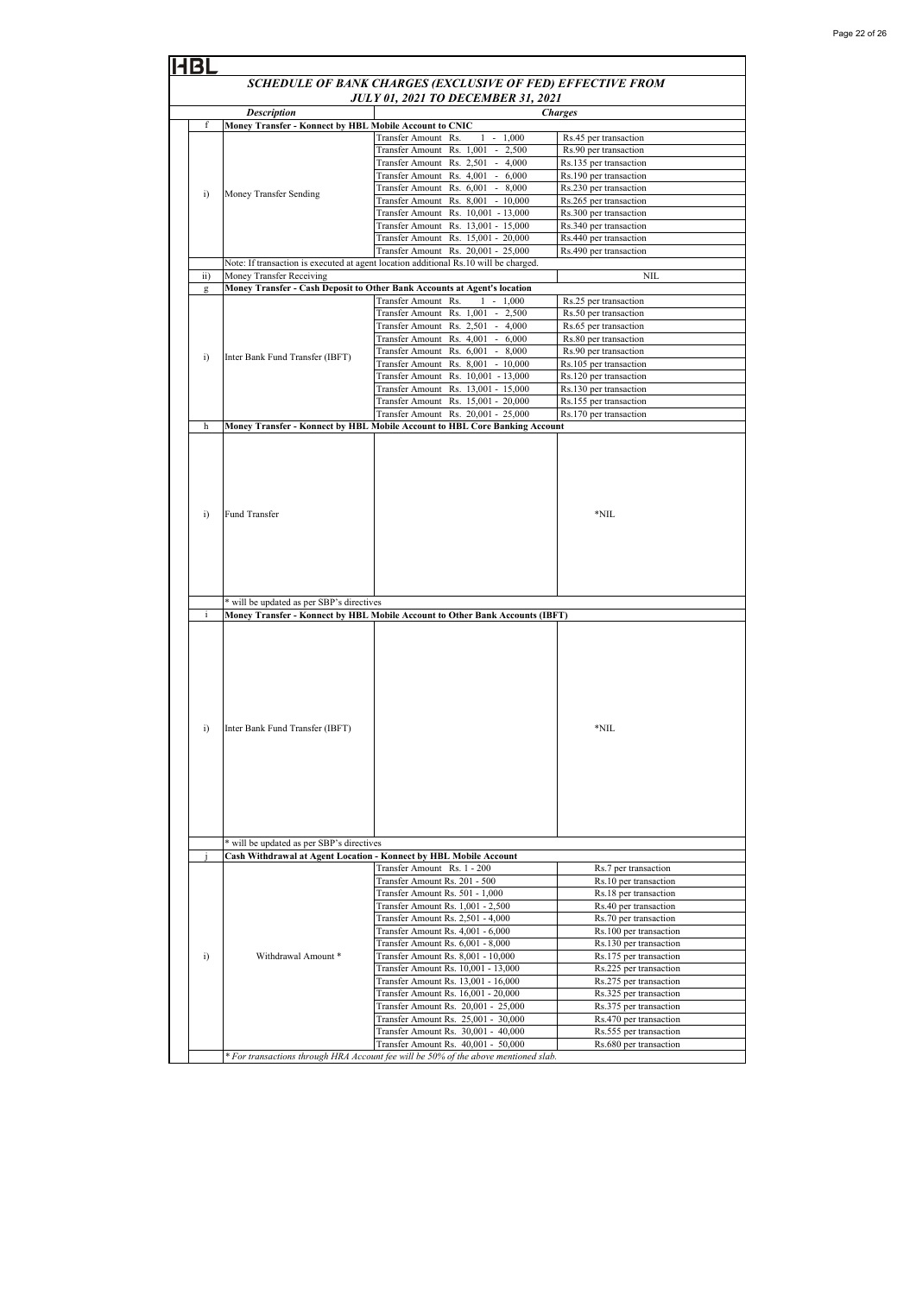|                 |                                                                                                                                  | SCHEDULE OF BANK CHARGES (EXCLUSIVE OF FED) EFFECTIVE FROM                                                        |                                                  |  |
|-----------------|----------------------------------------------------------------------------------------------------------------------------------|-------------------------------------------------------------------------------------------------------------------|--------------------------------------------------|--|
|                 |                                                                                                                                  | <b>JULY 01, 2021 TO DECEMBER 31, 2021</b>                                                                         |                                                  |  |
|                 | <b>Description</b>                                                                                                               |                                                                                                                   | <b>Charges</b>                                   |  |
| f               | Money Transfer - Konnect by HBL Mobile Account to CNIC                                                                           |                                                                                                                   |                                                  |  |
|                 |                                                                                                                                  | Transfer Amount Rs.<br>$1 - 1,000$<br>Transfer Amount Rs. 1,001<br>$\overline{\phantom{a}}$<br>2,500              | Rs.45 per transaction<br>Rs.90 per transaction   |  |
|                 |                                                                                                                                  | Transfer Amount Rs. 2,501<br>$-4,000$                                                                             | Rs.135 per transaction                           |  |
|                 |                                                                                                                                  | Transfer Amount Rs. 4,001<br>$-6,000$                                                                             | Rs.190 per transaction                           |  |
| i)              | Money Transfer Sending                                                                                                           | Transfer Amount Rs. 6,001 - 8,000                                                                                 | Rs.230 per transaction                           |  |
|                 |                                                                                                                                  | Transfer Amount Rs. 8,001<br>$-10,000$                                                                            | Rs.265 per transaction                           |  |
|                 |                                                                                                                                  | Transfer Amount Rs. 10,001 - 13,000                                                                               | Rs.300 per transaction                           |  |
|                 |                                                                                                                                  | Transfer Amount Rs. 13,001 - 15,000<br>Transfer Amount Rs. 15,001 - 20,000                                        | Rs.340 per transaction<br>Rs.440 per transaction |  |
|                 |                                                                                                                                  | Transfer Amount Rs. 20,001 - 25,000                                                                               | Rs.490 per transaction                           |  |
|                 |                                                                                                                                  | Note: If transaction is executed at agent location additional Rs.10 will be charged.                              |                                                  |  |
| $\overline{ii}$ | Money Transfer Receiving                                                                                                         |                                                                                                                   | NIL                                              |  |
| g               |                                                                                                                                  | Money Transfer - Cash Deposit to Other Bank Accounts at Agent's location                                          |                                                  |  |
|                 |                                                                                                                                  | $1 - 1,000$<br>Transfer Amount Rs.                                                                                | Rs.25 per transaction                            |  |
|                 |                                                                                                                                  | Transfer Amount Rs. 1,001<br>$-2,500$<br>Transfer Amount Rs. 2,501 -<br>4,000                                     | Rs.50 per transaction<br>Rs.65 per transaction   |  |
|                 |                                                                                                                                  | Transfer Amount Rs. 4,001<br>$-6,000$                                                                             | Rs.80 per transaction                            |  |
|                 |                                                                                                                                  | Transfer Amount Rs. 6,001<br>$-8,000$                                                                             | Rs.90 per transaction                            |  |
| i)              | Inter Bank Fund Transfer (IBFT)                                                                                                  | Transfer Amount Rs. 8,001 - 10,000                                                                                | Rs.105 per transaction                           |  |
|                 |                                                                                                                                  | Transfer Amount Rs. 10,001 - 13,000                                                                               | Rs.120 per transaction                           |  |
|                 |                                                                                                                                  | Transfer Amount Rs. 13,001 - 15,000                                                                               | Rs.130 per transaction                           |  |
|                 |                                                                                                                                  | Transfer Amount Rs. 15,001 - 20,000                                                                               | Rs.155 per transaction                           |  |
| $\mathbf h$     |                                                                                                                                  | Transfer Amount Rs. 20,001 - 25,000<br>Money Transfer - Konnect by HBL Mobile Account to HBL Core Banking Account | Rs.170 per transaction                           |  |
| $\ddot{i}$      | Fund Transfer                                                                                                                    |                                                                                                                   | *NIL                                             |  |
| i.              | * will be updated as per SBP's directives<br><b>Money Transfer - Konnect by HBL Mobile Account to Other Bank Accounts (IBFT)</b> |                                                                                                                   |                                                  |  |
|                 |                                                                                                                                  |                                                                                                                   | *NIL                                             |  |
| i)              | Inter Bank Fund Transfer (IBFT)                                                                                                  |                                                                                                                   |                                                  |  |
|                 | * will be updated as per SBP's directives                                                                                        |                                                                                                                   |                                                  |  |
|                 | Cash Withdrawal at Agent Location - Konnect by HBL Mobile Account                                                                |                                                                                                                   |                                                  |  |
|                 |                                                                                                                                  | Transfer Amount Rs. 1 - 200                                                                                       | Rs.7 per transaction                             |  |
|                 |                                                                                                                                  | Transfer Amount Rs. 201 - 500<br>Transfer Amount Rs. 501 - 1,000                                                  | Rs.10 per transaction<br>Rs.18 per transaction   |  |
|                 |                                                                                                                                  | Transfer Amount Rs. 1,001 - 2,500                                                                                 | Rs.40 per transaction                            |  |
|                 |                                                                                                                                  | Transfer Amount Rs. 2,501 - 4,000                                                                                 | Rs.70 per transaction                            |  |
|                 |                                                                                                                                  | Transfer Amount Rs. 4,001 - 6,000                                                                                 | Rs.100 per transaction                           |  |
|                 |                                                                                                                                  | Transfer Amount Rs. 6,001 - 8,000                                                                                 | Rs.130 per transaction                           |  |
| i)              | Withdrawal Amount *                                                                                                              | Transfer Amount Rs. 8,001 - 10,000                                                                                | Rs.175 per transaction                           |  |
|                 |                                                                                                                                  | Transfer Amount Rs. 10,001 - 13,000                                                                               | Rs.225 per transaction                           |  |
|                 |                                                                                                                                  | Transfer Amount Rs. 13,001 - 16,000                                                                               | Rs.275 per transaction                           |  |
|                 |                                                                                                                                  | Transfer Amount Rs. 16,001 - 20,000                                                                               | Rs.325 per transaction                           |  |
|                 |                                                                                                                                  | Transfer Amount Rs. 20,001 - 25,000<br>Transfer Amount Rs. 25,001 - 30,000                                        | Rs.375 per transaction<br>Rs.470 per transaction |  |
|                 |                                                                                                                                  | Transfer Amount Rs. 30,001 - 40,000                                                                               | Rs.555 per transaction                           |  |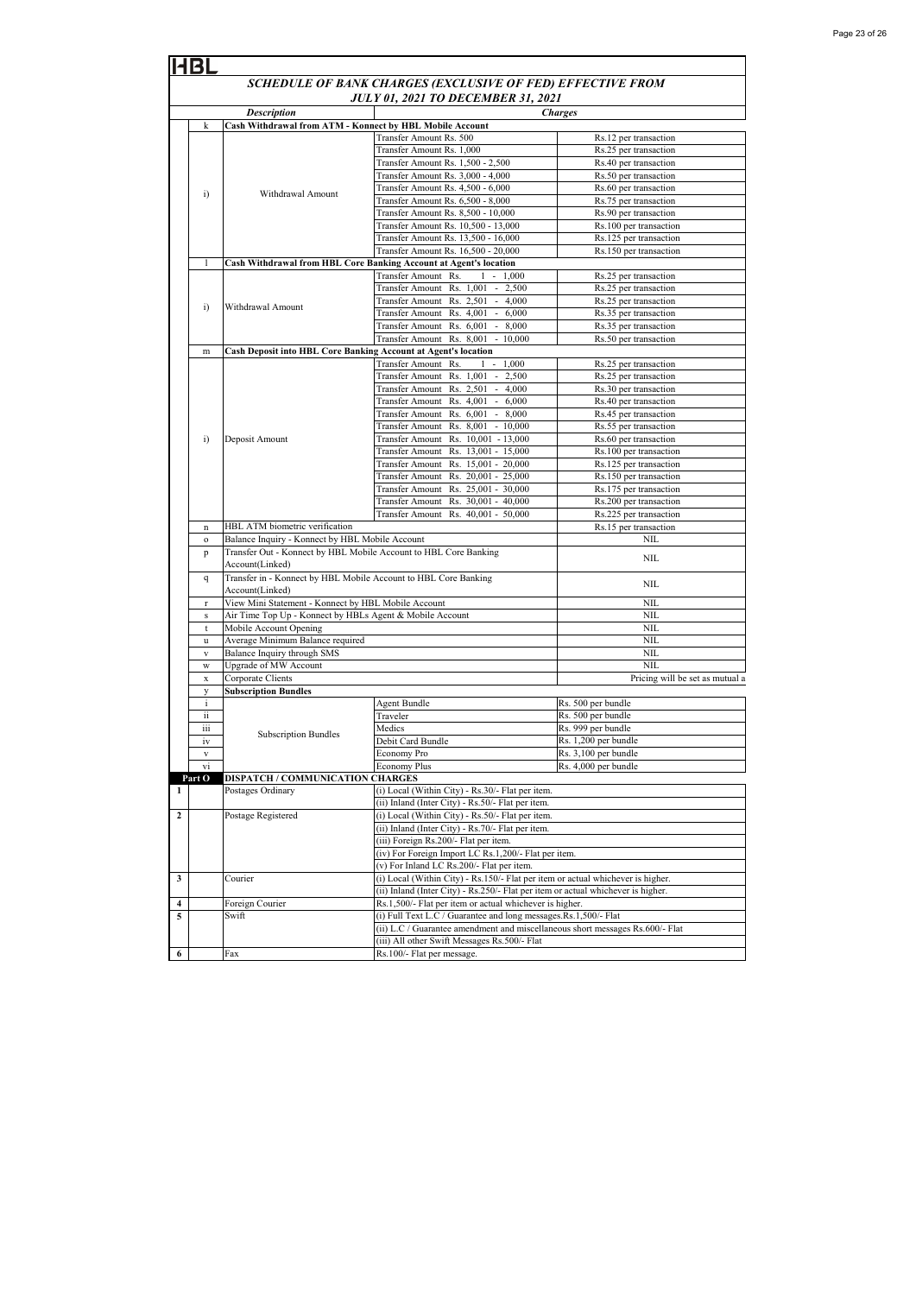| Page 23 of 26 |  |  |  |
|---------------|--|--|--|
|---------------|--|--|--|

|                  | SCHEDULE OF BANK CHARGES (EXCLUSIVE OF FED) EFFECTIVE FROM |                                                                  |                                                                                  |                                                  |  |  |
|------------------|------------------------------------------------------------|------------------------------------------------------------------|----------------------------------------------------------------------------------|--------------------------------------------------|--|--|
|                  |                                                            |                                                                  | <b>JULY 01, 2021 TO DECEMBER 31, 2021</b>                                        |                                                  |  |  |
|                  |                                                            | <b>Description</b>                                               |                                                                                  | <b>Charges</b>                                   |  |  |
|                  | k                                                          | Cash Withdrawal from ATM - Konnect by HBL Mobile Account         |                                                                                  |                                                  |  |  |
|                  |                                                            |                                                                  | Transfer Amount Rs. 500                                                          | Rs.12 per transaction                            |  |  |
|                  |                                                            |                                                                  | Transfer Amount Rs. 1,000                                                        | Rs.25 per transaction                            |  |  |
|                  |                                                            |                                                                  | Transfer Amount Rs. 1.500 - 2.500                                                | Rs.40 per transaction                            |  |  |
|                  |                                                            |                                                                  | Transfer Amount Rs. 3,000 - 4,000                                                | Rs.50 per transaction                            |  |  |
|                  | $\ddot{i}$                                                 | Withdrawal Amount                                                | Transfer Amount Rs. 4,500 - 6,000                                                | Rs.60 per transaction                            |  |  |
|                  |                                                            |                                                                  | Transfer Amount Rs. 6,500 - 8,000                                                | Rs.75 per transaction                            |  |  |
|                  |                                                            |                                                                  | Transfer Amount Rs. 8,500 - 10,000                                               | Rs.90 per transaction                            |  |  |
|                  |                                                            |                                                                  | Transfer Amount Rs. 10,500 - 13,000<br>Transfer Amount Rs. 13,500 - 16,000       | Rs.100 per transaction<br>Rs.125 per transaction |  |  |
|                  |                                                            |                                                                  | Transfer Amount Rs. 16,500 - 20,000                                              | Rs.150 per transaction                           |  |  |
|                  | 1                                                          |                                                                  | Cash Withdrawal from HBL Core Banking Account at Agent's location                |                                                  |  |  |
|                  |                                                            |                                                                  | Transfer Amount Rs.<br>$-1,000$<br>1                                             | Rs.25 per transaction                            |  |  |
|                  |                                                            |                                                                  | Transfer Amount Rs. 1,001 - 2,500                                                | Rs.25 per transaction                            |  |  |
|                  |                                                            |                                                                  | Transfer Amount Rs. 2,501 - 4,000                                                | Rs.25 per transaction                            |  |  |
|                  | i)                                                         | Withdrawal Amount                                                | Transfer Amount Rs. 4,001 - 6,000                                                | Rs.35 per transaction                            |  |  |
|                  |                                                            |                                                                  | Transfer Amount Rs. 6,001 - 8,000                                                | Rs.35 per transaction                            |  |  |
|                  |                                                            |                                                                  | Transfer Amount Rs. 8,001 - 10,000                                               | Rs.50 per transaction                            |  |  |
|                  | m                                                          | Cash Deposit into HBL Core Banking Account at Agent's location   |                                                                                  |                                                  |  |  |
|                  |                                                            |                                                                  | Transfer Amount Rs.<br>$1 - 1,000$                                               | Rs.25 per transaction                            |  |  |
|                  |                                                            |                                                                  | Transfer Amount Rs. 1,001 - 2,500                                                | Rs.25 per transaction                            |  |  |
|                  |                                                            |                                                                  | Transfer Amount Rs. 2,501 - 4,000                                                | Rs.30 per transaction                            |  |  |
|                  |                                                            |                                                                  | Transfer Amount Rs. 4,001 - 6,000                                                | Rs.40 per transaction                            |  |  |
|                  |                                                            |                                                                  | Transfer Amount Rs. 6,001 - 8,000                                                | Rs.45 per transaction                            |  |  |
|                  |                                                            |                                                                  | Transfer Amount Rs. 8,001 - 10,000                                               | Rs.55 per transaction                            |  |  |
|                  | $\bf{ii)}$                                                 | Deposit Amount                                                   | Transfer Amount Rs. 10,001 - 13,000                                              | Rs.60 per transaction                            |  |  |
|                  |                                                            |                                                                  | Transfer Amount Rs. 13,001 - 15,000                                              | Rs.100 per transaction                           |  |  |
|                  |                                                            |                                                                  | Transfer Amount Rs. 15,001 - 20,000                                              | Rs.125 per transaction                           |  |  |
|                  |                                                            |                                                                  | Transfer Amount Rs. 20,001 - 25,000                                              | Rs.150 per transaction                           |  |  |
|                  |                                                            |                                                                  | Transfer Amount Rs. 25,001 - 30,000                                              | Rs.175 per transaction                           |  |  |
|                  |                                                            |                                                                  | Transfer Amount Rs. 30,001 - 40,000                                              | Rs.200 per transaction                           |  |  |
|                  |                                                            |                                                                  | Transfer Amount Rs. 40,001 - 50,000                                              | Rs.225 per transaction                           |  |  |
|                  | n                                                          | HBL ATM biometric verification                                   |                                                                                  | Rs.15 per transaction                            |  |  |
|                  | $\mathbf{o}$                                               | Balance Inquiry - Konnect by HBL Mobile Account                  |                                                                                  | <b>NIL</b>                                       |  |  |
|                  | p                                                          | Transfer Out - Konnect by HBL Mobile Account to HBL Core Banking |                                                                                  | <b>NIL</b>                                       |  |  |
|                  |                                                            | Account(Linked)                                                  |                                                                                  |                                                  |  |  |
|                  | q                                                          | Transfer in - Konnect by HBL Mobile Account to HBL Core Banking  |                                                                                  | <b>NIL</b>                                       |  |  |
|                  |                                                            | Account(Linked)                                                  |                                                                                  |                                                  |  |  |
|                  | $\mathbf r$                                                | View Mini Statement - Konnect by HBL Mobile Account              |                                                                                  | NIL<br><b>NIL</b>                                |  |  |
|                  | s                                                          | Air Time Top Up - Konnect by HBLs Agent & Mobile Account         |                                                                                  | <b>NIL</b>                                       |  |  |
|                  | t                                                          | Mobile Account Opening<br>Average Minimum Balance required       |                                                                                  | NIL                                              |  |  |
|                  | u<br>$\mathbf{V}$                                          | Balance Inquiry through SMS                                      |                                                                                  | <b>NIL</b>                                       |  |  |
|                  | W                                                          | Upgrade of MW Account                                            |                                                                                  | <b>NIL</b>                                       |  |  |
|                  | X                                                          | Corporate Clients                                                |                                                                                  | Pricing will be set as mutual a                  |  |  |
|                  | y                                                          | <b>Subscription Bundles</b>                                      |                                                                                  |                                                  |  |  |
|                  | i.                                                         |                                                                  | Agent Bundle                                                                     | Rs. 500 per bundle                               |  |  |
|                  | ii                                                         |                                                                  | Traveler                                                                         | Rs. 500 per bundle                               |  |  |
|                  | iii                                                        |                                                                  | Medics                                                                           | Rs. 999 per bundle                               |  |  |
|                  | iv                                                         | <b>Subscription Bundles</b>                                      | Debit Card Bundle                                                                | Rs. 1,200 per bundle                             |  |  |
|                  | V                                                          |                                                                  | Economy Pro                                                                      | Rs. 3,100 per bundle                             |  |  |
|                  | vi                                                         |                                                                  | <b>Economy Plus</b>                                                              | Rs. 4,000 per bundle                             |  |  |
|                  | Part O                                                     | DISPATCH / COMMUNICATION CHARGES                                 |                                                                                  |                                                  |  |  |
| 1                |                                                            | Postages Ordinary                                                | (i) Local (Within City) - Rs.30/- Flat per item.                                 |                                                  |  |  |
|                  |                                                            |                                                                  | (ii) Inland (Inter City) - Rs.50/- Flat per item.                                |                                                  |  |  |
| $\boldsymbol{2}$ |                                                            | Postage Registered                                               | (i) Local (Within City) - Rs.50/- Flat per item.                                 |                                                  |  |  |
|                  |                                                            |                                                                  | (ii) Inland (Inter City) - Rs.70/- Flat per item.                                |                                                  |  |  |
|                  |                                                            |                                                                  | (iii) Foreign Rs.200/- Flat per item.                                            |                                                  |  |  |
|                  |                                                            |                                                                  | (iv) For Foreign Import LC Rs.1,200/- Flat per item.                             |                                                  |  |  |
|                  |                                                            |                                                                  | (v) For Inland LC Rs.200/- Flat per item.                                        |                                                  |  |  |
| 3                |                                                            | Courier                                                          | (i) Local (Within City) - Rs.150/- Flat per item or actual whichever is higher.  |                                                  |  |  |
|                  |                                                            |                                                                  | (ii) Inland (Inter City) - Rs.250/- Flat per item or actual whichever is higher. |                                                  |  |  |
| 4                |                                                            | Foreign Courier                                                  | Rs.1,500/- Flat per item or actual whichever is higher.                          |                                                  |  |  |
| 5                |                                                            | Swift                                                            | (i) Full Text L.C / Guarantee and long messages.Rs.1,500/- Flat                  |                                                  |  |  |
|                  |                                                            |                                                                  | (ii) L.C / Guarantee amendment and miscellaneous short messages Rs.600/- Flat    |                                                  |  |  |
|                  |                                                            |                                                                  | (iii) All other Swift Messages Rs.500/- Flat                                     |                                                  |  |  |
| 6                |                                                            | Fax                                                              | Rs.100/- Flat per message.                                                       |                                                  |  |  |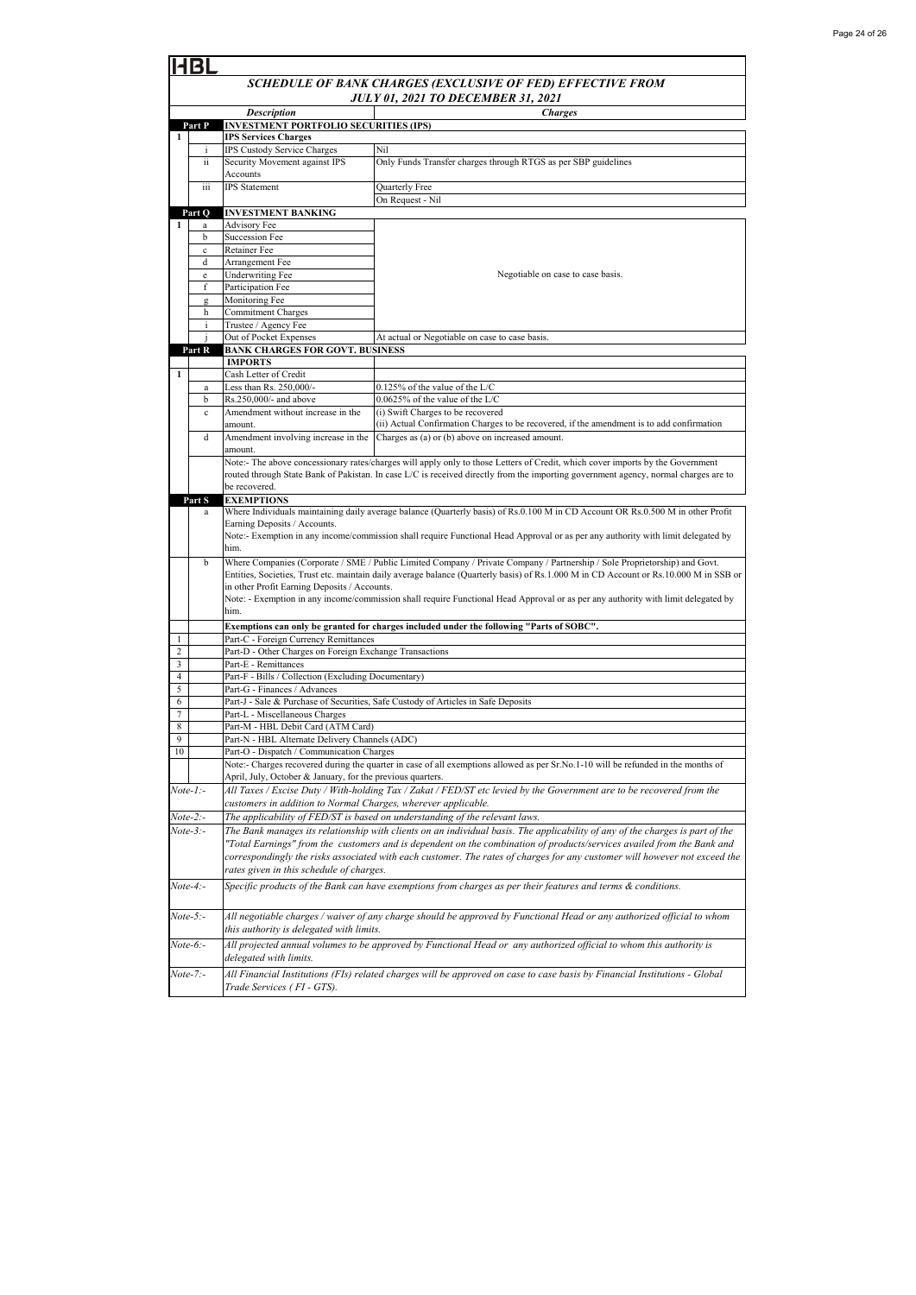| BL                  |                                                            |                                                                                                                                                |                                                                                                                                       |  |  |
|---------------------|------------------------------------------------------------|------------------------------------------------------------------------------------------------------------------------------------------------|---------------------------------------------------------------------------------------------------------------------------------------|--|--|
|                     | SCHEDULE OF BANK CHARGES (EXCLUSIVE OF FED) EFFECTIVE FROM |                                                                                                                                                |                                                                                                                                       |  |  |
|                     | <b>JULY 01, 2021 TO DECEMBER 31, 2021</b>                  |                                                                                                                                                |                                                                                                                                       |  |  |
|                     | Part P                                                     | Description<br>INVESTMENT PORTFOLIO SECURITIES (IPS)                                                                                           | <b>Charges</b>                                                                                                                        |  |  |
| 1                   |                                                            | <b>IPS Services Charges</b>                                                                                                                    |                                                                                                                                       |  |  |
|                     | IPS Custody Service Charges<br>i                           |                                                                                                                                                | Nil                                                                                                                                   |  |  |
|                     | ii                                                         | Security Movement against IPS                                                                                                                  | Only Funds Transfer charges through RTGS as per SBP guidelines                                                                        |  |  |
|                     | iii                                                        | Accounts<br><b>IPS</b> Statement                                                                                                               | Quarterly Free                                                                                                                        |  |  |
|                     |                                                            |                                                                                                                                                | On Request - Nil                                                                                                                      |  |  |
|                     | Part O                                                     | <b>INVESTMENT BANKING</b>                                                                                                                      |                                                                                                                                       |  |  |
| 1                   | a                                                          | <b>Advisory Fee</b>                                                                                                                            |                                                                                                                                       |  |  |
|                     | b<br>$\mathbf c$                                           | Succession Fee<br>Retainer Fee                                                                                                                 |                                                                                                                                       |  |  |
|                     | d                                                          | Arrangement Fee                                                                                                                                |                                                                                                                                       |  |  |
|                     | e                                                          | <b>Underwriting Fee</b>                                                                                                                        | Negotiable on case to case basis.                                                                                                     |  |  |
|                     | f                                                          | Participation Fee                                                                                                                              |                                                                                                                                       |  |  |
|                     | g                                                          | Monitoring Fee                                                                                                                                 |                                                                                                                                       |  |  |
|                     | h<br>i                                                     | Commitment Charges<br>Trustee / Agency Fee                                                                                                     |                                                                                                                                       |  |  |
|                     |                                                            | Out of Pocket Expenses                                                                                                                         | At actual or Negotiable on case to case basis.                                                                                        |  |  |
|                     | Part R                                                     | <b>BANK CHARGES FOR GOVT. BUSINESS</b>                                                                                                         |                                                                                                                                       |  |  |
|                     |                                                            | <b>IMPORTS</b>                                                                                                                                 |                                                                                                                                       |  |  |
| 1                   | a                                                          | Cash Letter of Credit<br>Less than Rs. 250,000/-                                                                                               | 0.125% of the value of the L/C                                                                                                        |  |  |
|                     | b                                                          | Rs.250,000/- and above                                                                                                                         | 0.0625% of the value of the L/C                                                                                                       |  |  |
|                     | $\mathbf c$                                                | Amendment without increase in the                                                                                                              | (i) Swift Charges to be recovered                                                                                                     |  |  |
|                     |                                                            | amount.                                                                                                                                        | (ii) Actual Confirmation Charges to be recovered, if the amendment is to add confirmation                                             |  |  |
|                     | d                                                          | Amendment involving increase in the                                                                                                            | Charges as (a) or (b) above on increased amount.                                                                                      |  |  |
|                     |                                                            | amount.                                                                                                                                        | Note:- The above concessionary rates/charges will apply only to those Letters of Credit, which cover imports by the Government        |  |  |
|                     |                                                            |                                                                                                                                                | routed through State Bank of Pakistan. In case L/C is received directly from the importing government agency, normal charges are to   |  |  |
|                     |                                                            | be recovered.                                                                                                                                  |                                                                                                                                       |  |  |
|                     | Part S                                                     | <b>EXEMPTIONS</b>                                                                                                                              |                                                                                                                                       |  |  |
|                     | a                                                          | Earning Deposits / Accounts.                                                                                                                   | Where Individuals maintaining daily average balance (Quarterly basis) of Rs.0.100 M in CD Account OR Rs.0.500 M in other Profit       |  |  |
|                     |                                                            |                                                                                                                                                | Note:- Exemption in any income/commission shall require Functional Head Approval or as per any authority with limit delegated by      |  |  |
|                     |                                                            | him.                                                                                                                                           |                                                                                                                                       |  |  |
|                     | b                                                          |                                                                                                                                                | Where Companies (Corporate / SME / Public Limited Company / Private Company / Partnership / Sole Proprietorship) and Govt.            |  |  |
|                     |                                                            | in other Profit Earning Deposits / Accounts.                                                                                                   | Entities, Societies, Trust etc. maintain daily average balance (Quarterly basis) of Rs.1.000 M in CD Account or Rs.10.000 M in SSB or |  |  |
|                     |                                                            |                                                                                                                                                | Note: - Exemption in any income/commission shall require Functional Head Approval or as per any authority with limit delegated by     |  |  |
|                     |                                                            | him.                                                                                                                                           |                                                                                                                                       |  |  |
|                     |                                                            |                                                                                                                                                | Exemptions can only be granted for charges included under the following "Parts of SOBC".                                              |  |  |
| 1                   |                                                            | Part-C - Foreign Currency Remittances                                                                                                          |                                                                                                                                       |  |  |
| $\overline{c}$<br>3 |                                                            | Part-D - Other Charges on Foreign Exchange Transactions<br>Part-E - Remittances                                                                |                                                                                                                                       |  |  |
| $\overline{4}$      |                                                            | Part-F - Bills / Collection (Excluding Documentary)                                                                                            |                                                                                                                                       |  |  |
| 5                   |                                                            | Part-G - Finances / Advances                                                                                                                   |                                                                                                                                       |  |  |
| 6                   |                                                            |                                                                                                                                                | Part-J - Sale & Purchase of Securities, Safe Custody of Articles in Safe Deposits                                                     |  |  |
| 7                   |                                                            | Part-L - Miscellaneous Charges                                                                                                                 |                                                                                                                                       |  |  |
| 8<br>$\mathbf{Q}$   |                                                            | Part-M - HBL Debit Card (ATM Card)<br>Part-N - HBL Alternate Delivery Channels (ADC)                                                           |                                                                                                                                       |  |  |
| 10                  |                                                            | Part-O - Dispatch / Communication Charges                                                                                                      |                                                                                                                                       |  |  |
|                     |                                                            |                                                                                                                                                | Note:- Charges recovered during the quarter in case of all exemptions allowed as per Sr.No.1-10 will be refunded in the months of     |  |  |
|                     |                                                            | April, July, October & January, for the previous quarters.                                                                                     |                                                                                                                                       |  |  |
| Note-1:-            |                                                            | All Taxes / Excise Duty / With-holding Tax / Zakat / FED/ST etc levied by the Government are to be recovered from the                          |                                                                                                                                       |  |  |
|                     | Note-2:-                                                   | customers in addition to Normal Charges, wherever applicable.<br>The applicability of $FED/ST$ is based on understanding of the relevant laws. |                                                                                                                                       |  |  |
|                     | Note-3:-                                                   | The Bank manages its relationship with clients on an individual basis. The applicability of any of the charges is part of the                  |                                                                                                                                       |  |  |
|                     |                                                            | "Total Earnings" from the customers and is dependent on the combination of products/services availed from the Bank and                         |                                                                                                                                       |  |  |
|                     |                                                            | correspondingly the risks associated with each customer. The rates of charges for any customer will however not exceed the                     |                                                                                                                                       |  |  |
|                     |                                                            | rates given in this schedule of charges.                                                                                                       |                                                                                                                                       |  |  |
|                     | $Note-4: -$                                                | Specific products of the Bank can have exemptions from charges as per their features and terms & conditions.                                   |                                                                                                                                       |  |  |
|                     |                                                            |                                                                                                                                                |                                                                                                                                       |  |  |
|                     | $Note-5:$                                                  |                                                                                                                                                | All negotiable charges / waiver of any charge should be approved by Functional Head or any authorized official to whom                |  |  |
|                     |                                                            | this authority is delegated with limits.                                                                                                       |                                                                                                                                       |  |  |
|                     | Note-6:-                                                   |                                                                                                                                                | All projected annual volumes to be approved by Functional Head or any authorized official to whom this authority is                   |  |  |
|                     |                                                            | delegated with limits.                                                                                                                         |                                                                                                                                       |  |  |
|                     | Note-7:-                                                   |                                                                                                                                                | All Financial Institutions (FIs) related charges will be approved on case to case basis by Financial Institutions - Global            |  |  |
|                     |                                                            | Trade Services (FI - GTS).                                                                                                                     |                                                                                                                                       |  |  |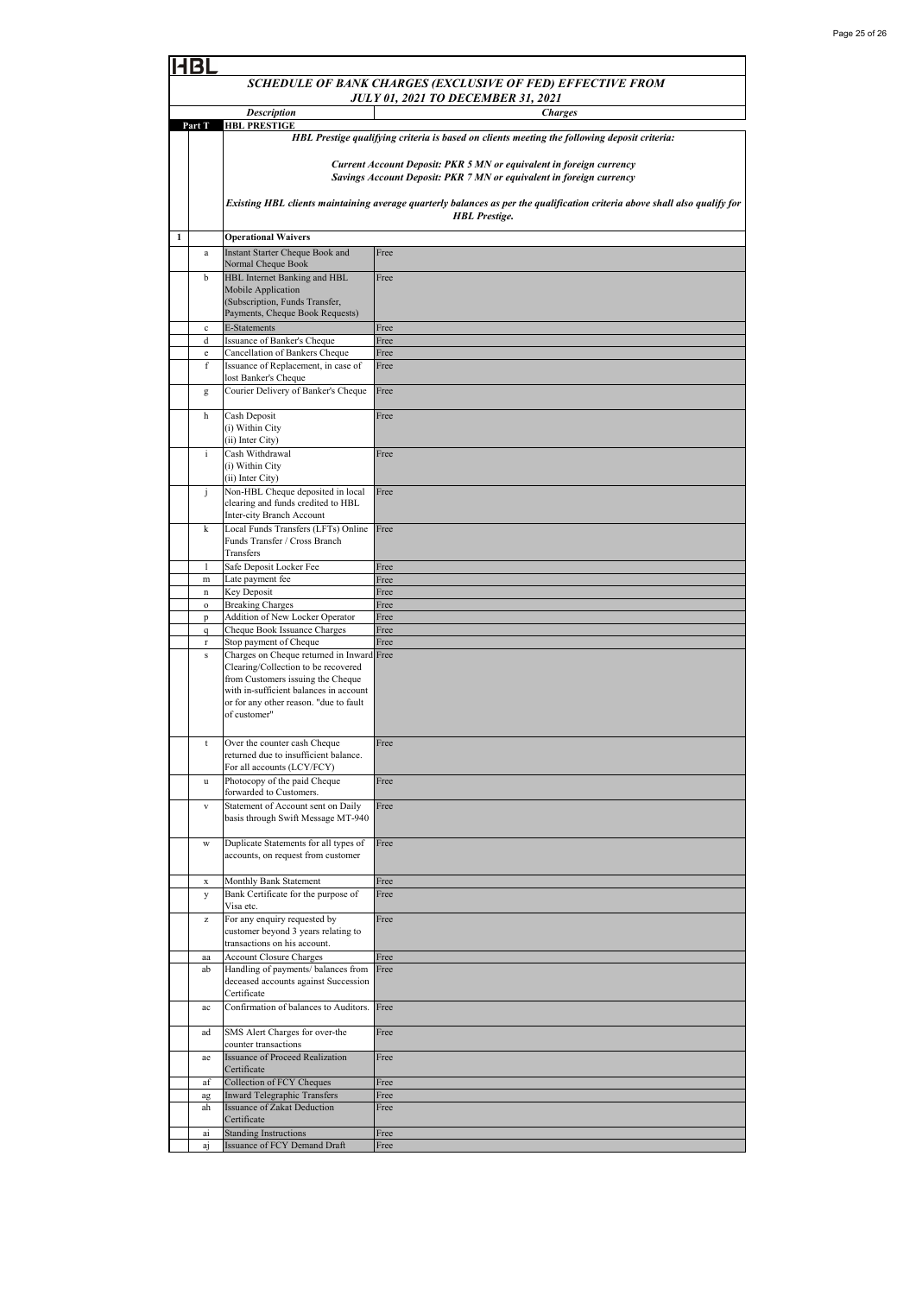| SCHEDULE OF BANK CHARGES (EXCLUSIVE OF FED) EFFECTIVE FROM                        |                                                       |                                                                                  |                                                                                                                            |  |
|-----------------------------------------------------------------------------------|-------------------------------------------------------|----------------------------------------------------------------------------------|----------------------------------------------------------------------------------------------------------------------------|--|
| <b>JULY 01, 2021 TO DECEMBER 31, 2021</b><br><b>Description</b><br><b>Charges</b> |                                                       |                                                                                  |                                                                                                                            |  |
|                                                                                   | Part T                                                | <b>HBL PRESTIGE</b>                                                              |                                                                                                                            |  |
|                                                                                   |                                                       |                                                                                  | HBL Prestige qualifying criteria is based on clients meeting the following deposit criteria:                               |  |
|                                                                                   |                                                       |                                                                                  |                                                                                                                            |  |
|                                                                                   |                                                       |                                                                                  | Current Account Deposit: PKR 5 MN or equivalent in foreign currency                                                        |  |
|                                                                                   |                                                       |                                                                                  | Savings Account Deposit: PKR 7 MN or equivalent in foreign currency                                                        |  |
|                                                                                   |                                                       |                                                                                  | Existing HBL clients maintaining average quarterly balances as per the qualification criteria above shall also qualify for |  |
|                                                                                   |                                                       | <b>HBL</b> Prestige.                                                             |                                                                                                                            |  |
| $\mathbf{1}$                                                                      |                                                       | <b>Operational Waivers</b>                                                       |                                                                                                                            |  |
|                                                                                   | a                                                     | Instant Starter Cheque Book and                                                  | Free                                                                                                                       |  |
|                                                                                   |                                                       | Normal Cheque Book                                                               |                                                                                                                            |  |
|                                                                                   | b                                                     | HBL Internet Banking and HBL                                                     | Free                                                                                                                       |  |
|                                                                                   |                                                       | Mobile Application                                                               |                                                                                                                            |  |
|                                                                                   |                                                       | (Subscription, Funds Transfer,<br>Payments, Cheque Book Requests)                |                                                                                                                            |  |
|                                                                                   | $\mathbf c$                                           | <b>E-Statements</b>                                                              | Free                                                                                                                       |  |
|                                                                                   | d                                                     | Issuance of Banker's Cheque                                                      | Free                                                                                                                       |  |
|                                                                                   | $\mathbf{e}% _{t}\left( t\right)$                     | Cancellation of Bankers Cheque                                                   | Free                                                                                                                       |  |
|                                                                                   | f                                                     | Issuance of Replacement, in case of<br>lost Banker's Cheque                      | Free                                                                                                                       |  |
|                                                                                   | g                                                     | Courier Delivery of Banker's Cheque                                              | Free                                                                                                                       |  |
|                                                                                   |                                                       |                                                                                  |                                                                                                                            |  |
|                                                                                   | h                                                     | Cash Deposit                                                                     | Free                                                                                                                       |  |
|                                                                                   |                                                       | (i) Within City                                                                  |                                                                                                                            |  |
|                                                                                   | $\mathbf{i}$                                          | (ii) Inter City)<br>Cash Withdrawal                                              |                                                                                                                            |  |
|                                                                                   |                                                       | (i) Within City                                                                  | Free                                                                                                                       |  |
|                                                                                   |                                                       | (ii) Inter City)                                                                 |                                                                                                                            |  |
|                                                                                   | j                                                     | Non-HBL Cheque deposited in local                                                | Free                                                                                                                       |  |
|                                                                                   |                                                       | clearing and funds credited to HBL<br><b>Inter-city Branch Account</b>           |                                                                                                                            |  |
|                                                                                   | k                                                     | Local Funds Transfers (LFTs) Online                                              | Free                                                                                                                       |  |
|                                                                                   |                                                       | Funds Transfer / Cross Branch                                                    |                                                                                                                            |  |
|                                                                                   |                                                       | Transfers                                                                        |                                                                                                                            |  |
|                                                                                   | 1                                                     | Safe Deposit Locker Fee                                                          | Free                                                                                                                       |  |
|                                                                                   | ${\rm m}$                                             | Late payment fee<br>Key Deposit                                                  | Free<br>Free                                                                                                               |  |
|                                                                                   | $\mathbf n$<br>$\mathbf{o}$                           | <b>Breaking Charges</b>                                                          | Free                                                                                                                       |  |
|                                                                                   | p                                                     | Addition of New Locker Operator                                                  | Free                                                                                                                       |  |
|                                                                                   | q                                                     | Cheque Book Issuance Charges                                                     | Free                                                                                                                       |  |
|                                                                                   | $\mathbf r$                                           | Stop payment of Cheque                                                           | Free                                                                                                                       |  |
|                                                                                   | ${\bf S}$                                             | Charges on Cheque returned in Inward Free<br>Clearing/Collection to be recovered |                                                                                                                            |  |
|                                                                                   |                                                       | from Customers issuing the Cheque                                                |                                                                                                                            |  |
|                                                                                   |                                                       | with in-sufficient balances in account                                           |                                                                                                                            |  |
|                                                                                   |                                                       | or for any other reason. "due to fault<br>of customer"                           |                                                                                                                            |  |
|                                                                                   |                                                       |                                                                                  |                                                                                                                            |  |
|                                                                                   | t                                                     | Over the counter cash Cheque                                                     | Free                                                                                                                       |  |
|                                                                                   |                                                       | returned due to insufficient balance.                                            |                                                                                                                            |  |
|                                                                                   |                                                       | For all accounts (LCY/FCY)                                                       |                                                                                                                            |  |
|                                                                                   | u                                                     | Photocopy of the paid Cheque<br>forwarded to Customers.                          | Free                                                                                                                       |  |
|                                                                                   | $\mathbf{V}$                                          | Statement of Account sent on Daily                                               | Free                                                                                                                       |  |
|                                                                                   |                                                       | basis through Swift Message MT-940                                               |                                                                                                                            |  |
|                                                                                   |                                                       |                                                                                  |                                                                                                                            |  |
|                                                                                   | W                                                     | Duplicate Statements for all types of<br>accounts, on request from customer      | Free                                                                                                                       |  |
|                                                                                   |                                                       |                                                                                  |                                                                                                                            |  |
|                                                                                   | X                                                     | Monthly Bank Statement                                                           | Free                                                                                                                       |  |
|                                                                                   | у                                                     | Bank Certificate for the purpose of                                              | Free                                                                                                                       |  |
|                                                                                   |                                                       | Visa etc.                                                                        |                                                                                                                            |  |
|                                                                                   | $\mathbf{Z}% ^{T}=\mathbf{Z}^{T}\times\mathbf{Z}^{T}$ | For any enquiry requested by<br>customer beyond 3 years relating to              | Free                                                                                                                       |  |
|                                                                                   |                                                       | transactions on his account.                                                     |                                                                                                                            |  |
|                                                                                   | aa                                                    | <b>Account Closure Charges</b>                                                   | Free                                                                                                                       |  |
|                                                                                   | ab                                                    | Handling of payments/ balances from                                              | Free                                                                                                                       |  |
|                                                                                   |                                                       | deceased accounts against Succession<br>Certificate                              |                                                                                                                            |  |
|                                                                                   | ac                                                    | Confirmation of balances to Auditors.                                            | Free                                                                                                                       |  |
|                                                                                   |                                                       |                                                                                  |                                                                                                                            |  |
|                                                                                   | ad                                                    | SMS Alert Charges for over-the                                                   | Free                                                                                                                       |  |
|                                                                                   |                                                       | counter transactions<br><b>Issuance of Proceed Realization</b>                   | Free                                                                                                                       |  |
|                                                                                   | ae                                                    | Certificate                                                                      |                                                                                                                            |  |
|                                                                                   | af                                                    | <b>Collection of FCY Cheques</b>                                                 | Free                                                                                                                       |  |
|                                                                                   | ag                                                    | <b>Inward Telegraphic Transfers</b>                                              | Free                                                                                                                       |  |
|                                                                                   | ah                                                    | <b>Issuance of Zakat Deduction</b><br>Certificate                                | Free                                                                                                                       |  |
|                                                                                   | ai                                                    | <b>Standing Instructions</b>                                                     | Free                                                                                                                       |  |
|                                                                                   | aj                                                    | Issuance of FCY Demand Draft                                                     | Free                                                                                                                       |  |